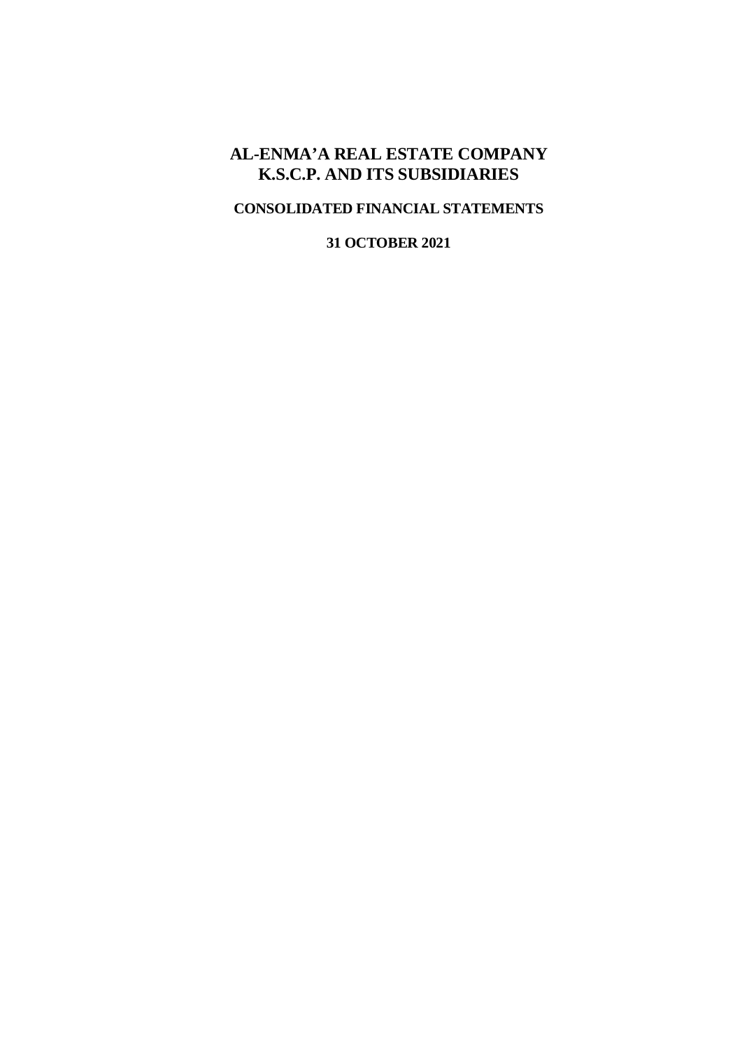# **AL-ENMA'A REAL ESTATE COMPANY K.S.C.P. AND ITS SUBSIDIARIES**

# **CONSOLIDATED FINANCIAL STATEMENTS**

**31 OCTOBER 2021**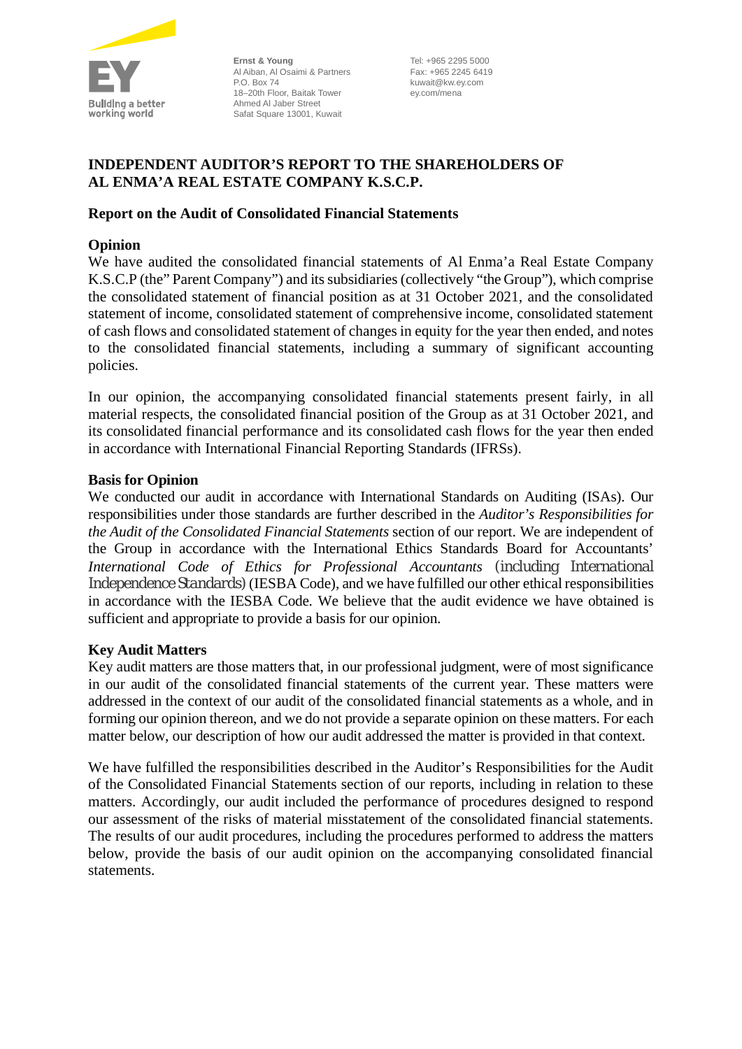

**Ernst & Young** Al Aiban, Al Osaimi & Partners P.O. Box 74 18–20th Floor, Baitak Tower Ahmed Al Jaber Street Safat Square 13001, Kuwait

Tel: +965 2295 5000 Fax: +965 2245 6419 kuwait@kw.ey.com ey.com/mena

# **INDEPENDENT AUDITOR'S REPORT TO THE SHAREHOLDERS OF AL ENMA'A REAL ESTATE COMPANY K.S.C.P.**

# **Report on the Audit of Consolidated Financial Statements**

# **Opinion**

We have audited the consolidated financial statements of Al Enma'a Real Estate Company K.S.C.P (the" Parent Company") and its subsidiaries (collectively "the Group"), which comprise the consolidated statement of financial position as at 31 October 2021, and the consolidated statement of income, consolidated statement of comprehensive income, consolidated statement of cash flows and consolidated statement of changes in equity for the year then ended, and notes to the consolidated financial statements, including a summary of significant accounting policies.

In our opinion, the accompanying consolidated financial statements present fairly, in all material respects, the consolidated financial position of the Group as at 31 October 2021, and its consolidated financial performance and its consolidated cash flows for the year then ended in accordance with International Financial Reporting Standards (IFRSs).

# **Basis for Opinion**

We conducted our audit in accordance with International Standards on Auditing (ISAs). Our responsibilities under those standards are further described in the *Auditor's Responsibilities for the Audit of the Consolidated Financial Statements* section of our report. We are independent of the Group in accordance with the International Ethics Standards Board for Accountants' *International Code of Ethics for Professional Accountants (including International Independence Standards)* (IESBA Code), and we have fulfilled our other ethical responsibilities in accordance with the IESBA Code. We believe that the audit evidence we have obtained is sufficient and appropriate to provide a basis for our opinion.

# **Key Audit Matters**

Key audit matters are those matters that, in our professional judgment, were of most significance in our audit of the consolidated financial statements of the current year. These matters were addressed in the context of our audit of the consolidated financial statements as a whole, and in forming our opinion thereon, and we do not provide a separate opinion on these matters. For each matter below, our description of how our audit addressed the matter is provided in that context.

We have fulfilled the responsibilities described in the Auditor's Responsibilities for the Audit of the Consolidated Financial Statements section of our reports, including in relation to these matters. Accordingly, our audit included the performance of procedures designed to respond our assessment of the risks of material misstatement of the consolidated financial statements. The results of our audit procedures, including the procedures performed to address the matters below, provide the basis of our audit opinion on the accompanying consolidated financial statements.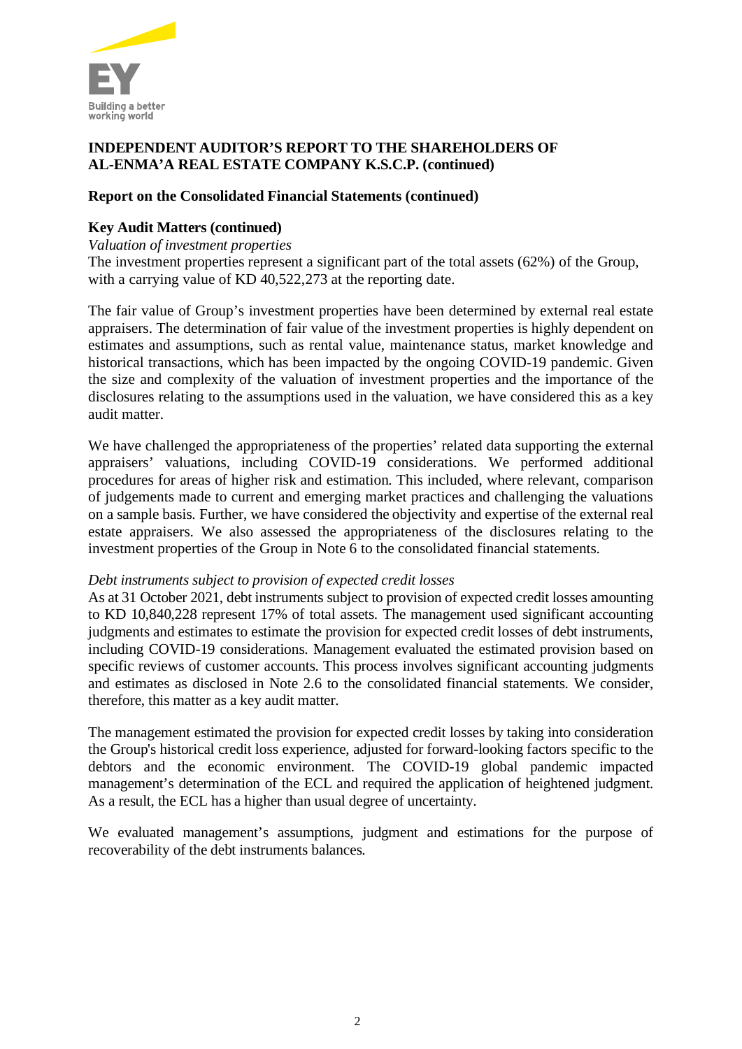

# **Report on the Consolidated Financial Statements (continued)**

# **Key Audit Matters (continued)**

*Valuation of investment properties*

The investment properties represent a significant part of the total assets (62%) of the Group, with a carrying value of KD 40,522,273 at the reporting date.

The fair value of Group's investment properties have been determined by external real estate appraisers. The determination of fair value of the investment properties is highly dependent on estimates and assumptions, such as rental value, maintenance status, market knowledge and historical transactions, which has been impacted by the ongoing COVID-19 pandemic. Given the size and complexity of the valuation of investment properties and the importance of the disclosures relating to the assumptions used in the valuation, we have considered this as a key audit matter.

We have challenged the appropriateness of the properties' related data supporting the external appraisers' valuations, including COVID-19 considerations. We performed additional procedures for areas of higher risk and estimation. This included, where relevant, comparison of judgements made to current and emerging market practices and challenging the valuations on a sample basis. Further, we have considered the objectivity and expertise of the external real estate appraisers. We also assessed the appropriateness of the disclosures relating to the investment properties of the Group in Note 6 to the consolidated financial statements.

### *Debt instruments subject to provision of expected credit losses*

As at 31 October 2021, debt instruments subject to provision of expected credit losses amounting to KD 10,840,228 represent 17% of total assets. The management used significant accounting judgments and estimates to estimate the provision for expected credit losses of debt instruments, including COVID-19 considerations. Management evaluated the estimated provision based on specific reviews of customer accounts. This process involves significant accounting judgments and estimates as disclosed in Note 2.6 to the consolidated financial statements. We consider, therefore, this matter as a key audit matter.

The management estimated the provision for expected credit losses by taking into consideration the Group's historical credit loss experience, adjusted for forward-looking factors specific to the debtors and the economic environment. The COVID-19 global pandemic impacted management's determination of the ECL and required the application of heightened judgment. As a result, the ECL has a higher than usual degree of uncertainty.

We evaluated management's assumptions, judgment and estimations for the purpose of recoverability of the debt instruments balances.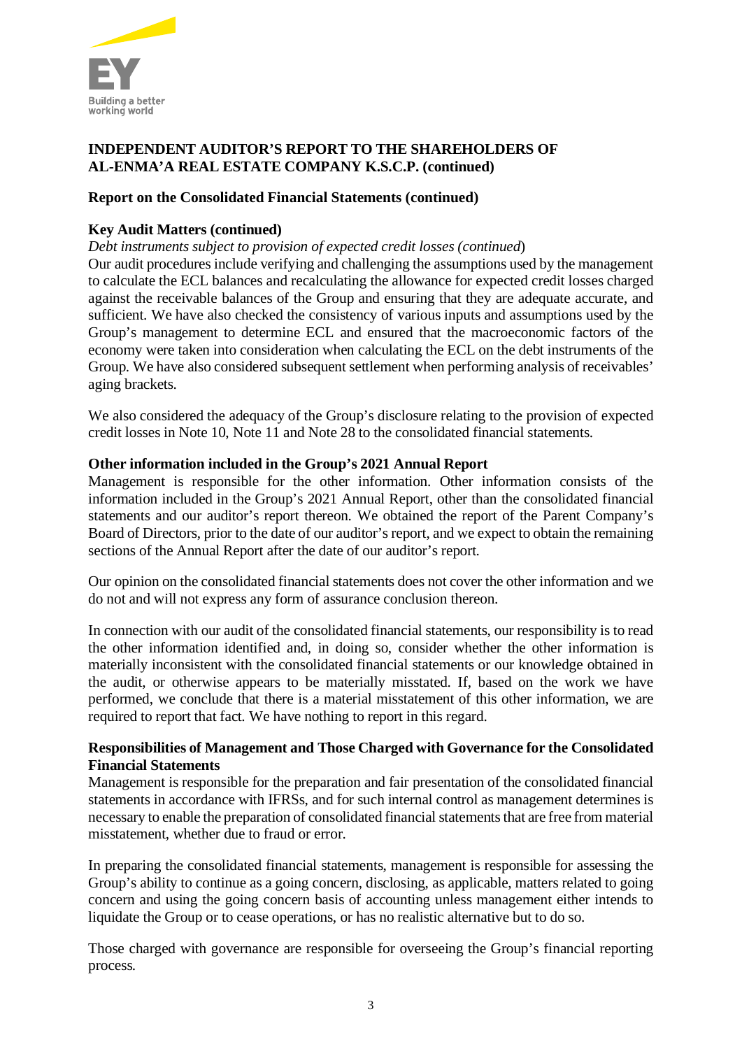

# **Report on the Consolidated Financial Statements (continued)**

# **Key Audit Matters (continued)**

# *Debt instruments subject to provision of expected credit losses (continued*)

Our audit procedures include verifying and challenging the assumptions used by the management to calculate the ECL balances and recalculating the allowance for expected credit losses charged against the receivable balances of the Group and ensuring that they are adequate accurate, and sufficient. We have also checked the consistency of various inputs and assumptions used by the Group's management to determine ECL and ensured that the macroeconomic factors of the economy were taken into consideration when calculating the ECL on the debt instruments of the Group. We have also considered subsequent settlement when performing analysis of receivables' aging brackets.

We also considered the adequacy of the Group's disclosure relating to the provision of expected credit losses in Note 10, Note 11 and Note 28 to the consolidated financial statements.

# **Other information included in the Group's 2021 Annual Report**

Management is responsible for the other information. Other information consists of the information included in the Group's 2021 Annual Report, other than the consolidated financial statements and our auditor's report thereon. We obtained the report of the Parent Company's Board of Directors, prior to the date of our auditor's report, and we expect to obtain the remaining sections of the Annual Report after the date of our auditor's report.

Our opinion on the consolidated financial statements does not cover the other information and we do not and will not express any form of assurance conclusion thereon.

In connection with our audit of the consolidated financial statements, our responsibility is to read the other information identified and, in doing so, consider whether the other information is materially inconsistent with the consolidated financial statements or our knowledge obtained in the audit, or otherwise appears to be materially misstated. If, based on the work we have performed, we conclude that there is a material misstatement of this other information, we are required to report that fact. We have nothing to report in this regard.

# **Responsibilities of Management and Those Charged with Governance for the Consolidated Financial Statements**

Management is responsible for the preparation and fair presentation of the consolidated financial statements in accordance with IFRSs, and for such internal control as management determines is necessary to enable the preparation of consolidated financial statements that are free from material misstatement, whether due to fraud or error.

In preparing the consolidated financial statements, management is responsible for assessing the Group's ability to continue as a going concern, disclosing, as applicable, matters related to going concern and using the going concern basis of accounting unless management either intends to liquidate the Group or to cease operations, or has no realistic alternative but to do so.

Those charged with governance are responsible for overseeing the Group's financial reporting process.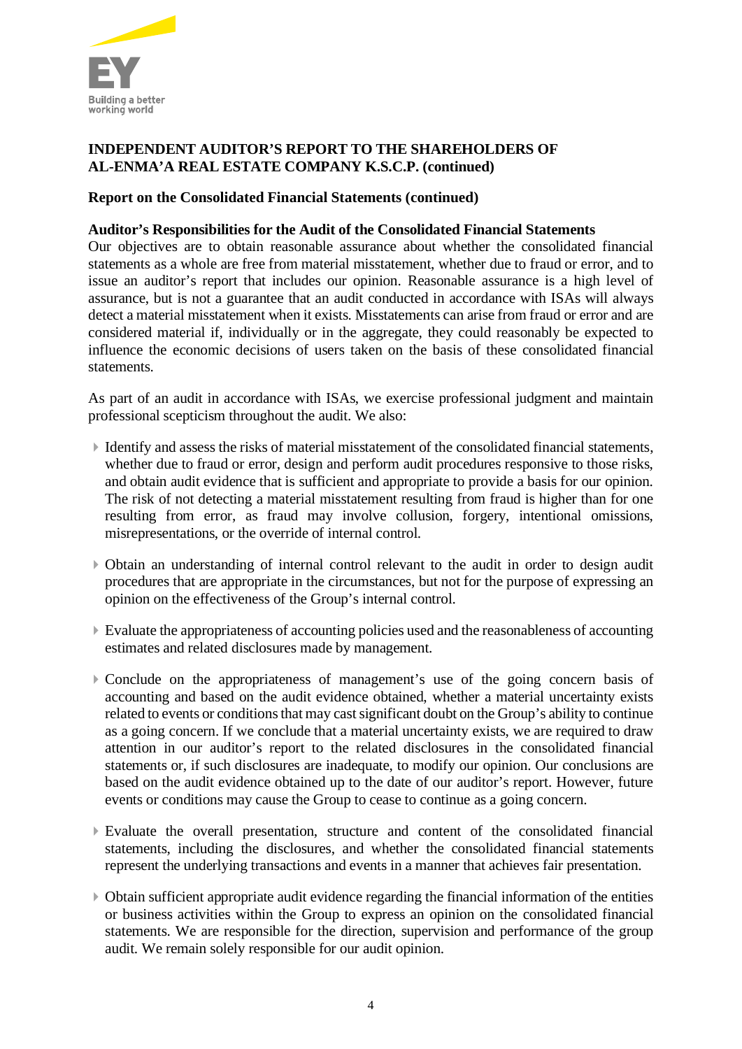

# **Report on the Consolidated Financial Statements (continued)**

# **Auditor's Responsibilities for the Audit of the Consolidated Financial Statements**

Our objectives are to obtain reasonable assurance about whether the consolidated financial statements as a whole are free from material misstatement, whether due to fraud or error, and to issue an auditor's report that includes our opinion. Reasonable assurance is a high level of assurance, but is not a guarantee that an audit conducted in accordance with ISAs will always detect a material misstatement when it exists. Misstatements can arise from fraud or error and are considered material if, individually or in the aggregate, they could reasonably be expected to influence the economic decisions of users taken on the basis of these consolidated financial statements.

As part of an audit in accordance with ISAs, we exercise professional judgment and maintain professional scepticism throughout the audit. We also:

- $\blacktriangleright$  Identify and assess the risks of material misstatement of the consolidated financial statements, whether due to fraud or error, design and perform audit procedures responsive to those risks, and obtain audit evidence that is sufficient and appropriate to provide a basis for our opinion. The risk of not detecting a material misstatement resulting from fraud is higher than for one resulting from error, as fraud may involve collusion, forgery, intentional omissions, misrepresentations, or the override of internal control.
- 4Obtain an understanding of internal control relevant to the audit in order to design audit procedures that are appropriate in the circumstances, but not for the purpose of expressing an opinion on the effectiveness of the Group's internal control.
- $\blacktriangleright$  Evaluate the appropriateness of accounting policies used and the reasonableness of accounting estimates and related disclosures made by management.
- 4Conclude on the appropriateness of management's use of the going concern basis of accounting and based on the audit evidence obtained, whether a material uncertainty exists related to events or conditions that may cast significant doubt on the Group's ability to continue as a going concern. If we conclude that a material uncertainty exists, we are required to draw attention in our auditor's report to the related disclosures in the consolidated financial statements or, if such disclosures are inadequate, to modify our opinion. Our conclusions are based on the audit evidence obtained up to the date of our auditor's report. However, future events or conditions may cause the Group to cease to continue as a going concern.
- 4Evaluate the overall presentation, structure and content of the consolidated financial statements, including the disclosures, and whether the consolidated financial statements represent the underlying transactions and events in a manner that achieves fair presentation.
- 4Obtain sufficient appropriate audit evidence regarding the financial information of the entities or business activities within the Group to express an opinion on the consolidated financial statements. We are responsible for the direction, supervision and performance of the group audit. We remain solely responsible for our audit opinion.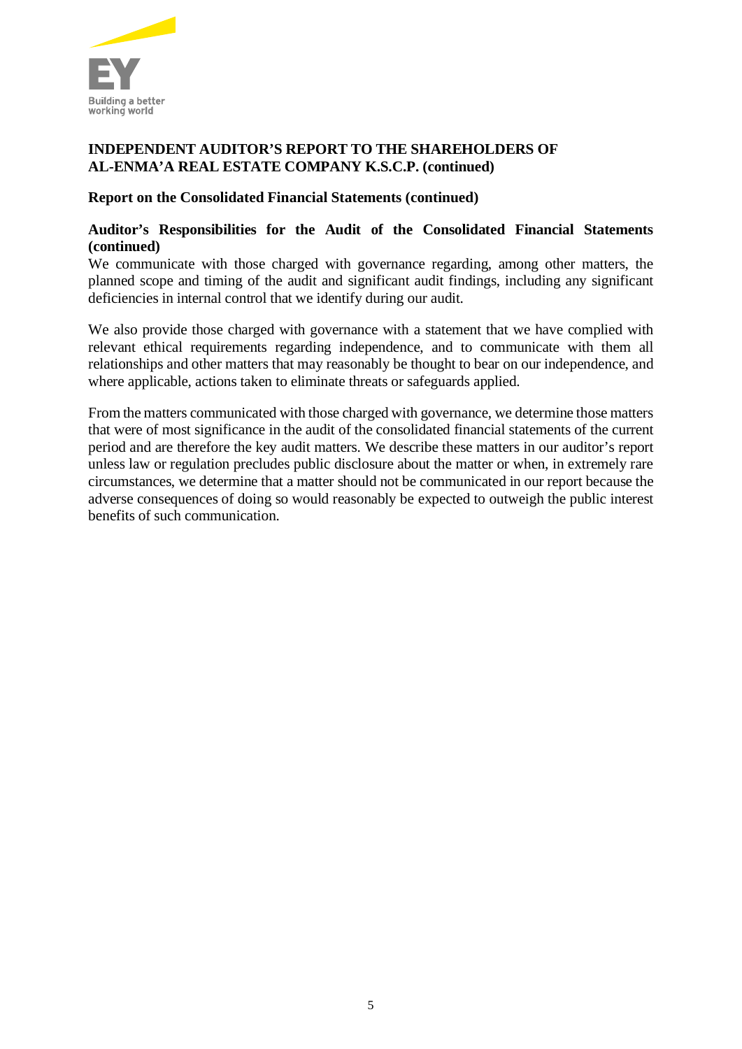

# **Report on the Consolidated Financial Statements (continued)**

# **Auditor's Responsibilities for the Audit of the Consolidated Financial Statements (continued)**

We communicate with those charged with governance regarding, among other matters, the planned scope and timing of the audit and significant audit findings, including any significant deficiencies in internal control that we identify during our audit.

We also provide those charged with governance with a statement that we have complied with relevant ethical requirements regarding independence, and to communicate with them all relationships and other matters that may reasonably be thought to bear on our independence, and where applicable, actions taken to eliminate threats or safeguards applied.

From the matters communicated with those charged with governance, we determine those matters that were of most significance in the audit of the consolidated financial statements of the current period and are therefore the key audit matters. We describe these matters in our auditor's report unless law or regulation precludes public disclosure about the matter or when, in extremely rare circumstances, we determine that a matter should not be communicated in our report because the adverse consequences of doing so would reasonably be expected to outweigh the public interest benefits of such communication.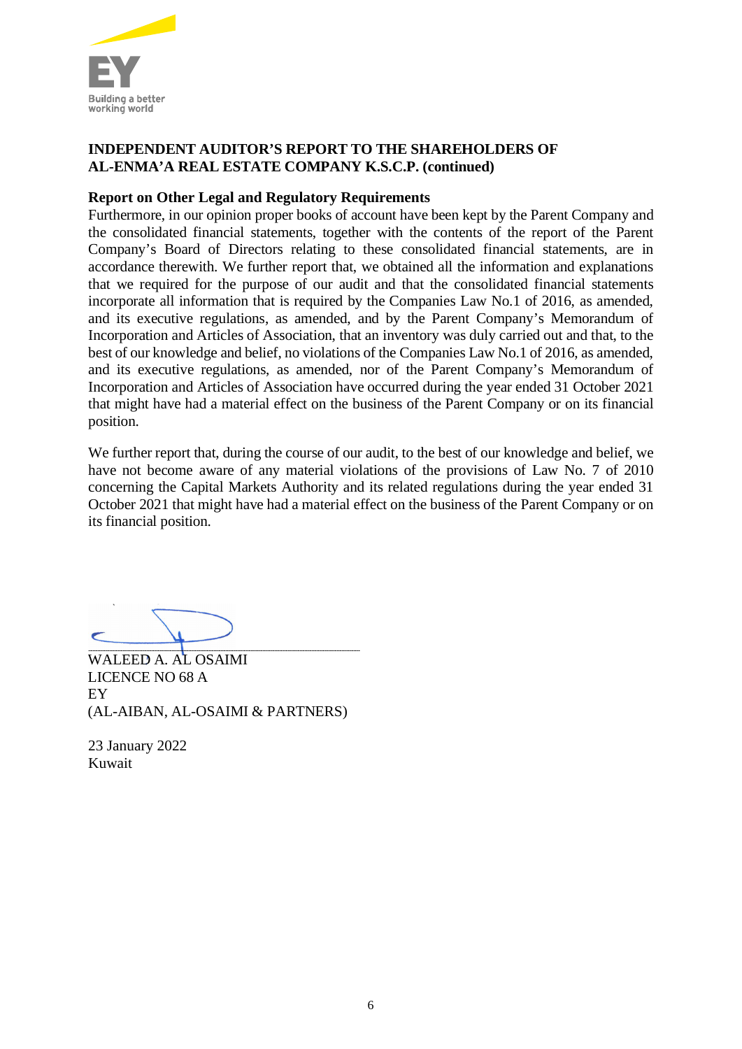

# **Report on Other Legal and Regulatory Requirements**

Furthermore, in our opinion proper books of account have been kept by the Parent Company and the consolidated financial statements, together with the contents of the report of the Parent Company's Board of Directors relating to these consolidated financial statements, are in accordance therewith. We further report that, we obtained all the information and explanations that we required for the purpose of our audit and that the consolidated financial statements incorporate all information that is required by the Companies Law No.1 of 2016, as amended, and its executive regulations, as amended, and by the Parent Company's Memorandum of Incorporation and Articles of Association, that an inventory was duly carried out and that, to the best of our knowledge and belief, no violations of the Companies Law No.1 of 2016, as amended, and its executive regulations, as amended, nor of the Parent Company's Memorandum of Incorporation and Articles of Association have occurred during the year ended 31 October 2021 that might have had a material effect on the business of the Parent Company or on its financial position.

We further report that, during the course of our audit, to the best of our knowledge and belief, we have not become aware of any material violations of the provisions of Law No. 7 of 2010 concerning the Capital Markets Authority and its related regulations during the year ended 31 October 2021 that might have had a material effect on the business of the Parent Company or on its financial position.

WALEED A. AL OSAIMI LICENCE NO 68 A EY (AL-AIBAN, AL-OSAIMI & PARTNERS)

23 January 2022 Kuwait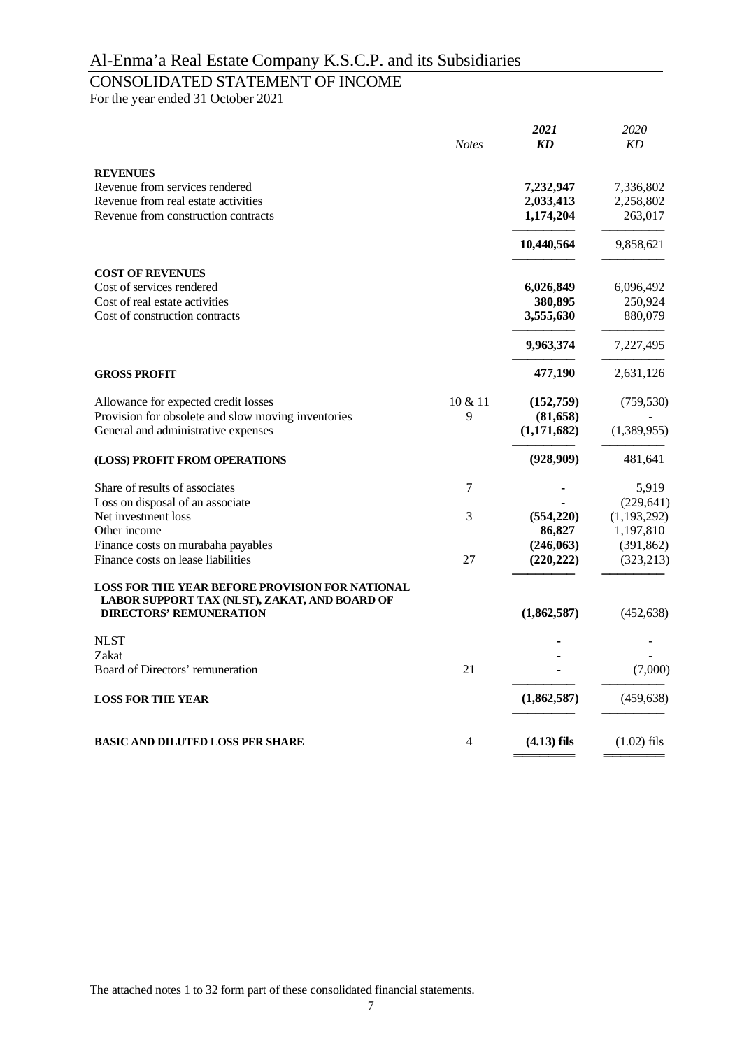# CONSOLIDATED STATEMENT OF INCOME

For the year ended 31 October 2021

| 2020<br>KD    |
|---------------|
|               |
|               |
| 7,336,802     |
| 2,258,802     |
| 263,017       |
| 9,858,621     |
|               |
| 6,096,492     |
| 250,924       |
| 880,079       |
| 7,227,495     |
| 2,631,126     |
| (759, 530)    |
|               |
| (1,389,955)   |
| 481,641       |
| 5,919         |
| (229, 641)    |
| (1, 193, 292) |
| 1,197,810     |
| (391, 862)    |
| (323, 213)    |
|               |
| (452, 638)    |
|               |
|               |
| (7,000)       |
| (459, 638)    |
| $(1.02)$ fils |
|               |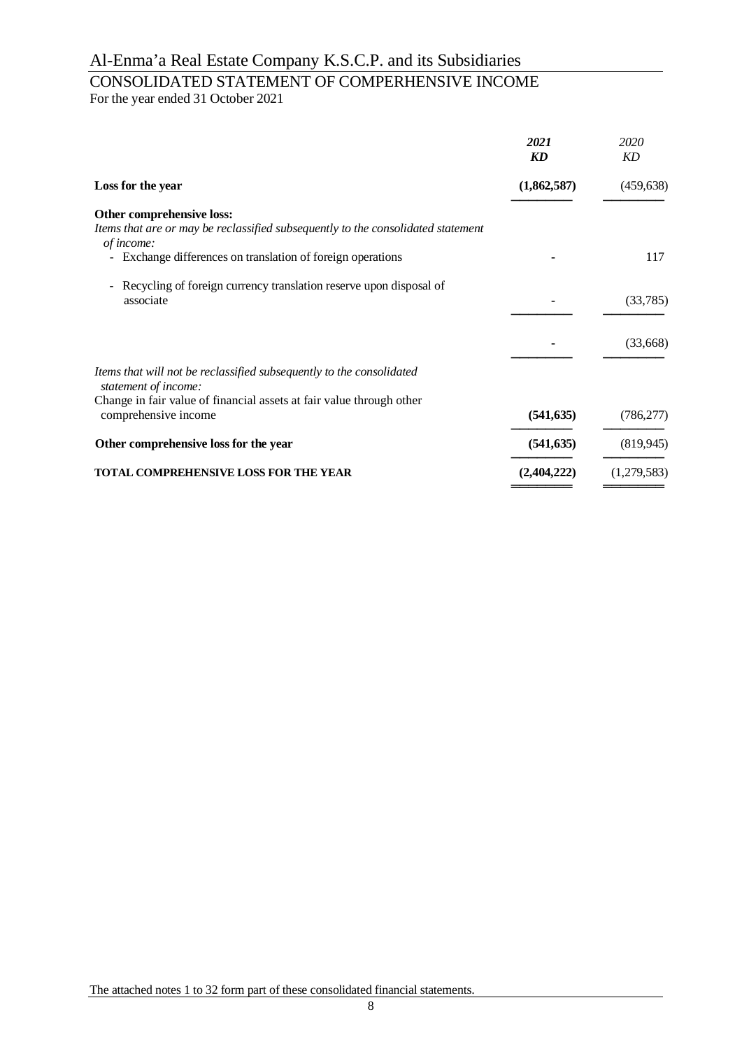# CONSOLIDATED STATEMENT OF COMPERHENSIVE INCOME

For the year ended 31 October 2021

| 2021<br><b>KD</b> | 2020<br><b>KD</b> |
|-------------------|-------------------|
| (1,862,587)       | (459, 638)        |
|                   |                   |
|                   | 117               |
|                   | (33,785)          |
|                   | (33,668)          |
|                   |                   |
| (541, 635)        | (786, 277)        |
| (541, 635)        | (819, 945)        |
| (2,404,222)       | (1,279,583)       |
|                   |                   |

The attached notes 1 to 32 form part of these consolidated financial statements.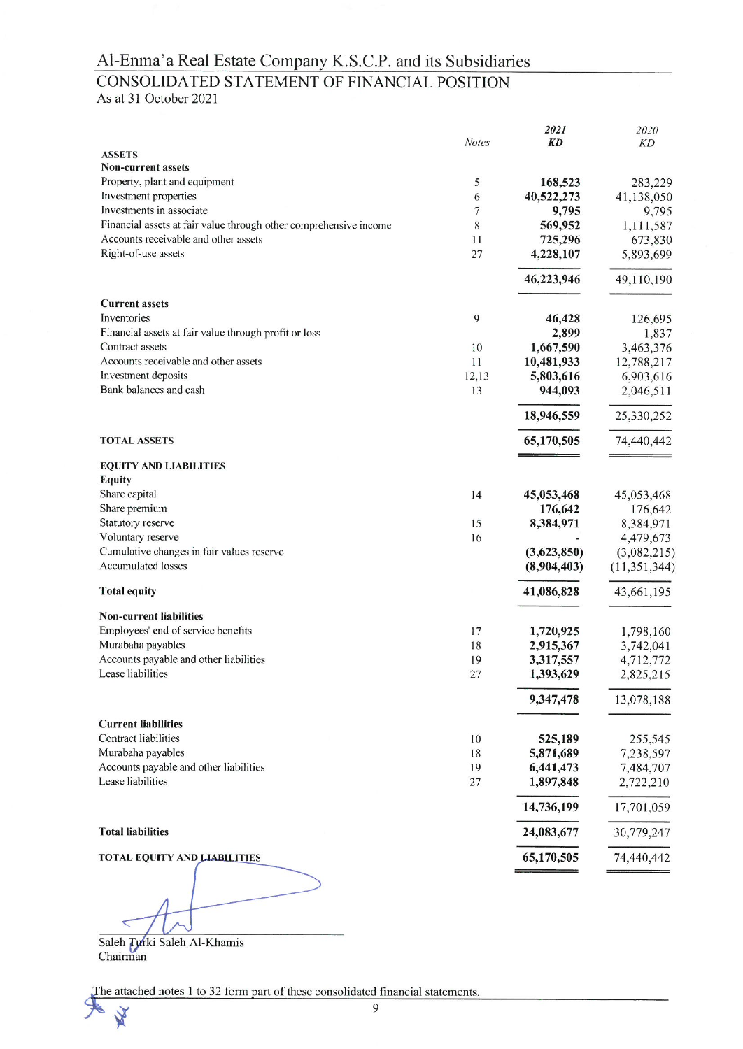# CONSOLIDATED STATEMENT OF FINANCIAL POSITION

As at 31 October 2021

|                                                                   |              | 2021        | 2020           |
|-------------------------------------------------------------------|--------------|-------------|----------------|
|                                                                   | <b>Notes</b> | <b>KD</b>   | KD             |
| <b>ASSETS</b>                                                     |              |             |                |
| <b>Non-current assets</b>                                         |              |             |                |
| Property, plant and equipment                                     | 5            | 168,523     | 283,229        |
| Investment properties                                             | 6            | 40,522,273  | 41,138,050     |
| Investments in associate                                          | 7            | 9,795       | 9,795          |
| Financial assets at fair value through other comprehensive income | 8            | 569,952     | 1,111,587      |
| Accounts receivable and other assets                              | 11           | 725,296     | 673,830        |
| Right-of-use assets                                               | 27           | 4,228,107   | 5,893,699      |
|                                                                   |              | 46,223,946  | 49,110,190     |
| <b>Current assets</b>                                             |              |             |                |
| Inventories                                                       | 9            | 46,428      | 126,695        |
| Financial assets at fair value through profit or loss             |              | 2,899       | 1,837          |
| Contract assets                                                   | 10           | 1,667,590   | 3,463,376      |
| Accounts receivable and other assets                              | 11           | 10,481,933  | 12,788,217     |
| Investment deposits                                               | 12,13        | 5,803,616   | 6,903,616      |
| Bank balances and cash                                            | 13           | 944,093     | 2,046,511      |
|                                                                   |              | 18,946,559  | 25,330,252     |
| <b>TOTAL ASSETS</b>                                               |              | 65,170,505  | 74,440,442     |
|                                                                   |              |             |                |
| <b>EQUITY AND LIABILITIES</b>                                     |              |             |                |
| <b>Equity</b>                                                     |              |             |                |
| Share capital                                                     | 14           | 45,053,468  | 45,053,468     |
| Share premium                                                     |              | 176,642     | 176,642        |
| Statutory reserve                                                 | 15           | 8,384,971   | 8,384,971      |
| Voluntary reserve                                                 | 16           |             | 4,479,673      |
| Cumulative changes in fair values reserve                         |              | (3,623,850) | (3,082,215)    |
| <b>Accumulated losses</b>                                         |              | (8,904,403) | (11, 351, 344) |
| <b>Total equity</b>                                               |              | 41,086,828  | 43,661,195     |
| <b>Non-current liabilities</b>                                    |              |             |                |
| Employees' end of service benefits                                | 17           | 1,720,925   | 1,798,160      |
| Murabaha payables                                                 | 18           | 2,915,367   | 3,742,041      |
| Accounts payable and other liabilities                            | 19           | 3,317,557   | 4,712,772      |
| Lease liabilities                                                 | 27           | 1,393,629   | 2,825,215      |
|                                                                   |              | 9,347,478   | 13,078,188     |
| <b>Current liabilities</b>                                        |              |             |                |
| Contract liabilities                                              | 10           | 525,189     | 255,545        |
| Murabaha payables                                                 | 18           | 5,871,689   | 7,238,597      |
| Accounts payable and other liabilities                            | 19           | 6,441,473   | 7,484,707      |
| Lease liabilities                                                 | 27           | 1,897,848   | 2,722,210      |
|                                                                   |              | 14,736,199  | 17,701,059     |
| <b>Total liabilities</b>                                          |              | 24,083,677  | 30,779,247     |
| <b>TOTAL EQUITY AND LIABILITIES</b>                               |              | 65,170,505  | 74,440,442     |
|                                                                   |              |             |                |

 $\overline{C}$ 

Saleh Turki Saleh Al-Khamis<br>Chairman

X

The attached notes 1 to 32 form part of these consolidated financial statements.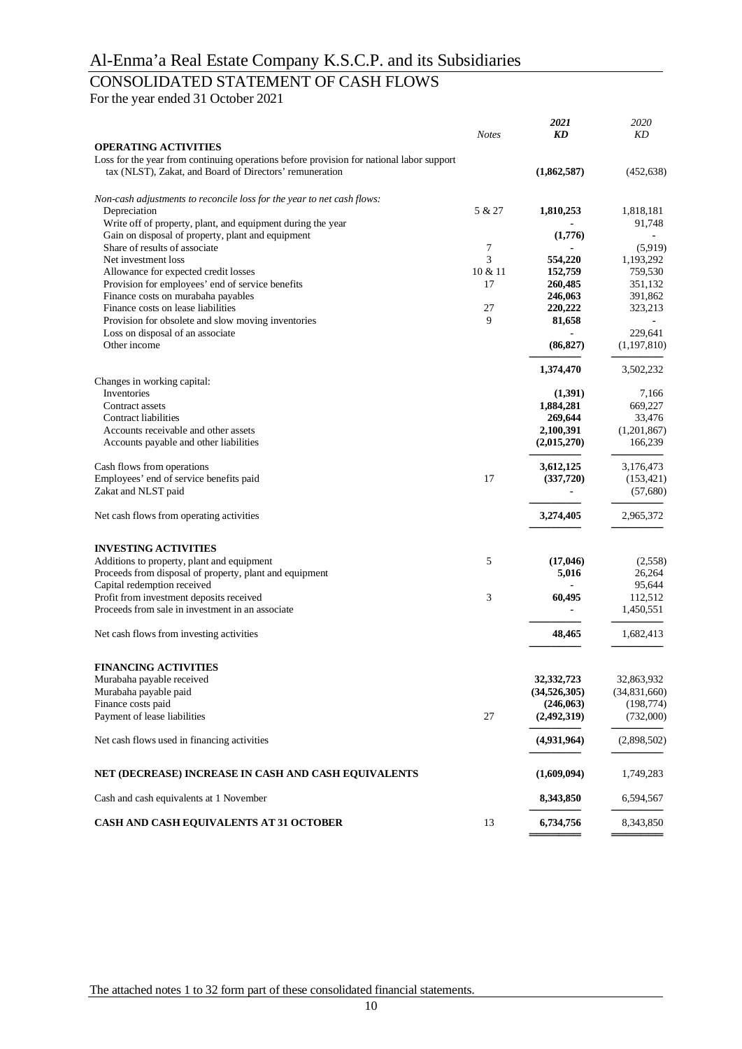# CONSOLIDATED STATEMENT OF CASH FLOWS

For the year ended 31 October 2021

|                                                                                          | <b>Notes</b> | 2021<br>KD        | 2020<br>KD       |
|------------------------------------------------------------------------------------------|--------------|-------------------|------------------|
| <b>OPERATING ACTIVITIES</b>                                                              |              |                   |                  |
| Loss for the year from continuing operations before provision for national labor support |              |                   |                  |
| tax (NLST), Zakat, and Board of Directors' remuneration                                  |              | (1,862,587)       | (452, 638)       |
| Non-cash adjustments to reconcile loss for the year to net cash flows:                   |              |                   |                  |
| Depreciation                                                                             | 5 & 27       | 1,810,253         | 1,818,181        |
| Write off of property, plant, and equipment during the year                              |              |                   | 91,748           |
| Gain on disposal of property, plant and equipment                                        |              | (1,776)           |                  |
| Share of results of associate                                                            | 7            |                   | (5,919)          |
| Net investment loss                                                                      | 3            | 554,220           | 1,193,292        |
| Allowance for expected credit losses                                                     | 10 & 11      | 152,759           | 759,530          |
| Provision for employees' end of service benefits                                         | 17           | 260,485           | 351,132          |
| Finance costs on murabaha payables<br>Finance costs on lease liabilities                 | 27           | 246,063           | 391,862          |
| Provision for obsolete and slow moving inventories                                       | 9            | 220,222<br>81,658 | 323,213          |
| Loss on disposal of an associate                                                         |              | $\blacksquare$    | 229,641          |
| Other income                                                                             |              | (86, 827)         | (1,197,810)      |
|                                                                                          |              |                   |                  |
|                                                                                          |              | 1,374,470         | 3,502,232        |
| Changes in working capital:<br>Inventories                                               |              | (1,391)           |                  |
| Contract assets                                                                          |              | 1,884,281         | 7,166<br>669,227 |
| Contract liabilities                                                                     |              | 269,644           | 33,476           |
| Accounts receivable and other assets                                                     |              | 2,100,391         | (1,201,867)      |
| Accounts payable and other liabilities                                                   |              | (2,015,270)       | 166,239          |
|                                                                                          |              |                   |                  |
| Cash flows from operations                                                               |              | 3,612,125         | 3,176,473        |
| Employees' end of service benefits paid                                                  | 17           | (337,720)         | (153, 421)       |
| Zakat and NLST paid                                                                      |              |                   | (57,680)         |
| Net cash flows from operating activities                                                 |              | 3,274,405         | 2,965,372        |
|                                                                                          |              |                   |                  |
| <b>INVESTING ACTIVITIES</b>                                                              |              |                   |                  |
| Additions to property, plant and equipment                                               | 5            | (17,046)          | (2,558)          |
| Proceeds from disposal of property, plant and equipment                                  |              | 5,016             | 26,264           |
| Capital redemption received                                                              |              |                   | 95,644           |
| Profit from investment deposits received                                                 | 3            | 60,495            | 112,512          |
| Proceeds from sale in investment in an associate                                         |              |                   | 1,450,551        |
| Net cash flows from investing activities                                                 |              | 48,465            | 1,682,413        |
|                                                                                          |              |                   |                  |
| <b>FINANCING ACTIVITIES</b>                                                              |              |                   |                  |
| Murabaha payable received                                                                |              | 32,332,723        | 32,863,932       |
| Murabaha payable paid                                                                    |              | (34,526,305)      | (34,831,660)     |
| Finance costs paid                                                                       |              | (246,063)         | (198, 774)       |
| Payment of lease liabilities                                                             | 27           | (2,492,319)       | (732,000)        |
| Net cash flows used in financing activities                                              |              | (4,931,964)       | (2,898,502)      |
| NET (DECREASE) INCREASE IN CASH AND CASH EQUIVALENTS                                     |              | (1,609,094)       | 1,749,283        |
| Cash and cash equivalents at 1 November                                                  |              | 8,343,850         | 6,594,567        |
| CASH AND CASH EQUIVALENTS AT 31 OCTOBER                                                  | 13           | 6,734,756         | 8,343,850        |
|                                                                                          |              |                   |                  |

The attached notes 1 to 32 form part of these consolidated financial statements.

**═══════** ═══════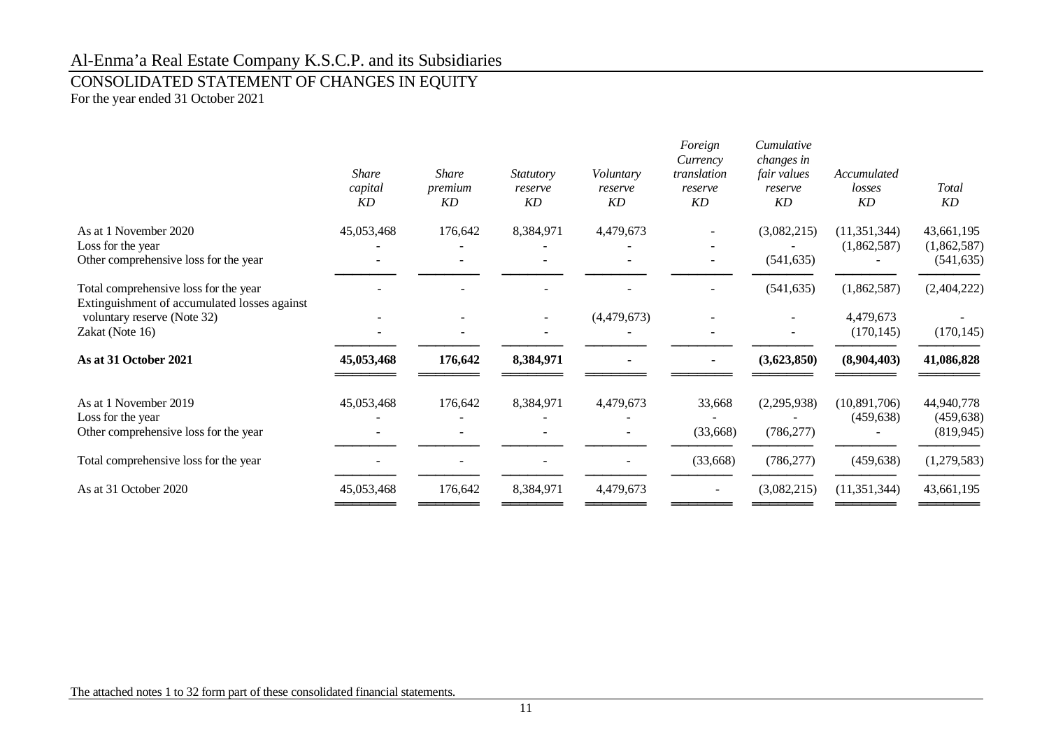# CONSOLIDATED STATEMENT OF CHANGES IN EQUITY

For the year ended 31 October 2021

|                                                                                       | <b>Share</b><br>capital<br>KD | <b>Share</b><br>premium<br>KD | <i>Statutory</i><br>reserve<br>KD | Voluntary<br>reserve<br>KD | Foreign<br>Currency<br>translation<br>reserve<br>KD | Cumulative<br>changes in<br>fair values<br>reserve<br>KD | Accumulated<br>losses<br>KD | <b>T</b> otal<br>KD       |
|---------------------------------------------------------------------------------------|-------------------------------|-------------------------------|-----------------------------------|----------------------------|-----------------------------------------------------|----------------------------------------------------------|-----------------------------|---------------------------|
| As at 1 November 2020                                                                 | 45,053,468                    | 176,642                       | 8,384,971                         | 4,479,673                  |                                                     | (3,082,215)                                              | (11, 351, 344)              | 43,661,195                |
| Loss for the year<br>Other comprehensive loss for the year                            |                               |                               |                                   |                            |                                                     | (541, 635)                                               | (1,862,587)                 | (1,862,587)<br>(541, 635) |
| Total comprehensive loss for the year<br>Extinguishment of accumulated losses against |                               |                               |                                   |                            |                                                     | (541, 635)                                               | (1,862,587)                 | (2,404,222)               |
| voluntary reserve (Note 32)<br>Zakat (Note 16)                                        |                               |                               |                                   | (4,479,673)                |                                                     |                                                          | 4,479,673<br>(170, 145)     | (170, 145)                |
| As at 31 October 2021                                                                 | 45,053,468                    | 176,642                       | 8,384,971                         |                            |                                                     | (3,623,850)                                              | (8,904,403)                 | 41,086,828                |
| As at 1 November 2019<br>Loss for the year                                            | 45,053,468                    | 176,642                       | 8,384,971                         | 4,479,673                  | 33,668                                              | (2,295,938)                                              | (10,891,706)<br>(459, 638)  | 44,940,778<br>(459, 638)  |
| Other comprehensive loss for the year                                                 |                               |                               |                                   |                            | (33,668)                                            | (786, 277)                                               |                             | (819, 945)                |
| Total comprehensive loss for the year                                                 |                               |                               |                                   |                            | (33,668)                                            | (786, 277)                                               | (459, 638)                  | (1,279,583)               |
| As at 31 October 2020                                                                 | 45,053,468                    | 176,642                       | 8,384,971                         | 4,479,673                  |                                                     | (3,082,215)                                              | (11, 351, 344)              | 43,661,195                |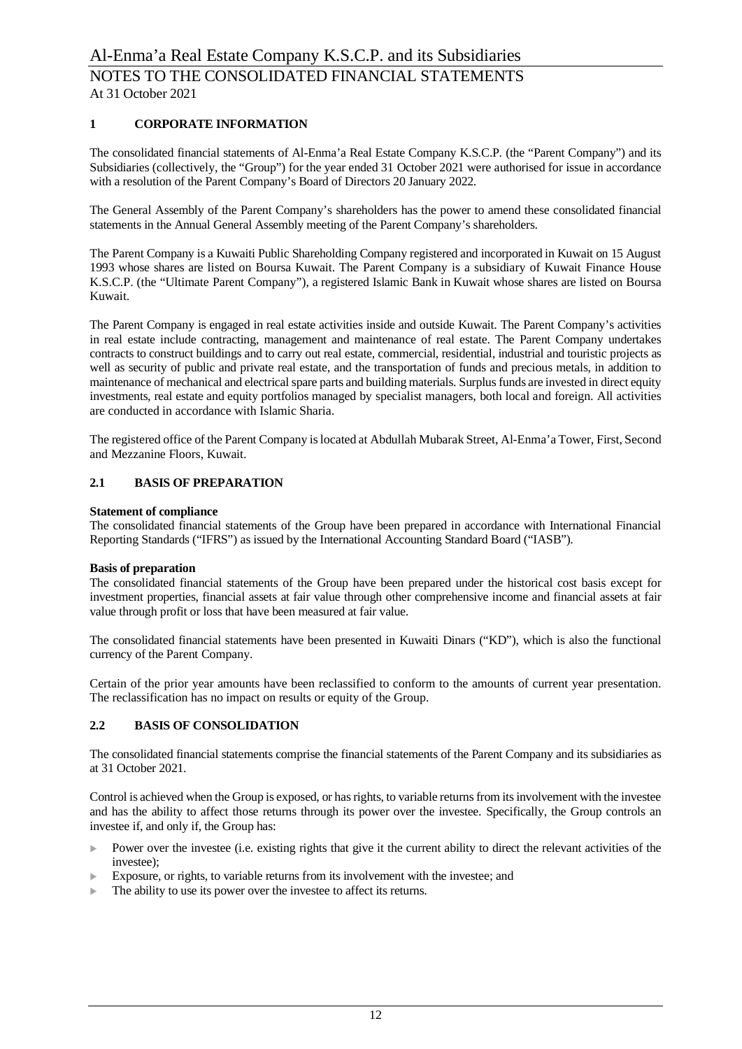# **1 CORPORATE INFORMATION**

The consolidated financial statements of Al-Enma'a Real Estate Company K.S.C.P. (the "Parent Company") and its Subsidiaries (collectively, the "Group") for the year ended 31 October 2021 were authorised for issue in accordance with a resolution of the Parent Company's Board of Directors 20 January 2022.

The General Assembly of the Parent Company's shareholders has the power to amend these consolidated financial statements in the Annual General Assembly meeting of the Parent Company's shareholders.

The Parent Company is a Kuwaiti Public Shareholding Company registered and incorporated in Kuwait on 15 August 1993 whose shares are listed on Boursa Kuwait. The Parent Company is a subsidiary of Kuwait Finance House K.S.C.P. (the "Ultimate Parent Company"), a registered Islamic Bank in Kuwait whose shares are listed on Boursa Kuwait.

The Parent Company is engaged in real estate activities inside and outside Kuwait. The Parent Company's activities in real estate include contracting, management and maintenance of real estate. The Parent Company undertakes contracts to construct buildings and to carry out real estate, commercial, residential, industrial and touristic projects as well as security of public and private real estate, and the transportation of funds and precious metals, in addition to maintenance of mechanical and electrical spare parts and building materials. Surplus funds are invested in direct equity investments, real estate and equity portfolios managed by specialist managers, both local and foreign. All activities are conducted in accordance with Islamic Sharia.

The registered office of the Parent Company is located at Abdullah Mubarak Street, Al-Enma'a Tower, First, Second and Mezzanine Floors, Kuwait.

#### **2.1 BASIS OF PREPARATION**

#### **Statement of compliance**

The consolidated financial statements of the Group have been prepared in accordance with International Financial Reporting Standards ("IFRS") as issued by the International Accounting Standard Board ("IASB").

#### **Basis of preparation**

The consolidated financial statements of the Group have been prepared under the historical cost basis except for investment properties, financial assets at fair value through other comprehensive income and financial assets at fair value through profit or loss that have been measured at fair value.

The consolidated financial statements have been presented in Kuwaiti Dinars ("KD"), which is also the functional currency of the Parent Company.

Certain of the prior year amounts have been reclassified to conform to the amounts of current year presentation. The reclassification has no impact on results or equity of the Group.

#### **2.2 BASIS OF CONSOLIDATION**

The consolidated financial statements comprise the financial statements of the Parent Company and its subsidiaries as at 31 October 2021.

Control is achieved when the Group is exposed, or has rights, to variable returns from its involvement with the investee and has the ability to affect those returns through its power over the investee. Specifically, the Group controls an investee if, and only if, the Group has:

- Power over the investee (i.e. existing rights that give it the current ability to direct the relevant activities of the investee);
- Exposure, or rights, to variable returns from its involvement with the investee; and
- $\blacktriangleright$  The ability to use its power over the investee to affect its returns.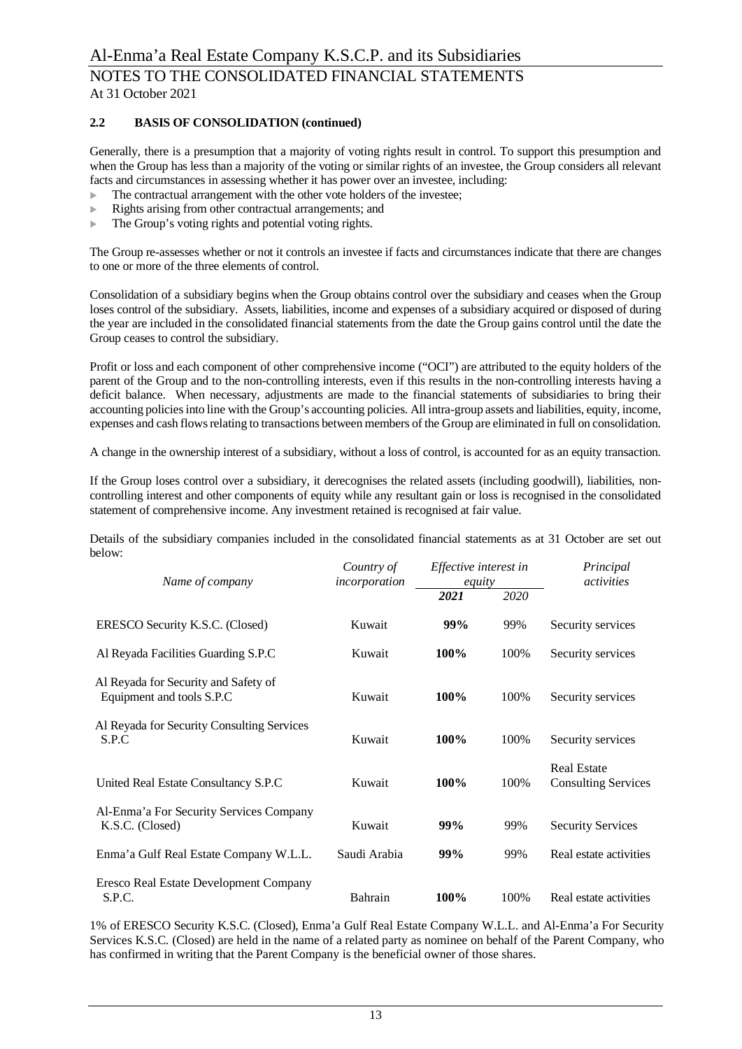### **2.2 BASIS OF CONSOLIDATION (continued)**

Generally, there is a presumption that a majority of voting rights result in control. To support this presumption and when the Group has less than a majority of the voting or similar rights of an investee, the Group considers all relevant facts and circumstances in assessing whether it has power over an investee, including:

- The contractual arrangement with the other vote holders of the investee;
- Rights arising from other contractual arrangements; and
- The Group's voting rights and potential voting rights.

The Group re-assesses whether or not it controls an investee if facts and circumstances indicate that there are changes to one or more of the three elements of control.

Consolidation of a subsidiary begins when the Group obtains control over the subsidiary and ceases when the Group loses control of the subsidiary. Assets, liabilities, income and expenses of a subsidiary acquired or disposed of during the year are included in the consolidated financial statements from the date the Group gains control until the date the Group ceases to control the subsidiary.

Profit or loss and each component of other comprehensive income ("OCI") are attributed to the equity holders of the parent of the Group and to the non-controlling interests, even if this results in the non-controlling interests having a deficit balance. When necessary, adjustments are made to the financial statements of subsidiaries to bring their accounting policies into line with the Group's accounting policies. All intra-group assets and liabilities, equity, income, expenses and cash flows relating to transactions between members of the Group are eliminated in full on consolidation.

A change in the ownership interest of a subsidiary, without a loss of control, is accounted for as an equity transaction.

If the Group loses control over a subsidiary, it derecognises the related assets (including goodwill), liabilities, noncontrolling interest and other components of equity while any resultant gain or loss is recognised in the consolidated statement of comprehensive income. Any investment retained is recognised at fair value.

Details of the subsidiary companies included in the consolidated financial statements as at 31 October are set out below:

| Name of company                                                   | Country of<br>incorporation | Effective interest in<br>equity |      | Principal<br>activities                          |  |
|-------------------------------------------------------------------|-----------------------------|---------------------------------|------|--------------------------------------------------|--|
|                                                                   |                             | 2021                            | 2020 |                                                  |  |
| ERESCO Security K.S.C. (Closed)                                   | Kuwait                      | 99%                             | 99%  | Security services                                |  |
| Al Reyada Facilities Guarding S.P.C                               | Kuwait                      | 100%                            | 100% | Security services                                |  |
| Al Reyada for Security and Safety of<br>Equipment and tools S.P.C | Kuwait                      | 100%                            | 100% | Security services                                |  |
| Al Reyada for Security Consulting Services<br>S.P.C               | Kuwait                      | 100%                            | 100% | Security services                                |  |
| United Real Estate Consultancy S.P.C                              | Kuwait                      | 100%                            | 100% | <b>Real Estate</b><br><b>Consulting Services</b> |  |
| Al-Enma'a For Security Services Company<br>K.S.C. (Closed)        | Kuwait                      | 99%                             | 99%  | <b>Security Services</b>                         |  |
| Enma'a Gulf Real Estate Company W.L.L.                            | Saudi Arabia                | 99%                             | 99%  | Real estate activities                           |  |
| Eresco Real Estate Development Company<br>S.P.C.                  | Bahrain                     | 100%                            | 100% | Real estate activities                           |  |

1% of ERESCO Security K.S.C. (Closed), Enma'a Gulf Real Estate Company W.L.L. and Al-Enma'a For Security Services K.S.C. (Closed) are held in the name of a related party as nominee on behalf of the Parent Company, who has confirmed in writing that the Parent Company is the beneficial owner of those shares.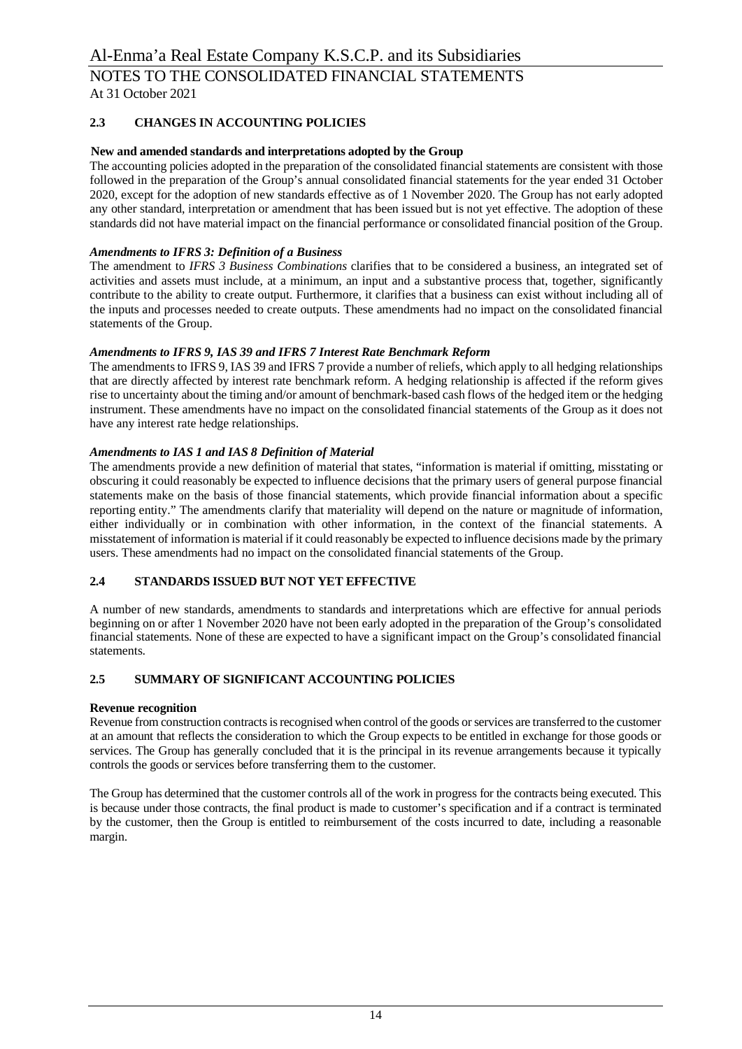# **2.3 CHANGES IN ACCOUNTING POLICIES**

### **New and amended standards and interpretations adopted by the Group**

The accounting policies adopted in the preparation of the consolidated financial statements are consistent with those followed in the preparation of the Group's annual consolidated financial statements for the year ended 31 October 2020, except for the adoption of new standards effective as of 1 November 2020. The Group has not early adopted any other standard, interpretation or amendment that has been issued but is not yet effective. The adoption of these standards did not have material impact on the financial performance or consolidated financial position of the Group.

### *Amendments to IFRS 3: Definition of a Business*

The amendment to *IFRS 3 Business Combinations* clarifies that to be considered a business, an integrated set of activities and assets must include, at a minimum, an input and a substantive process that, together, significantly contribute to the ability to create output. Furthermore, it clarifies that a business can exist without including all of the inputs and processes needed to create outputs. These amendments had no impact on the consolidated financial statements of the Group.

#### *Amendments to IFRS 9, IAS 39 and IFRS 7 Interest Rate Benchmark Reform*

The amendments to IFRS 9, IAS 39 and IFRS 7 provide a number of reliefs, which apply to all hedging relationships that are directly affected by interest rate benchmark reform. A hedging relationship is affected if the reform gives rise to uncertainty about the timing and/or amount of benchmark-based cash flows of the hedged item or the hedging instrument. These amendments have no impact on the consolidated financial statements of the Group as it does not have any interest rate hedge relationships.

#### *Amendments to IAS 1 and IAS 8 Definition of Material*

The amendments provide a new definition of material that states, "information is material if omitting, misstating or obscuring it could reasonably be expected to influence decisions that the primary users of general purpose financial statements make on the basis of those financial statements, which provide financial information about a specific reporting entity." The amendments clarify that materiality will depend on the nature or magnitude of information, either individually or in combination with other information, in the context of the financial statements. A misstatement of information is material if it could reasonably be expected to influence decisions made by the primary users. These amendments had no impact on the consolidated financial statements of the Group.

# **2.4 STANDARDS ISSUED BUT NOT YET EFFECTIVE**

A number of new standards, amendments to standards and interpretations which are effective for annual periods beginning on or after 1 November 2020 have not been early adopted in the preparation of the Group's consolidated financial statements. None of these are expected to have a significant impact on the Group's consolidated financial statements.

### **2.5 SUMMARY OF SIGNIFICANT ACCOUNTING POLICIES**

#### **Revenue recognition**

Revenue from construction contracts is recognised when control of the goods or services are transferred to the customer at an amount that reflects the consideration to which the Group expects to be entitled in exchange for those goods or services. The Group has generally concluded that it is the principal in its revenue arrangements because it typically controls the goods or services before transferring them to the customer.

The Group has determined that the customer controls all of the work in progress for the contracts being executed. This is because under those contracts, the final product is made to customer's specification and if a contract is terminated by the customer, then the Group is entitled to reimbursement of the costs incurred to date, including a reasonable margin.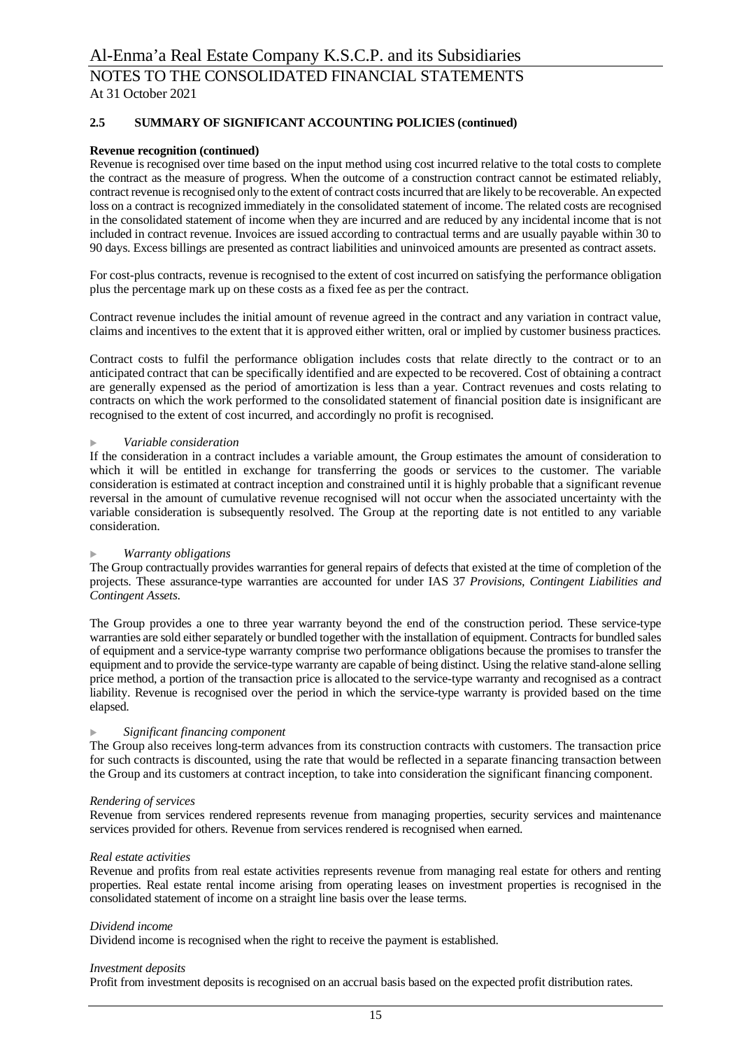### **2.5 SUMMARY OF SIGNIFICANT ACCOUNTING POLICIES (continued)**

#### **Revenue recognition (continued)**

Revenue is recognised over time based on the input method using cost incurred relative to the total costs to complete the contract as the measure of progress. When the outcome of a construction contract cannot be estimated reliably, contract revenue is recognised only to the extent of contract costs incurred that are likely to be recoverable. An expected loss on a contract is recognized immediately in the consolidated statement of income. The related costs are recognised in the consolidated statement of income when they are incurred and are reduced by any incidental income that is not included in contract revenue. Invoices are issued according to contractual terms and are usually payable within 30 to 90 days. Excess billings are presented as contract liabilities and uninvoiced amounts are presented as contract assets.

For cost-plus contracts, revenue is recognised to the extent of cost incurred on satisfying the performance obligation plus the percentage mark up on these costs as a fixed fee as per the contract.

Contract revenue includes the initial amount of revenue agreed in the contract and any variation in contract value, claims and incentives to the extent that it is approved either written, oral or implied by customer business practices.

Contract costs to fulfil the performance obligation includes costs that relate directly to the contract or to an anticipated contract that can be specifically identified and are expected to be recovered. Cost of obtaining a contract are generally expensed as the period of amortization is less than a year. Contract revenues and costs relating to contracts on which the work performed to the consolidated statement of financial position date is insignificant are recognised to the extent of cost incurred, and accordingly no profit is recognised.

#### <sup>u</sup> *Variable consideration*

If the consideration in a contract includes a variable amount, the Group estimates the amount of consideration to which it will be entitled in exchange for transferring the goods or services to the customer. The variable consideration is estimated at contract inception and constrained until it is highly probable that a significant revenue reversal in the amount of cumulative revenue recognised will not occur when the associated uncertainty with the variable consideration is subsequently resolved. The Group at the reporting date is not entitled to any variable consideration.

#### **Warranty obligations**

The Group contractually provides warranties for general repairs of defects that existed at the time of completion of the projects. These assurance-type warranties are accounted for under IAS 37 *Provisions, Contingent Liabilities and Contingent Assets*.

The Group provides a one to three year warranty beyond the end of the construction period. These service-type warranties are sold either separately or bundled together with the installation of equipment. Contracts for bundled sales of equipment and a service-type warranty comprise two performance obligations because the promises to transfer the equipment and to provide the service-type warranty are capable of being distinct. Using the relative stand-alone selling price method, a portion of the transaction price is allocated to the service-type warranty and recognised as a contract liability. Revenue is recognised over the period in which the service-type warranty is provided based on the time elapsed.

#### $Significant$  *financing component*

The Group also receives long-term advances from its construction contracts with customers. The transaction price for such contracts is discounted, using the rate that would be reflected in a separate financing transaction between the Group and its customers at contract inception, to take into consideration the significant financing component.

#### *Rendering of services*

Revenue from services rendered represents revenue from managing properties, security services and maintenance services provided for others. Revenue from services rendered is recognised when earned.

#### *Real estate activities*

Revenue and profits from real estate activities represents revenue from managing real estate for others and renting properties. Real estate rental income arising from operating leases on investment properties is recognised in the consolidated statement of income on a straight line basis over the lease terms.

#### *Dividend income*

Dividend income is recognised when the right to receive the payment is established.

#### *Investment deposits*

Profit from investment deposits is recognised on an accrual basis based on the expected profit distribution rates.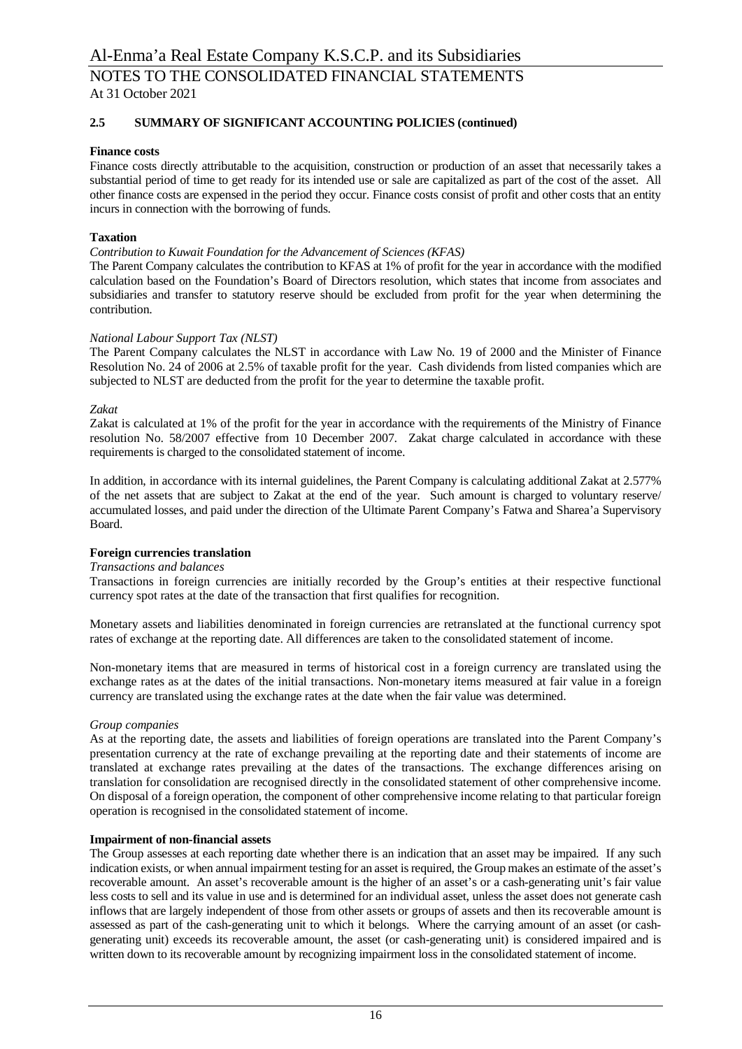# **2.5 SUMMARY OF SIGNIFICANT ACCOUNTING POLICIES (continued)**

#### **Finance costs**

Finance costs directly attributable to the acquisition, construction or production of an asset that necessarily takes a substantial period of time to get ready for its intended use or sale are capitalized as part of the cost of the asset. All other finance costs are expensed in the period they occur. Finance costs consist of profit and other costs that an entity incurs in connection with the borrowing of funds.

### **Taxation**

#### *Contribution to Kuwait Foundation for the Advancement of Sciences (KFAS)*

The Parent Company calculates the contribution to KFAS at 1% of profit for the year in accordance with the modified calculation based on the Foundation's Board of Directors resolution, which states that income from associates and subsidiaries and transfer to statutory reserve should be excluded from profit for the year when determining the contribution.

#### *National Labour Support Tax (NLST)*

The Parent Company calculates the NLST in accordance with Law No. 19 of 2000 and the Minister of Finance Resolution No. 24 of 2006 at 2.5% of taxable profit for the year. Cash dividends from listed companies which are subjected to NLST are deducted from the profit for the year to determine the taxable profit.

#### *Zakat*

Zakat is calculated at 1% of the profit for the year in accordance with the requirements of the Ministry of Finance resolution No. 58/2007 effective from 10 December 2007. Zakat charge calculated in accordance with these requirements is charged to the consolidated statement of income.

In addition, in accordance with its internal guidelines, the Parent Company is calculating additional Zakat at 2.577% of the net assets that are subject to Zakat at the end of the year. Such amount is charged to voluntary reserve/ accumulated losses, and paid under the direction of the Ultimate Parent Company's Fatwa and Sharea'a Supervisory Board.

#### **Foreign currencies translation**

#### *Transactions and balances*

Transactions in foreign currencies are initially recorded by the Group's entities at their respective functional currency spot rates at the date of the transaction that first qualifies for recognition.

Monetary assets and liabilities denominated in foreign currencies are retranslated at the functional currency spot rates of exchange at the reporting date. All differences are taken to the consolidated statement of income.

Non-monetary items that are measured in terms of historical cost in a foreign currency are translated using the exchange rates as at the dates of the initial transactions. Non-monetary items measured at fair value in a foreign currency are translated using the exchange rates at the date when the fair value was determined.

#### *Group companies*

As at the reporting date, the assets and liabilities of foreign operations are translated into the Parent Company's presentation currency at the rate of exchange prevailing at the reporting date and their statements of income are translated at exchange rates prevailing at the dates of the transactions. The exchange differences arising on translation for consolidation are recognised directly in the consolidated statement of other comprehensive income. On disposal of a foreign operation, the component of other comprehensive income relating to that particular foreign operation is recognised in the consolidated statement of income.

#### **Impairment of non-financial assets**

The Group assesses at each reporting date whether there is an indication that an asset may be impaired. If any such indication exists, or when annual impairment testing for an asset is required, the Group makes an estimate of the asset's recoverable amount. An asset's recoverable amount is the higher of an asset's or a cash-generating unit's fair value less costs to sell and its value in use and is determined for an individual asset, unless the asset does not generate cash inflows that are largely independent of those from other assets or groups of assets and then its recoverable amount is assessed as part of the cash-generating unit to which it belongs. Where the carrying amount of an asset (or cashgenerating unit) exceeds its recoverable amount, the asset (or cash-generating unit) is considered impaired and is written down to its recoverable amount by recognizing impairment loss in the consolidated statement of income.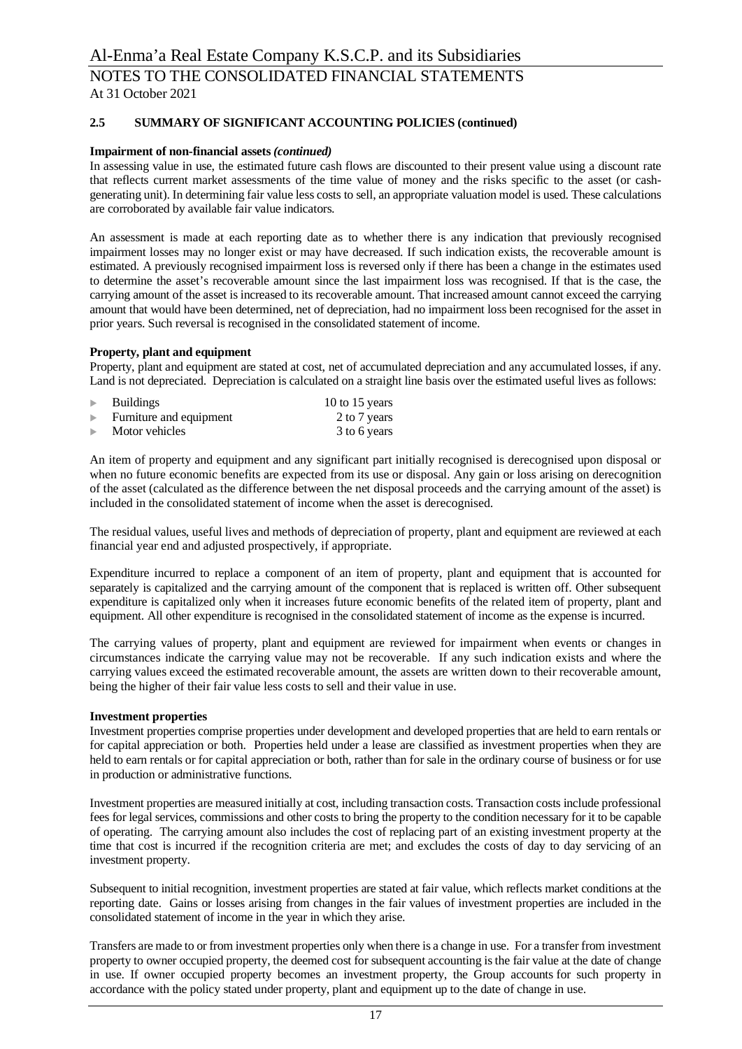### **2.5 SUMMARY OF SIGNIFICANT ACCOUNTING POLICIES (continued)**

#### **Impairment of non-financial assets** *(continued)*

In assessing value in use, the estimated future cash flows are discounted to their present value using a discount rate that reflects current market assessments of the time value of money and the risks specific to the asset (or cashgenerating unit). In determining fair value less costs to sell, an appropriate valuation model is used. These calculations are corroborated by available fair value indicators.

An assessment is made at each reporting date as to whether there is any indication that previously recognised impairment losses may no longer exist or may have decreased. If such indication exists, the recoverable amount is estimated. A previously recognised impairment loss is reversed only if there has been a change in the estimates used to determine the asset's recoverable amount since the last impairment loss was recognised. If that is the case, the carrying amount of the asset is increased to its recoverable amount. That increased amount cannot exceed the carrying amount that would have been determined, net of depreciation, had no impairment loss been recognised for the asset in prior years. Such reversal is recognised in the consolidated statement of income.

#### **Property, plant and equipment**

Property, plant and equipment are stated at cost, net of accumulated depreciation and any accumulated losses, if any. Land is not depreciated. Depreciation is calculated on a straight line basis over the estimated useful lives as follows:

| <b>Buildings</b>        | 10 to 15 years |
|-------------------------|----------------|
| Furniture and equipment | 2 to 7 years   |
| Motor vehicles          | 3 to 6 years   |

An item of property and equipment and any significant part initially recognised is derecognised upon disposal or when no future economic benefits are expected from its use or disposal. Any gain or loss arising on derecognition of the asset (calculated as the difference between the net disposal proceeds and the carrying amount of the asset) is included in the consolidated statement of income when the asset is derecognised.

The residual values, useful lives and methods of depreciation of property, plant and equipment are reviewed at each financial year end and adjusted prospectively, if appropriate.

Expenditure incurred to replace a component of an item of property, plant and equipment that is accounted for separately is capitalized and the carrying amount of the component that is replaced is written off. Other subsequent expenditure is capitalized only when it increases future economic benefits of the related item of property, plant and equipment. All other expenditure is recognised in the consolidated statement of income as the expense is incurred.

The carrying values of property, plant and equipment are reviewed for impairment when events or changes in circumstances indicate the carrying value may not be recoverable. If any such indication exists and where the carrying values exceed the estimated recoverable amount, the assets are written down to their recoverable amount, being the higher of their fair value less costs to sell and their value in use.

#### **Investment properties**

Investment properties comprise properties under development and developed properties that are held to earn rentals or for capital appreciation or both. Properties held under a lease are classified as investment properties when they are held to earn rentals or for capital appreciation or both, rather than for sale in the ordinary course of business or for use in production or administrative functions.

Investment properties are measured initially at cost, including transaction costs. Transaction costs include professional fees for legal services, commissions and other costs to bring the property to the condition necessary for it to be capable of operating. The carrying amount also includes the cost of replacing part of an existing investment property at the time that cost is incurred if the recognition criteria are met; and excludes the costs of day to day servicing of an investment property.

Subsequent to initial recognition, investment properties are stated at fair value, which reflects market conditions at the reporting date. Gains or losses arising from changes in the fair values of investment properties are included in the consolidated statement of income in the year in which they arise.

Transfers are made to or from investment properties only when there is a change in use. For a transfer from investment property to owner occupied property, the deemed cost for subsequent accounting is the fair value at the date of change in use. If owner occupied property becomes an investment property, the Group accounts for such property in accordance with the policy stated under property, plant and equipment up to the date of change in use.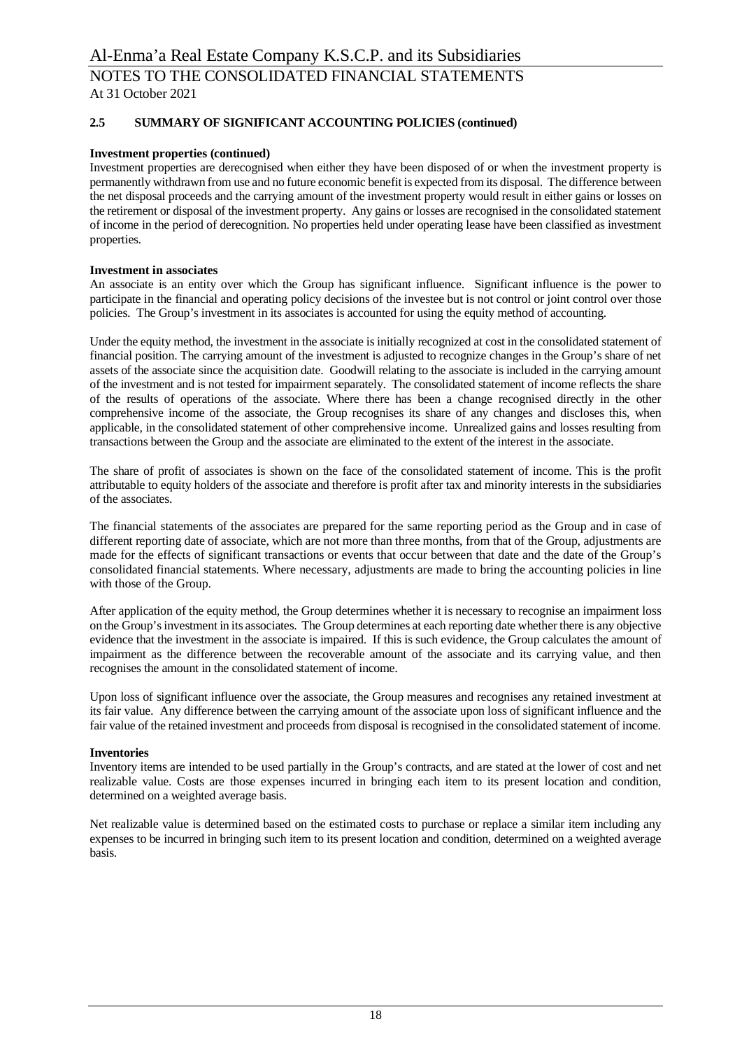# **2.5 SUMMARY OF SIGNIFICANT ACCOUNTING POLICIES (continued)**

### **Investment properties (continued)**

Investment properties are derecognised when either they have been disposed of or when the investment property is permanently withdrawn from use and no future economic benefit is expected from its disposal. The difference between the net disposal proceeds and the carrying amount of the investment property would result in either gains or losses on the retirement or disposal of the investment property. Any gains or losses are recognised in the consolidated statement of income in the period of derecognition. No properties held under operating lease have been classified as investment properties.

#### **Investment in associates**

An associate is an entity over which the Group has significant influence. Significant influence is the power to participate in the financial and operating policy decisions of the investee but is not control or joint control over those policies. The Group's investment in its associates is accounted for using the equity method of accounting.

Under the equity method, the investment in the associate is initially recognized at cost in the consolidated statement of financial position. The carrying amount of the investment is adjusted to recognize changes in the Group's share of net assets of the associate since the acquisition date. Goodwill relating to the associate is included in the carrying amount of the investment and is not tested for impairment separately. The consolidated statement of income reflects the share of the results of operations of the associate. Where there has been a change recognised directly in the other comprehensive income of the associate, the Group recognises its share of any changes and discloses this, when applicable, in the consolidated statement of other comprehensive income. Unrealized gains and losses resulting from transactions between the Group and the associate are eliminated to the extent of the interest in the associate.

The share of profit of associates is shown on the face of the consolidated statement of income. This is the profit attributable to equity holders of the associate and therefore is profit after tax and minority interests in the subsidiaries of the associates.

The financial statements of the associates are prepared for the same reporting period as the Group and in case of different reporting date of associate, which are not more than three months, from that of the Group, adjustments are made for the effects of significant transactions or events that occur between that date and the date of the Group's consolidated financial statements. Where necessary, adjustments are made to bring the accounting policies in line with those of the Group.

After application of the equity method, the Group determines whether it is necessary to recognise an impairment loss on the Group's investment in its associates. The Group determines at each reporting date whether there is any objective evidence that the investment in the associate is impaired. If this is such evidence, the Group calculates the amount of impairment as the difference between the recoverable amount of the associate and its carrying value, and then recognises the amount in the consolidated statement of income.

Upon loss of significant influence over the associate, the Group measures and recognises any retained investment at its fair value. Any difference between the carrying amount of the associate upon loss of significant influence and the fair value of the retained investment and proceeds from disposal is recognised in the consolidated statement of income.

#### **Inventories**

Inventory items are intended to be used partially in the Group's contracts, and are stated at the lower of cost and net realizable value. Costs are those expenses incurred in bringing each item to its present location and condition, determined on a weighted average basis.

Net realizable value is determined based on the estimated costs to purchase or replace a similar item including any expenses to be incurred in bringing such item to its present location and condition, determined on a weighted average basis.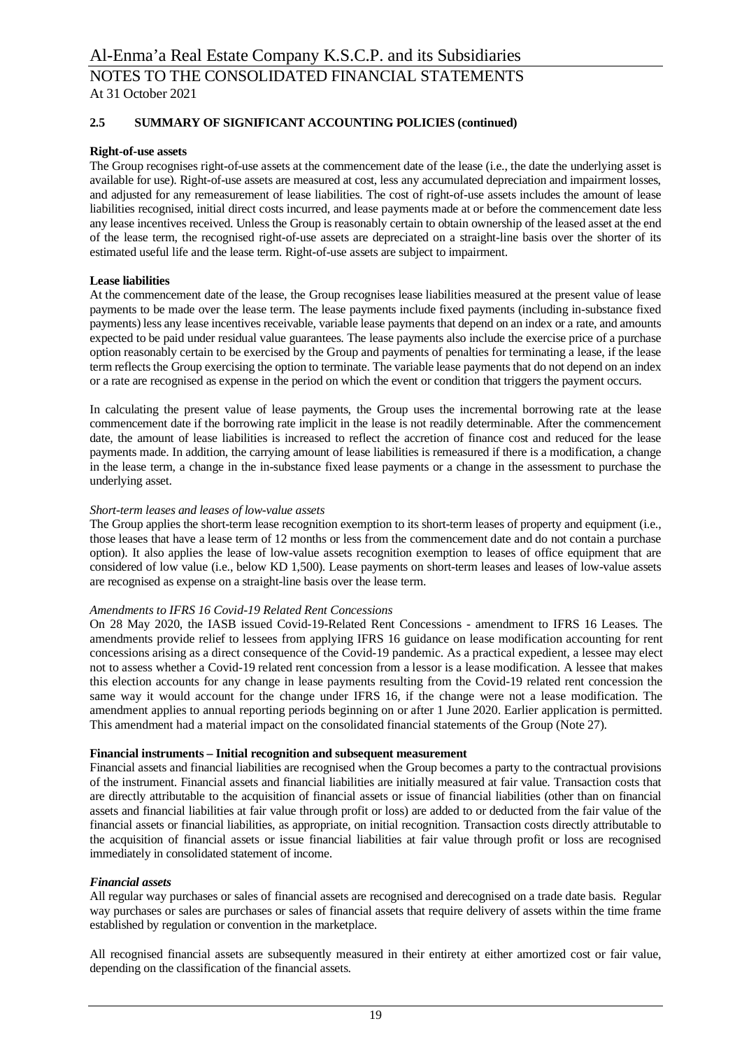# **2.5 SUMMARY OF SIGNIFICANT ACCOUNTING POLICIES (continued)**

#### **Right-of-use assets**

The Group recognises right-of-use assets at the commencement date of the lease (i.e., the date the underlying asset is available for use). Right-of-use assets are measured at cost, less any accumulated depreciation and impairment losses, and adjusted for any remeasurement of lease liabilities. The cost of right-of-use assets includes the amount of lease liabilities recognised, initial direct costs incurred, and lease payments made at or before the commencement date less any lease incentives received. Unless the Group is reasonably certain to obtain ownership of the leased asset at the end of the lease term, the recognised right-of-use assets are depreciated on a straight-line basis over the shorter of its estimated useful life and the lease term. Right-of-use assets are subject to impairment.

#### **Lease liabilities**

At the commencement date of the lease, the Group recognises lease liabilities measured at the present value of lease payments to be made over the lease term. The lease payments include fixed payments (including in-substance fixed payments) less any lease incentives receivable, variable lease payments that depend on an index or a rate, and amounts expected to be paid under residual value guarantees. The lease payments also include the exercise price of a purchase option reasonably certain to be exercised by the Group and payments of penalties for terminating a lease, if the lease term reflects the Group exercising the option to terminate. The variable lease payments that do not depend on an index or a rate are recognised as expense in the period on which the event or condition that triggers the payment occurs.

In calculating the present value of lease payments, the Group uses the incremental borrowing rate at the lease commencement date if the borrowing rate implicit in the lease is not readily determinable. After the commencement date, the amount of lease liabilities is increased to reflect the accretion of finance cost and reduced for the lease payments made. In addition, the carrying amount of lease liabilities is remeasured if there is a modification, a change in the lease term, a change in the in-substance fixed lease payments or a change in the assessment to purchase the underlying asset.

#### *Short-term leases and leases of low-value assets*

The Group applies the short-term lease recognition exemption to its short-term leases of property and equipment (i.e., those leases that have a lease term of 12 months or less from the commencement date and do not contain a purchase option). It also applies the lease of low-value assets recognition exemption to leases of office equipment that are considered of low value (i.e., below KD 1,500). Lease payments on short-term leases and leases of low-value assets are recognised as expense on a straight-line basis over the lease term.

#### *Amendments to IFRS 16 Covid-19 Related Rent Concessions*

On 28 May 2020, the IASB issued Covid-19-Related Rent Concessions - amendment to IFRS 16 Leases. The amendments provide relief to lessees from applying IFRS 16 guidance on lease modification accounting for rent concessions arising as a direct consequence of the Covid-19 pandemic. As a practical expedient, a lessee may elect not to assess whether a Covid-19 related rent concession from a lessor is a lease modification. A lessee that makes this election accounts for any change in lease payments resulting from the Covid-19 related rent concession the same way it would account for the change under IFRS 16, if the change were not a lease modification. The amendment applies to annual reporting periods beginning on or after 1 June 2020. Earlier application is permitted. This amendment had a material impact on the consolidated financial statements of the Group (Note 27).

#### **Financial instruments – Initial recognition and subsequent measurement**

Financial assets and financial liabilities are recognised when the Group becomes a party to the contractual provisions of the instrument. Financial assets and financial liabilities are initially measured at fair value. Transaction costs that are directly attributable to the acquisition of financial assets or issue of financial liabilities (other than on financial assets and financial liabilities at fair value through profit or loss) are added to or deducted from the fair value of the financial assets or financial liabilities, as appropriate, on initial recognition. Transaction costs directly attributable to the acquisition of financial assets or issue financial liabilities at fair value through profit or loss are recognised immediately in consolidated statement of income.

#### *Financial assets*

All regular way purchases or sales of financial assets are recognised and derecognised on a trade date basis. Regular way purchases or sales are purchases or sales of financial assets that require delivery of assets within the time frame established by regulation or convention in the marketplace.

All recognised financial assets are subsequently measured in their entirety at either amortized cost or fair value, depending on the classification of the financial assets.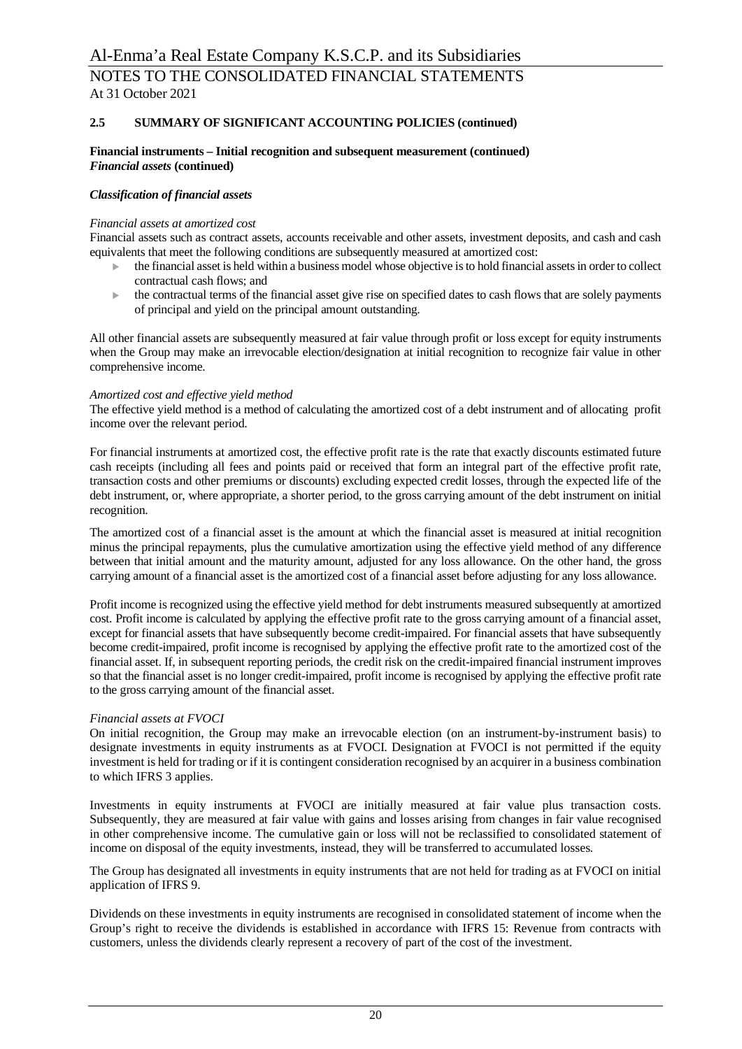### **2.5 SUMMARY OF SIGNIFICANT ACCOUNTING POLICIES (continued)**

#### **Financial instruments – Initial recognition and subsequent measurement (continued)** *Financial assets* **(continued)**

#### *Classification of financial assets*

#### *Financial assets at amortized cost*

Financial assets such as contract assets, accounts receivable and other assets, investment deposits, and cash and cash equivalents that meet the following conditions are subsequently measured at amortized cost:

- <sup>u</sup> the financial asset is held within a business model whose objective is to hold financial assets in order to collect contractual cash flows; and
- $\blacktriangleright$  the contractual terms of the financial asset give rise on specified dates to cash flows that are solely payments of principal and yield on the principal amount outstanding.

All other financial assets are subsequently measured at fair value through profit or loss except for equity instruments when the Group may make an irrevocable election/designation at initial recognition to recognize fair value in other comprehensive income.

#### *Amortized cost and effective yield method*

The effective yield method is a method of calculating the amortized cost of a debt instrument and of allocating profit income over the relevant period.

For financial instruments at amortized cost, the effective profit rate is the rate that exactly discounts estimated future cash receipts (including all fees and points paid or received that form an integral part of the effective profit rate, transaction costs and other premiums or discounts) excluding expected credit losses, through the expected life of the debt instrument, or, where appropriate, a shorter period, to the gross carrying amount of the debt instrument on initial recognition.

The amortized cost of a financial asset is the amount at which the financial asset is measured at initial recognition minus the principal repayments, plus the cumulative amortization using the effective yield method of any difference between that initial amount and the maturity amount, adjusted for any loss allowance. On the other hand, the gross carrying amount of a financial asset is the amortized cost of a financial asset before adjusting for any loss allowance.

Profit income is recognized using the effective yield method for debt instruments measured subsequently at amortized cost. Profit income is calculated by applying the effective profit rate to the gross carrying amount of a financial asset, except for financial assets that have subsequently become credit-impaired. For financial assets that have subsequently become credit-impaired, profit income is recognised by applying the effective profit rate to the amortized cost of the financial asset. If, in subsequent reporting periods, the credit risk on the credit-impaired financial instrument improves so that the financial asset is no longer credit-impaired, profit income is recognised by applying the effective profit rate to the gross carrying amount of the financial asset.

#### *Financial assets at FVOCI*

On initial recognition, the Group may make an irrevocable election (on an instrument-by-instrument basis) to designate investments in equity instruments as at FVOCI. Designation at FVOCI is not permitted if the equity investment is held for trading or if it is contingent consideration recognised by an acquirer in a business combination to which IFRS 3 applies.

Investments in equity instruments at FVOCI are initially measured at fair value plus transaction costs. Subsequently, they are measured at fair value with gains and losses arising from changes in fair value recognised in other comprehensive income. The cumulative gain or loss will not be reclassified to consolidated statement of income on disposal of the equity investments, instead, they will be transferred to accumulated losses.

The Group has designated all investments in equity instruments that are not held for trading as at FVOCI on initial application of IFRS 9.

Dividends on these investments in equity instruments are recognised in consolidated statement of income when the Group's right to receive the dividends is established in accordance with IFRS 15: Revenue from contracts with customers, unless the dividends clearly represent a recovery of part of the cost of the investment.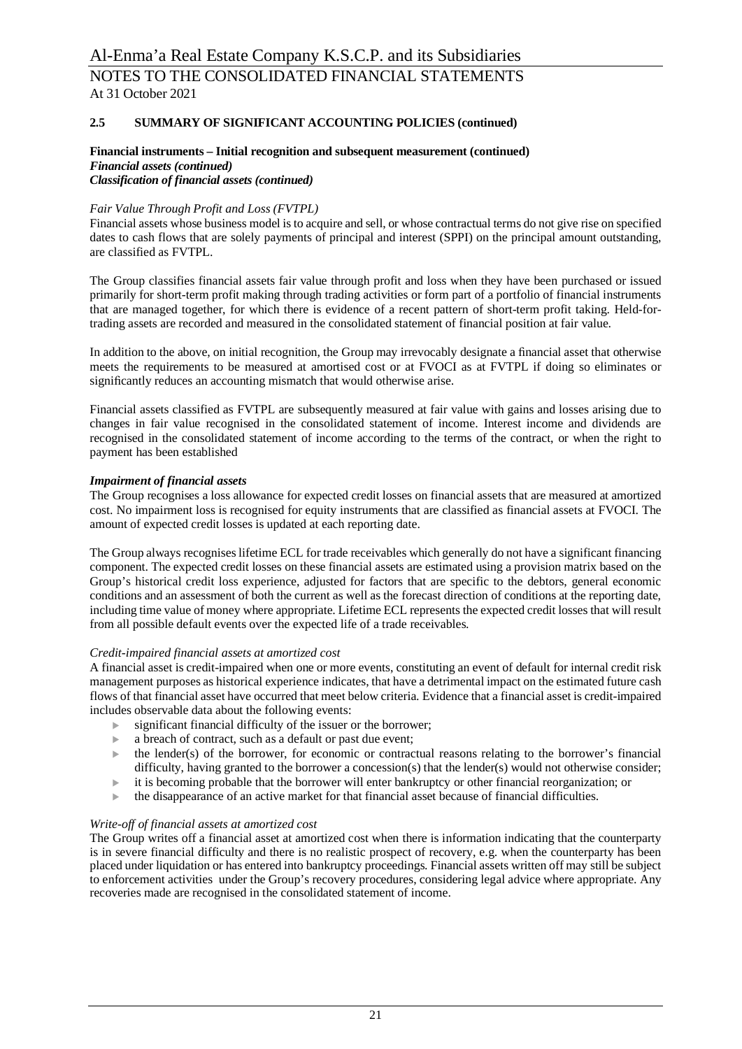### **2.5 SUMMARY OF SIGNIFICANT ACCOUNTING POLICIES (continued)**

#### **Financial instruments – Initial recognition and subsequent measurement (continued)** *Financial assets (continued) Classification of financial assets (continued)*

# *Fair Value Through Profit and Loss (FVTPL)*

Financial assets whose business model is to acquire and sell, or whose contractual terms do not give rise on specified dates to cash flows that are solely payments of principal and interest (SPPI) on the principal amount outstanding, are classified as FVTPL.

The Group classifies financial assets fair value through profit and loss when they have been purchased or issued primarily for short-term profit making through trading activities or form part of a portfolio of financial instruments that are managed together, for which there is evidence of a recent pattern of short-term profit taking. Held-fortrading assets are recorded and measured in the consolidated statement of financial position at fair value.

In addition to the above, on initial recognition, the Group may irrevocably designate a financial asset that otherwise meets the requirements to be measured at amortised cost or at FVOCI as at FVTPL if doing so eliminates or significantly reduces an accounting mismatch that would otherwise arise.

Financial assets classified as FVTPL are subsequently measured at fair value with gains and losses arising due to changes in fair value recognised in the consolidated statement of income. Interest income and dividends are recognised in the consolidated statement of income according to the terms of the contract, or when the right to payment has been established

#### *Impairment of financial assets*

The Group recognises a loss allowance for expected credit losses on financial assets that are measured at amortized cost. No impairment loss is recognised for equity instruments that are classified as financial assets at FVOCI. The amount of expected credit losses is updated at each reporting date.

The Group always recognises lifetime ECL for trade receivables which generally do not have a significant financing component. The expected credit losses on these financial assets are estimated using a provision matrix based on the Group's historical credit loss experience, adjusted for factors that are specific to the debtors, general economic conditions and an assessment of both the current as well as the forecast direction of conditions at the reporting date, including time value of money where appropriate. Lifetime ECL represents the expected credit losses that will result from all possible default events over the expected life of a trade receivables.

#### *Credit-impaired financial assets at amortized cost*

A financial asset is credit-impaired when one or more events, constituting an event of default for internal credit risk management purposes as historical experience indicates, that have a detrimental impact on the estimated future cash flows of that financial asset have occurred that meet below criteria. Evidence that a financial asset is credit-impaired includes observable data about the following events:

- $\blacktriangleright$  significant financial difficulty of the issuer or the borrower;
- 
- a breach of contract, such as a default or past due event;<br>
the lender(s) of the borrower, for economic or contract the lender(s) of the borrower, for economic or contractual reasons relating to the borrower's financial difficulty, having granted to the borrower a concession(s) that the lender(s) would not otherwise consider;
- $\blacktriangleright$  it is becoming probable that the borrower will enter bankruptcy or other financial reorganization; or
- $\blacktriangleright$  the disappearance of an active market for that financial asset because of financial difficulties.

#### *Write-off of financial assets at amortized cost*

The Group writes off a financial asset at amortized cost when there is information indicating that the counterparty is in severe financial difficulty and there is no realistic prospect of recovery, e.g. when the counterparty has been placed under liquidation or has entered into bankruptcy proceedings. Financial assets written off may still be subject to enforcement activities under the Group's recovery procedures, considering legal advice where appropriate. Any recoveries made are recognised in the consolidated statement of income.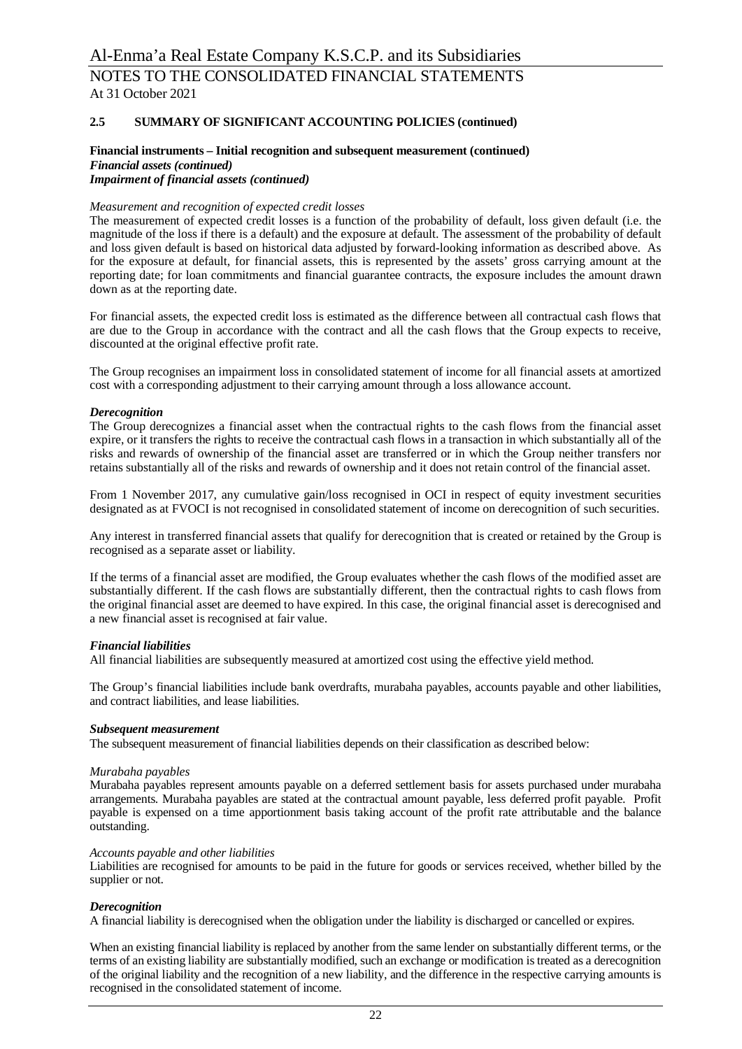### **2.5 SUMMARY OF SIGNIFICANT ACCOUNTING POLICIES (continued)**

#### **Financial instruments – Initial recognition and subsequent measurement (continued)** *Financial assets (continued) Impairment of financial assets (continued)*

# *Measurement and recognition of expected credit losses*

The measurement of expected credit losses is a function of the probability of default, loss given default (i.e. the magnitude of the loss if there is a default) and the exposure at default. The assessment of the probability of default and loss given default is based on historical data adjusted by forward-looking information as described above. As for the exposure at default, for financial assets, this is represented by the assets' gross carrying amount at the reporting date; for loan commitments and financial guarantee contracts, the exposure includes the amount drawn down as at the reporting date.

For financial assets, the expected credit loss is estimated as the difference between all contractual cash flows that are due to the Group in accordance with the contract and all the cash flows that the Group expects to receive, discounted at the original effective profit rate.

The Group recognises an impairment loss in consolidated statement of income for all financial assets at amortized cost with a corresponding adjustment to their carrying amount through a loss allowance account.

#### *Derecognition*

The Group derecognizes a financial asset when the contractual rights to the cash flows from the financial asset expire, or it transfers the rights to receive the contractual cash flows in a transaction in which substantially all of the risks and rewards of ownership of the financial asset are transferred or in which the Group neither transfers nor retains substantially all of the risks and rewards of ownership and it does not retain control of the financial asset.

From 1 November 2017, any cumulative gain/loss recognised in OCI in respect of equity investment securities designated as at FVOCI is not recognised in consolidated statement of income on derecognition of such securities.

Any interest in transferred financial assets that qualify for derecognition that is created or retained by the Group is recognised as a separate asset or liability.

If the terms of a financial asset are modified, the Group evaluates whether the cash flows of the modified asset are substantially different. If the cash flows are substantially different, then the contractual rights to cash flows from the original financial asset are deemed to have expired. In this case, the original financial asset is derecognised and a new financial asset is recognised at fair value.

#### *Financial liabilities*

All financial liabilities are subsequently measured at amortized cost using the effective yield method.

The Group's financial liabilities include bank overdrafts, murabaha payables, accounts payable and other liabilities, and contract liabilities, and lease liabilities.

#### *Subsequent measurement*

The subsequent measurement of financial liabilities depends on their classification as described below:

#### *Murabaha payables*

Murabaha payables represent amounts payable on a deferred settlement basis for assets purchased under murabaha arrangements. Murabaha payables are stated at the contractual amount payable, less deferred profit payable. Profit payable is expensed on a time apportionment basis taking account of the profit rate attributable and the balance outstanding.

#### *Accounts payable and other liabilities*

Liabilities are recognised for amounts to be paid in the future for goods or services received, whether billed by the supplier or not.

#### *Derecognition*

A financial liability is derecognised when the obligation under the liability is discharged or cancelled or expires.

When an existing financial liability is replaced by another from the same lender on substantially different terms, or the terms of an existing liability are substantially modified, such an exchange or modification is treated as a derecognition of the original liability and the recognition of a new liability, and the difference in the respective carrying amounts is recognised in the consolidated statement of income.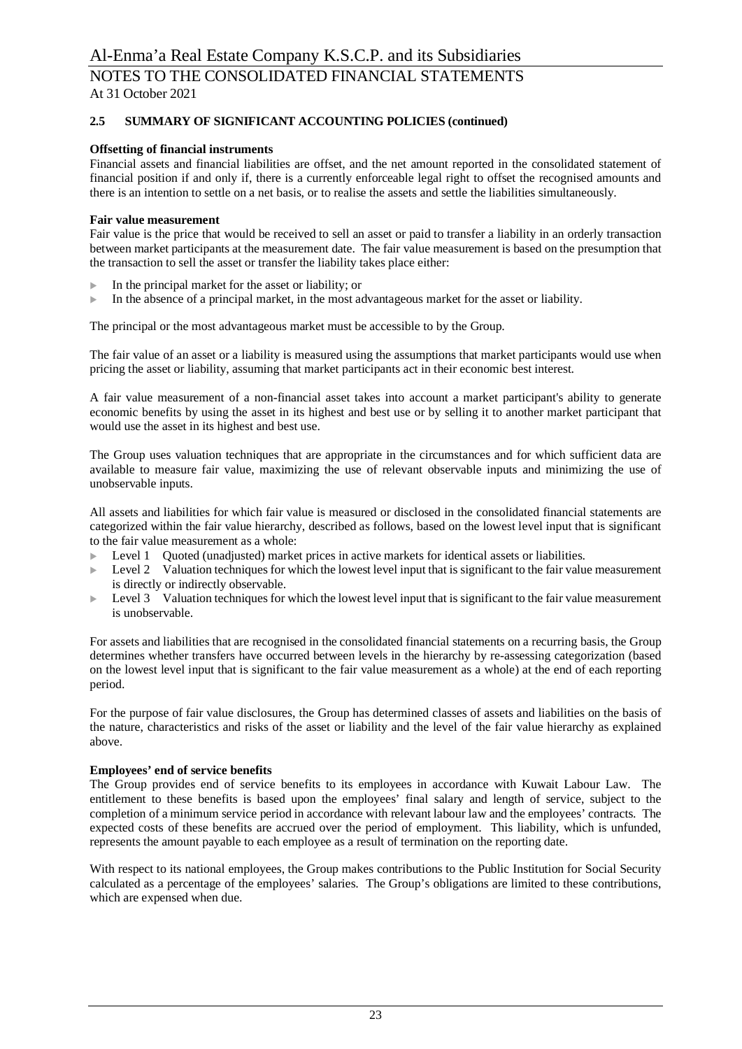# **2.5 SUMMARY OF SIGNIFICANT ACCOUNTING POLICIES (continued)**

#### **Offsetting of financial instruments**

Financial assets and financial liabilities are offset, and the net amount reported in the consolidated statement of financial position if and only if, there is a currently enforceable legal right to offset the recognised amounts and there is an intention to settle on a net basis, or to realise the assets and settle the liabilities simultaneously.

#### **Fair value measurement**

Fair value is the price that would be received to sell an asset or paid to transfer a liability in an orderly transaction between market participants at the measurement date. The fair value measurement is based on the presumption that the transaction to sell the asset or transfer the liability takes place either:

- $\blacktriangleright$  In the principal market for the asset or liability; or
- $\blacktriangleright$  In the absence of a principal market, in the most advantageous market for the asset or liability.

The principal or the most advantageous market must be accessible to by the Group.

The fair value of an asset or a liability is measured using the assumptions that market participants would use when pricing the asset or liability, assuming that market participants act in their economic best interest.

A fair value measurement of a non-financial asset takes into account a market participant's ability to generate economic benefits by using the asset in its highest and best use or by selling it to another market participant that would use the asset in its highest and best use.

The Group uses valuation techniques that are appropriate in the circumstances and for which sufficient data are available to measure fair value, maximizing the use of relevant observable inputs and minimizing the use of unobservable inputs.

All assets and liabilities for which fair value is measured or disclosed in the consolidated financial statements are categorized within the fair value hierarchy, described as follows, based on the lowest level input that is significant to the fair value measurement as a whole:

- Level 1 Ouoted (unadjusted) market prices in active markets for identical assets or liabilities.
- $\blacktriangleright$  Level 2 Valuation techniques for which the lowest level input that is significant to the fair value measurement is directly or indirectly observable.
- Level 3 Valuation techniques for which the lowest level input that is significant to the fair value measurement is unobservable.

For assets and liabilities that are recognised in the consolidated financial statements on a recurring basis, the Group determines whether transfers have occurred between levels in the hierarchy by re-assessing categorization (based on the lowest level input that is significant to the fair value measurement as a whole) at the end of each reporting period.

For the purpose of fair value disclosures, the Group has determined classes of assets and liabilities on the basis of the nature, characteristics and risks of the asset or liability and the level of the fair value hierarchy as explained above.

#### **Employees' end of service benefits**

The Group provides end of service benefits to its employees in accordance with Kuwait Labour Law. The entitlement to these benefits is based upon the employees' final salary and length of service, subject to the completion of a minimum service period in accordance with relevant labour law and the employees' contracts. The expected costs of these benefits are accrued over the period of employment. This liability, which is unfunded, represents the amount payable to each employee as a result of termination on the reporting date.

With respect to its national employees, the Group makes contributions to the Public Institution for Social Security calculated as a percentage of the employees' salaries. The Group's obligations are limited to these contributions, which are expensed when due.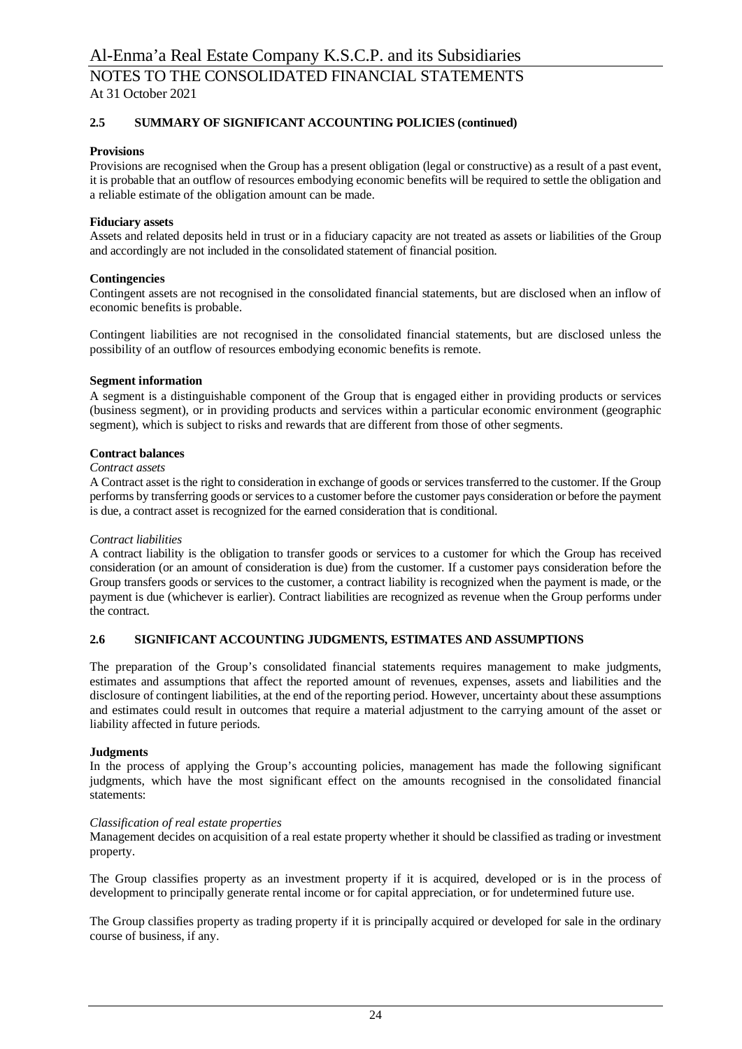# **2.5 SUMMARY OF SIGNIFICANT ACCOUNTING POLICIES (continued)**

### **Provisions**

Provisions are recognised when the Group has a present obligation (legal or constructive) as a result of a past event, it is probable that an outflow of resources embodying economic benefits will be required to settle the obligation and a reliable estimate of the obligation amount can be made.

#### **Fiduciary assets**

Assets and related deposits held in trust or in a fiduciary capacity are not treated as assets or liabilities of the Group and accordingly are not included in the consolidated statement of financial position.

#### **Contingencies**

Contingent assets are not recognised in the consolidated financial statements, but are disclosed when an inflow of economic benefits is probable.

Contingent liabilities are not recognised in the consolidated financial statements, but are disclosed unless the possibility of an outflow of resources embodying economic benefits is remote.

#### **Segment information**

A segment is a distinguishable component of the Group that is engaged either in providing products or services (business segment), or in providing products and services within a particular economic environment (geographic segment), which is subject to risks and rewards that are different from those of other segments.

#### **Contract balances**

#### *Contract assets*

A Contract asset is the right to consideration in exchange of goods or services transferred to the customer. If the Group performs by transferring goods or services to a customer before the customer pays consideration or before the payment is due, a contract asset is recognized for the earned consideration that is conditional.

#### *Contract liabilities*

A contract liability is the obligation to transfer goods or services to a customer for which the Group has received consideration (or an amount of consideration is due) from the customer. If a customer pays consideration before the Group transfers goods or services to the customer, a contract liability is recognized when the payment is made, or the payment is due (whichever is earlier). Contract liabilities are recognized as revenue when the Group performs under the contract.

#### **2.6 SIGNIFICANT ACCOUNTING JUDGMENTS, ESTIMATES AND ASSUMPTIONS**

The preparation of the Group's consolidated financial statements requires management to make judgments, estimates and assumptions that affect the reported amount of revenues, expenses, assets and liabilities and the disclosure of contingent liabilities, at the end of the reporting period. However, uncertainty about these assumptions and estimates could result in outcomes that require a material adjustment to the carrying amount of the asset or liability affected in future periods.

#### **Judgments**

In the process of applying the Group's accounting policies, management has made the following significant judgments, which have the most significant effect on the amounts recognised in the consolidated financial statements:

#### *Classification of real estate properties*

Management decides on acquisition of a real estate property whether it should be classified as trading or investment property.

The Group classifies property as an investment property if it is acquired, developed or is in the process of development to principally generate rental income or for capital appreciation, or for undetermined future use.

The Group classifies property as trading property if it is principally acquired or developed for sale in the ordinary course of business, if any.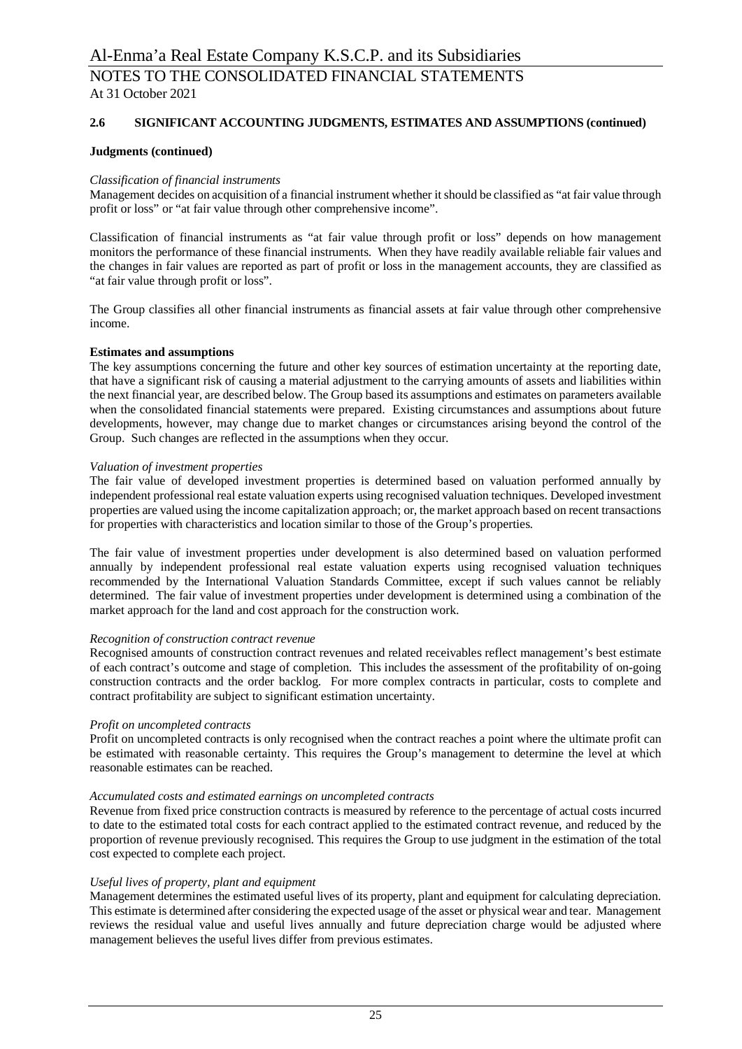### **2.6 SIGNIFICANT ACCOUNTING JUDGMENTS, ESTIMATES AND ASSUMPTIONS (continued)**

#### **Judgments (continued)**

#### *Classification of financial instruments*

Management decides on acquisition of a financial instrument whether it should be classified as "at fair value through profit or loss" or "at fair value through other comprehensive income".

Classification of financial instruments as "at fair value through profit or loss" depends on how management monitors the performance of these financial instruments. When they have readily available reliable fair values and the changes in fair values are reported as part of profit or loss in the management accounts, they are classified as "at fair value through profit or loss".

The Group classifies all other financial instruments as financial assets at fair value through other comprehensive income.

#### **Estimates and assumptions**

The key assumptions concerning the future and other key sources of estimation uncertainty at the reporting date, that have a significant risk of causing a material adjustment to the carrying amounts of assets and liabilities within the next financial year, are described below. The Group based its assumptions and estimates on parameters available when the consolidated financial statements were prepared. Existing circumstances and assumptions about future developments, however, may change due to market changes or circumstances arising beyond the control of the Group. Such changes are reflected in the assumptions when they occur.

#### *Valuation of investment properties*

The fair value of developed investment properties is determined based on valuation performed annually by independent professional real estate valuation experts using recognised valuation techniques. Developed investment properties are valued using the income capitalization approach; or, the market approach based on recent transactions for properties with characteristics and location similar to those of the Group's properties.

The fair value of investment properties under development is also determined based on valuation performed annually by independent professional real estate valuation experts using recognised valuation techniques recommended by the International Valuation Standards Committee, except if such values cannot be reliably determined. The fair value of investment properties under development is determined using a combination of the market approach for the land and cost approach for the construction work.

#### *Recognition of construction contract revenue*

Recognised amounts of construction contract revenues and related receivables reflect management's best estimate of each contract's outcome and stage of completion. This includes the assessment of the profitability of on-going construction contracts and the order backlog. For more complex contracts in particular, costs to complete and contract profitability are subject to significant estimation uncertainty.

#### *Profit on uncompleted contracts*

Profit on uncompleted contracts is only recognised when the contract reaches a point where the ultimate profit can be estimated with reasonable certainty. This requires the Group's management to determine the level at which reasonable estimates can be reached.

#### *Accumulated costs and estimated earnings on uncompleted contracts*

Revenue from fixed price construction contracts is measured by reference to the percentage of actual costs incurred to date to the estimated total costs for each contract applied to the estimated contract revenue, and reduced by the proportion of revenue previously recognised. This requires the Group to use judgment in the estimation of the total cost expected to complete each project.

#### *Useful lives of property, plant and equipment*

Management determines the estimated useful lives of its property, plant and equipment for calculating depreciation. This estimate is determined after considering the expected usage of the asset or physical wear and tear. Management reviews the residual value and useful lives annually and future depreciation charge would be adjusted where management believes the useful lives differ from previous estimates.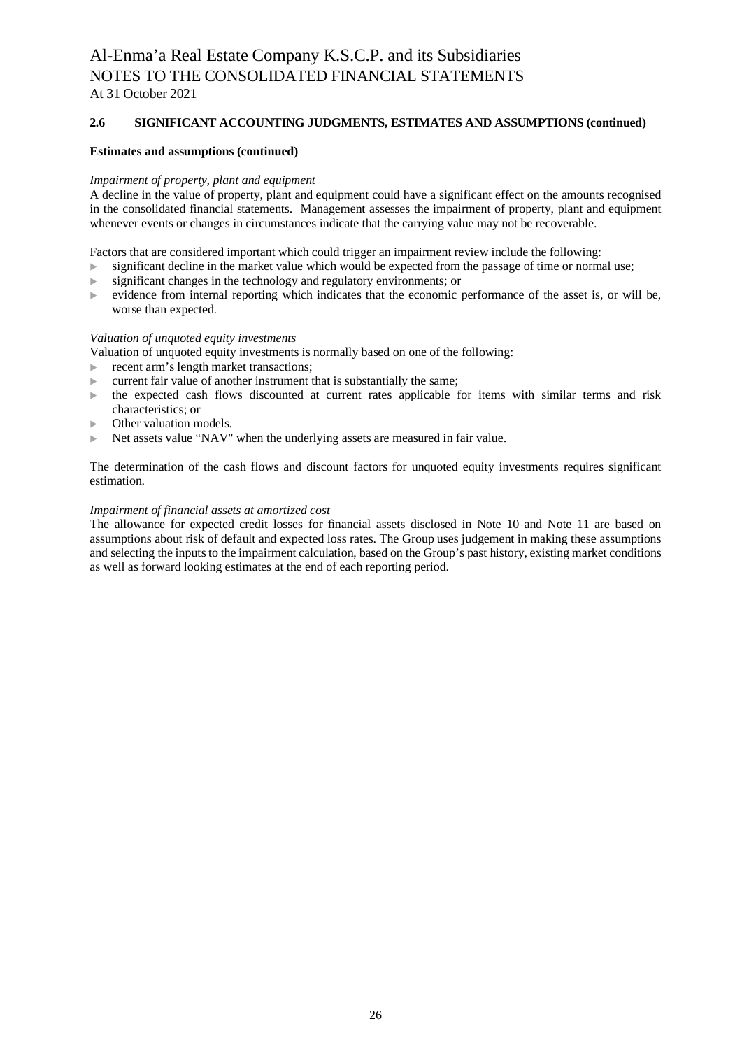# **2.6 SIGNIFICANT ACCOUNTING JUDGMENTS, ESTIMATES AND ASSUMPTIONS (continued)**

### **Estimates and assumptions (continued)**

#### *Impairment of property, plant and equipment*

A decline in the value of property, plant and equipment could have a significant effect on the amounts recognised in the consolidated financial statements. Management assesses the impairment of property, plant and equipment whenever events or changes in circumstances indicate that the carrying value may not be recoverable.

Factors that are considered important which could trigger an impairment review include the following:

- significant decline in the market value which would be expected from the passage of time or normal use;
- significant changes in the technology and regulatory environments; or
- $\triangleright$  evidence from internal reporting which indicates that the economic performance of the asset is, or will be, worse than expected.

#### *Valuation of unquoted equity investments*

Valuation of unquoted equity investments is normally based on one of the following:

- recent arm's length market transactions;
- current fair value of another instrument that is substantially the same;
- $\blacktriangleright$  the expected cash flows discounted at current rates applicable for items with similar terms and risk characteristics; or
- Other valuation models.
- Net assets value "NAV" when the underlying assets are measured in fair value.

The determination of the cash flows and discount factors for unquoted equity investments requires significant estimation.

### *Impairment of financial assets at amortized cost*

The allowance for expected credit losses for financial assets disclosed in Note 10 and Note 11 are based on assumptions about risk of default and expected loss rates. The Group uses judgement in making these assumptions and selecting the inputs to the impairment calculation, based on the Group's past history, existing market conditions as well as forward looking estimates at the end of each reporting period.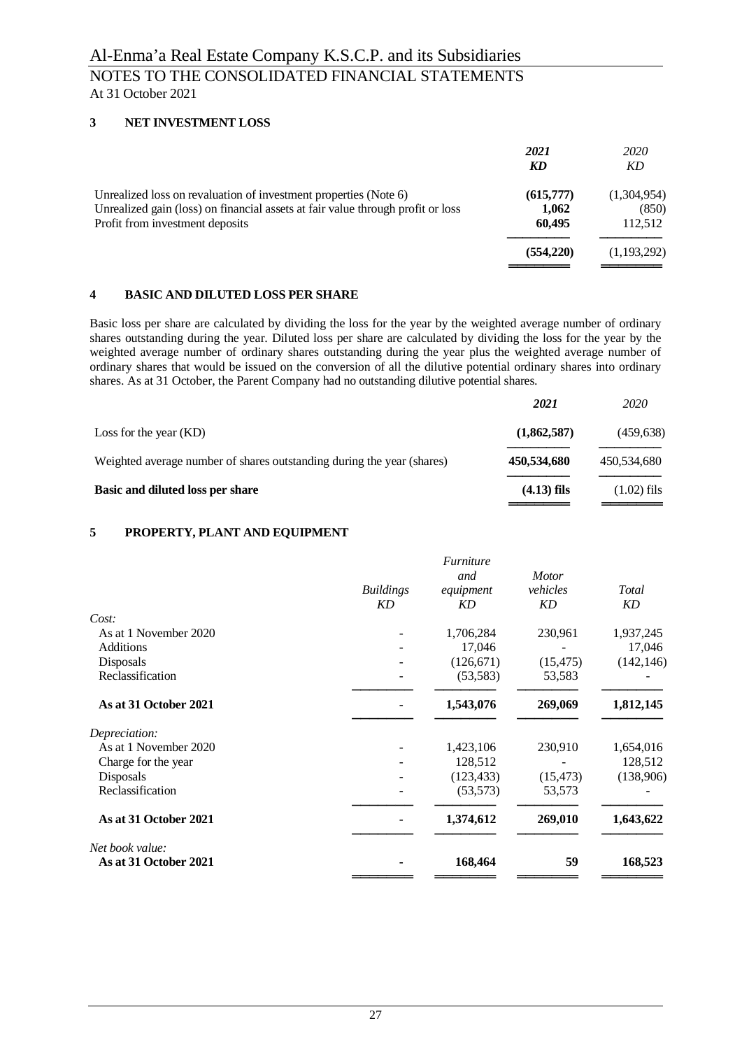### **3 NET INVESTMENT LOSS**

|                                                                                                                                                                                        | 2021<br>KD                   | 2020<br>KD                      |
|----------------------------------------------------------------------------------------------------------------------------------------------------------------------------------------|------------------------------|---------------------------------|
| Unrealized loss on revaluation of investment properties (Note 6)<br>Unrealized gain (loss) on financial assets at fair value through profit or loss<br>Profit from investment deposits | (615,777)<br>1,062<br>60.495 | (1,304,954)<br>(850)<br>112,512 |
|                                                                                                                                                                                        | (554, 220)                   | (1,193,292)                     |

### **4 BASIC AND DILUTED LOSS PER SHARE**

Basic loss per share are calculated by dividing the loss for the year by the weighted average number of ordinary shares outstanding during the year. Diluted loss per share are calculated by dividing the loss for the year by the weighted average number of ordinary shares outstanding during the year plus the weighted average number of ordinary shares that would be issued on the conversion of all the dilutive potential ordinary shares into ordinary shares. As at 31 October, the Parent Company had no outstanding dilutive potential shares.

|                                                                        | 2021          | 2020          |
|------------------------------------------------------------------------|---------------|---------------|
| Loss for the year $(KD)$                                               | (1,862,587)   | (459,638)     |
| Weighted average number of shares outstanding during the year (shares) | 450,534,680   | 450,534,680   |
| Basic and diluted loss per share                                       | $(4.13)$ fils | $(1.02)$ fils |

### **5 PROPERTY, PLANT AND EQUIPMENT**

|                       |                  | <i><b>Furniture</b></i> |              |            |
|-----------------------|------------------|-------------------------|--------------|------------|
|                       |                  | and                     | <b>Motor</b> |            |
|                       | <b>Buildings</b> | equipment               | vehicles     | Total      |
|                       | <b>KD</b>        | <b>KD</b>               | KD           | KD         |
| Cost:                 |                  |                         |              |            |
| As at 1 November 2020 |                  | 1,706,284               | 230,961      | 1,937,245  |
| <b>Additions</b>      |                  | 17,046                  |              | 17,046     |
| Disposals             |                  | (126, 671)              | (15, 475)    | (142, 146) |
| Reclassification      |                  | (53, 583)               | 53,583       |            |
| As at 31 October 2021 |                  | 1,543,076               | 269,069      | 1,812,145  |
| Depreciation:         |                  |                         |              |            |
| As at 1 November 2020 |                  | 1,423,106               | 230,910      | 1,654,016  |
| Charge for the year   |                  | 128,512                 |              | 128,512    |
| Disposals             |                  | (123, 433)              | (15, 473)    | (138,906)  |
| Reclassification      |                  | (53, 573)               | 53,573       |            |
| As at 31 October 2021 |                  | 1,374,612               | 269,010      | 1,643,622  |
| Net book value:       |                  |                         |              |            |
| As at 31 October 2021 |                  | 168,464                 | 59           | 168,523    |
|                       |                  |                         |              |            |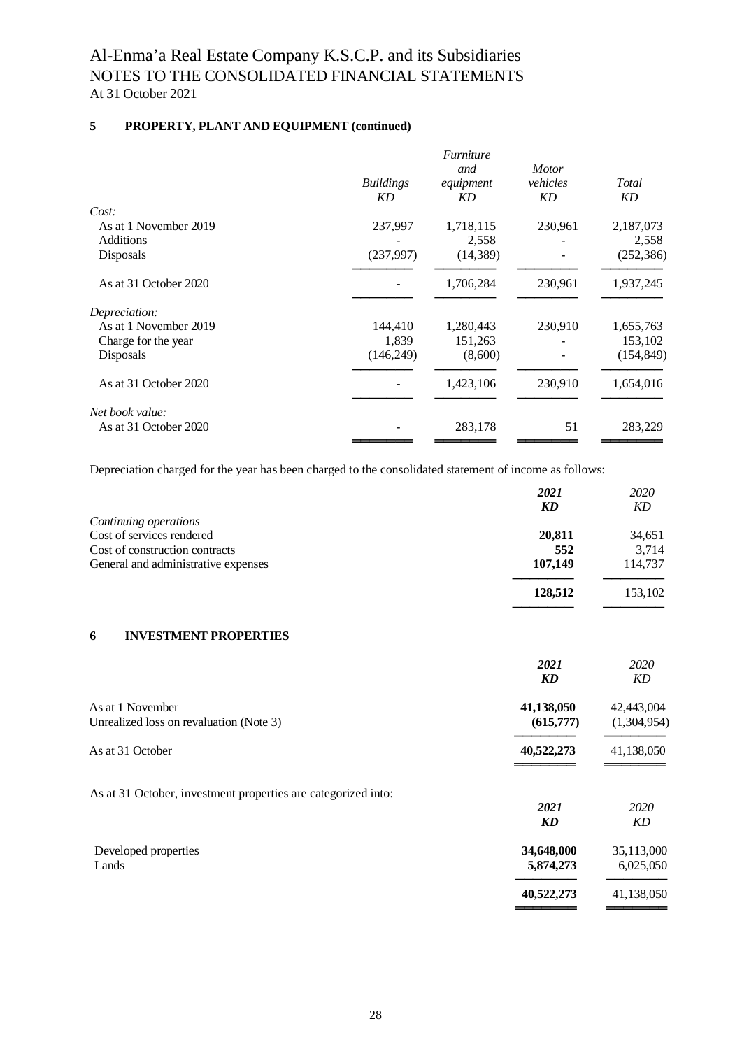# **5 PROPERTY, PLANT AND EQUIPMENT (continued)**

|                                    |                        | Furniture<br>and   | <i>Motor</i>   |                    |
|------------------------------------|------------------------|--------------------|----------------|--------------------|
|                                    | <b>Buildings</b><br>KD | equipment<br>KD    | vehicles<br>KD | Total<br>KD        |
| Cost:                              |                        |                    |                |                    |
| As at 1 November 2019<br>Additions | 237,997                | 1,718,115<br>2,558 | 230,961        | 2,187,073<br>2,558 |
| Disposals                          | (237,997)              | (14, 389)          |                | (252, 386)         |
| As at 31 October 2020              |                        | 1,706,284          | 230,961        | 1,937,245          |
| Depreciation:                      |                        |                    |                |                    |
| As at 1 November 2019              | 144,410                | 1,280,443          | 230,910        | 1,655,763          |
| Charge for the year                | 1,839                  | 151,263            |                | 153,102            |
| Disposals                          | (146, 249)             | (8,600)            |                | (154, 849)         |
| As at 31 October 2020              |                        | 1,423,106          | 230,910        | 1,654,016          |
| Net book value:                    |                        |                    |                |                    |
| As at 31 October 2020              |                        | 283,178            | 51             | 283,229            |
|                                    |                        |                    |                |                    |

Depreciation charged for the year has been charged to the consolidated statement of income as follows:

|                                                               | 2021<br><b>KD</b> | 2020<br><b>KD</b> |
|---------------------------------------------------------------|-------------------|-------------------|
| Continuing operations                                         |                   |                   |
| Cost of services rendered                                     | 20,811            | 34,651            |
| Cost of construction contracts                                | 552               | 3,714             |
| General and administrative expenses                           | 107,149           | 114,737           |
|                                                               | 128,512           | 153,102           |
| <b>INVESTMENT PROPERTIES</b><br>6                             |                   |                   |
|                                                               | 2021              | 2020              |
|                                                               | <b>KD</b>         | KD                |
| As at 1 November                                              | 41,138,050        | 42,443,004        |
| Unrealized loss on revaluation (Note 3)                       | (615,777)         | (1,304,954)       |
| As at 31 October                                              | 40,522,273        | 41,138,050        |
| As at 31 October, investment properties are categorized into: |                   |                   |
|                                                               | 2021              | 2020              |
|                                                               | KD                | KD                |
| Developed properties                                          | 34,648,000        | 35,113,000        |
| Lands                                                         | 5,874,273         | 6,025,050         |
|                                                               | 40,522,273        | 41,138,050        |

**═════════**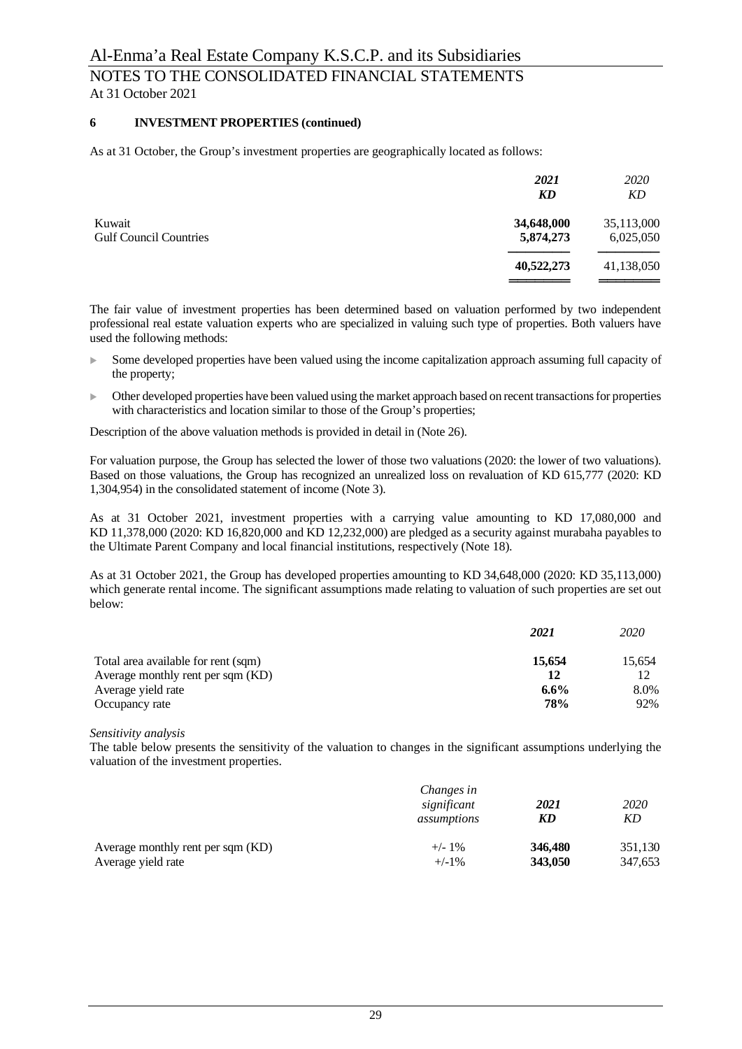#### **6 INVESTMENT PROPERTIES (continued)**

As at 31 October, the Group's investment properties are geographically located as follows:

|                                         | 2021<br>KD              | <i>2020</i><br>KD       |
|-----------------------------------------|-------------------------|-------------------------|
| Kuwait<br><b>Gulf Council Countries</b> | 34,648,000<br>5,874,273 | 35,113,000<br>6,025,050 |
|                                         | 40,522,273              | 41,138,050              |
|                                         |                         |                         |

The fair value of investment properties has been determined based on valuation performed by two independent professional real estate valuation experts who are specialized in valuing such type of properties. Both valuers have used the following methods:

- Some developed properties have been valued using the income capitalization approach assuming full capacity of the property;
- <sup>u</sup> Other developed properties have been valued using the market approach based on recent transactions for properties with characteristics and location similar to those of the Group's properties;

Description of the above valuation methods is provided in detail in (Note 26).

For valuation purpose, the Group has selected the lower of those two valuations (2020: the lower of two valuations). Based on those valuations, the Group has recognized an unrealized loss on revaluation of KD 615,777 (2020: KD 1,304,954) in the consolidated statement of income (Note 3).

As at 31 October 2021, investment properties with a carrying value amounting to KD 17,080,000 and KD 11,378,000 (2020: KD 16,820,000 and KD 12,232,000) are pledged as a security against murabaha payables to the Ultimate Parent Company and local financial institutions, respectively (Note 18).

As at 31 October 2021, the Group has developed properties amounting to KD 34,648,000 (2020: KD 35,113,000) which generate rental income. The significant assumptions made relating to valuation of such properties are set out below:

|                                     | 2021    | <i>2020</i> |
|-------------------------------------|---------|-------------|
| Total area available for rent (sqm) | 15,654  | 15.654      |
| Average monthly rent per sqm (KD)   |         |             |
| Average yield rate                  | $6.6\%$ | 8.0%        |
| Occupancy rate                      | 78%     | 92%         |

#### *Sensitivity analysis*

The table below presents the sensitivity of the valuation to changes in the significant assumptions underlying the valuation of the investment properties.

|                                   | Changes in<br>significant<br>assumptions | 2021<br>KD | 2020<br>KD |
|-----------------------------------|------------------------------------------|------------|------------|
| Average monthly rent per sqm (KD) | $+/-1\%$                                 | 346,480    | 351,130    |
| Average yield rate                | $+/-1\%$                                 | 343,050    | 347,653    |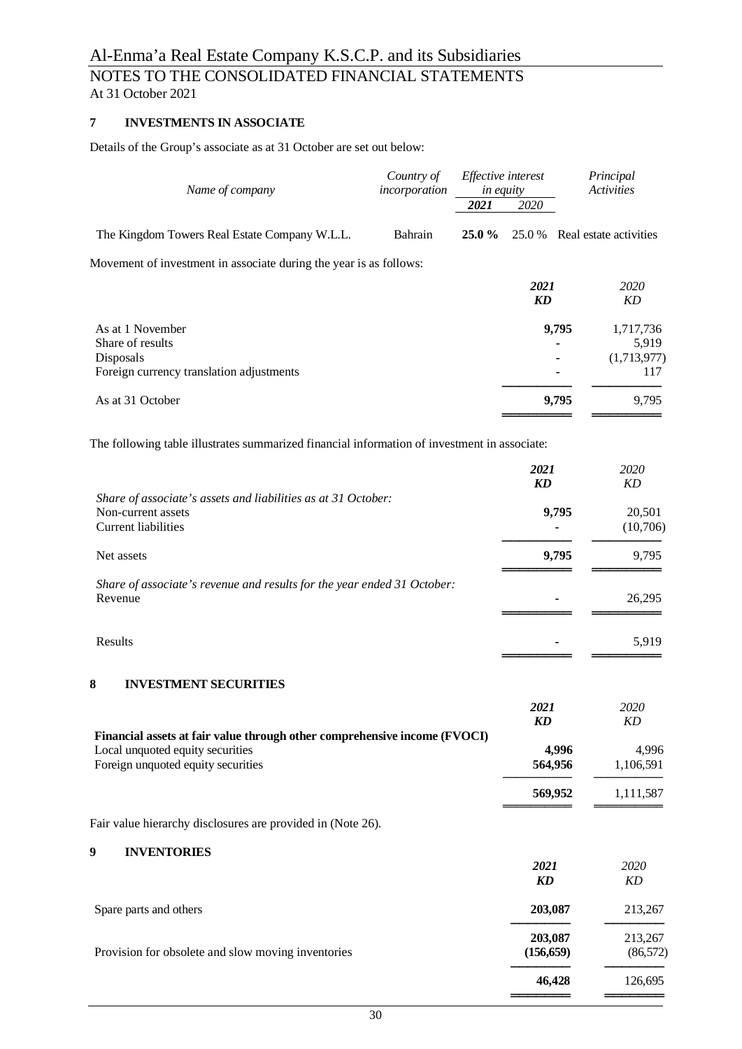# NOTES TO THE CONSOLIDATED FINANCIAL STATEMENTS At 31 October 2021

# **7 INVESTMENTS IN ASSOCIATE**

Details of the Group's associate as at 31 October are set out below:

| Name of company                                                                              | Country of<br>incorporation | Effective interest<br>in equity |                                | Principal<br><b>Activities</b> |
|----------------------------------------------------------------------------------------------|-----------------------------|---------------------------------|--------------------------------|--------------------------------|
|                                                                                              |                             | 2021                            | 2020                           |                                |
| The Kingdom Towers Real Estate Company W.L.L.                                                | Bahrain                     | 25.0%                           | 25.0%                          | Real estate activities         |
| Movement of investment in associate during the year is as follows:                           |                             |                                 |                                |                                |
|                                                                                              |                             |                                 | 2021                           | 2020                           |
|                                                                                              |                             |                                 | $\boldsymbol{K}\boldsymbol{D}$ | KD                             |
| As at 1 November<br>Share of results                                                         |                             |                                 |                                | 9,795<br>1,717,736<br>5,919    |
| Disposals                                                                                    |                             |                                 |                                | (1,713,977)                    |
| Foreign currency translation adjustments                                                     |                             |                                 |                                | 117                            |
| As at 31 October                                                                             |                             |                                 |                                | 9,795<br>9,795                 |
| The following table illustrates summarized financial information of investment in associate: |                             |                                 |                                |                                |
|                                                                                              |                             |                                 | 2021                           | 2020                           |
|                                                                                              |                             |                                 | $\boldsymbol{K}\boldsymbol{D}$ | KD                             |
| Share of associate's assets and liabilities as at 31 October:<br>Non-current assets          |                             |                                 | 9,795                          | 20,501                         |
| <b>Current liabilities</b>                                                                   |                             |                                 |                                | (10,706)                       |
| Net assets                                                                                   |                             |                                 | 9,795                          | 9,795                          |
| Share of associate's revenue and results for the year ended 31 October:                      |                             |                                 |                                |                                |
| Revenue                                                                                      |                             |                                 |                                | 26,295                         |
| Results                                                                                      |                             |                                 |                                | 5,919                          |
|                                                                                              |                             |                                 |                                |                                |
| 8<br><b>INVESTMENT SECURITIES</b>                                                            |                             |                                 |                                |                                |
|                                                                                              |                             |                                 | 2021                           | 2020                           |
| Financial assets at fair value through other comprehensive income (FVOCI)                    |                             |                                 | <b>KD</b>                      | KD                             |
| Local unquoted equity securities                                                             |                             |                                 |                                | 4,996<br>4,996                 |
| Foreign unquoted equity securities                                                           |                             |                                 | 564,956                        | 1,106,591                      |
|                                                                                              |                             |                                 | 569,952                        | 1,111,587                      |
| Fair value hierarchy disclosures are provided in (Note 26).                                  |                             |                                 |                                |                                |
| 9<br><b>INVENTORIES</b>                                                                      |                             |                                 |                                |                                |
|                                                                                              |                             |                                 | 2021<br>KD                     | 2020<br>KD                     |
|                                                                                              |                             |                                 |                                |                                |
| Spare parts and others                                                                       |                             |                                 | 203,087                        | 213,267                        |

Provision for obsolete and slow moving inventories (156,659) (86,572)

**203,087** 213,267<br> **(156,659)** (86,572)

**───────** ─────── **46,428** 126,695 ═══════════════════════════════════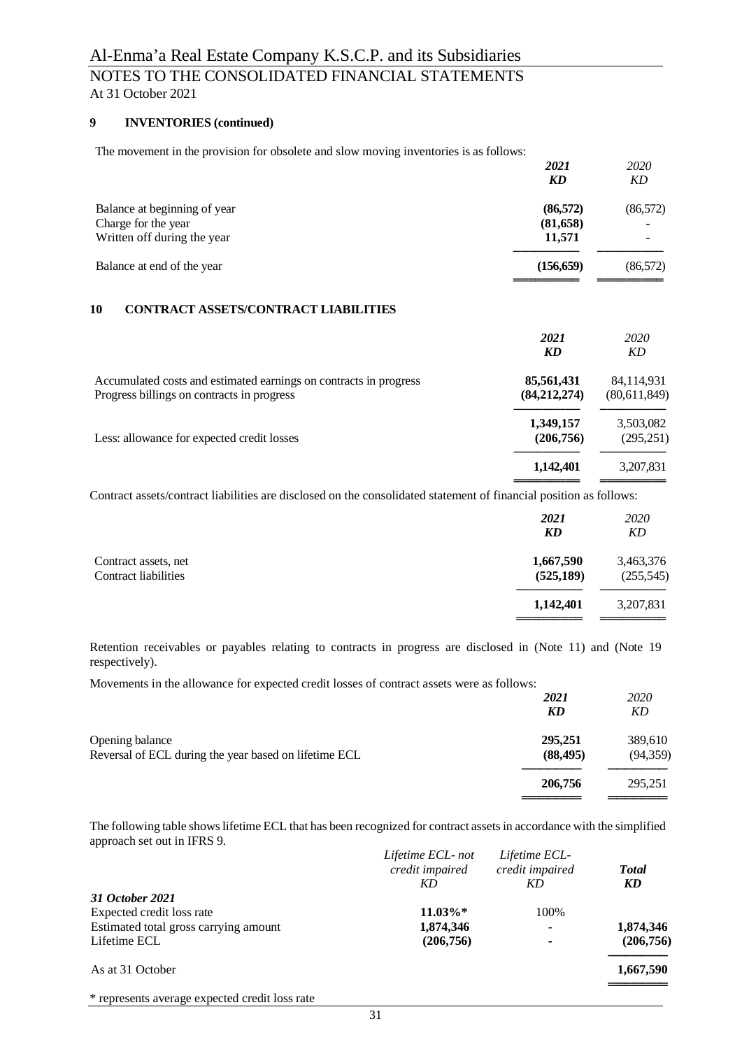# **9 INVENTORIES (continued)**

The movement in the provision for obsolete and slow moving inventories is as follows:

|                                                  | 2021       | 2020      |
|--------------------------------------------------|------------|-----------|
|                                                  | KD         | KD        |
| Balance at beginning of year                     | (86, 572)  | (86, 572) |
| Charge for the year                              | (81,658)   |           |
| Written off during the year                      | 11,571     |           |
| Balance at end of the year                       | (156, 659) | (86, 572) |
|                                                  |            |           |
| 1 A<br>CONTED LOT LOCETOLOONTED LOT LEADER TRUBO |            |           |

#### **10 CONTRACT ASSETS/CONTRACT LIABILITIES**

|                                                                                                                 | 2021<br>KD                   | 2020<br>KD                 |
|-----------------------------------------------------------------------------------------------------------------|------------------------------|----------------------------|
| Accumulated costs and estimated earnings on contracts in progress<br>Progress billings on contracts in progress | 85,561,431<br>(84, 212, 274) | 84,114,931<br>(80,611,849) |
| Less: allowance for expected credit losses                                                                      | 1,349,157<br>(206,756)       | 3,503,082<br>(295, 251)    |
|                                                                                                                 | 1,142,401                    | 3,207,831                  |

Contract assets/contract liabilities are disclosed on the consolidated statement of financial position as follows:

|                                              | 2021<br><b>KD</b>       | 2020<br>KD              |
|----------------------------------------------|-------------------------|-------------------------|
| Contract assets, net<br>Contract liabilities | 1,667,590<br>(525, 189) | 3,463,376<br>(255, 545) |
|                                              | 1,142,401               | 3,207,831               |

Retention receivables or payables relating to contracts in progress are disclosed in (Note 11) and (Note 19 respectively).

Movements in the allowance for expected credit losses of contract assets were as follows:

|                                                                          | 2021<br>KD           | 2020<br>KD           |
|--------------------------------------------------------------------------|----------------------|----------------------|
| Opening balance<br>Reversal of ECL during the year based on lifetime ECL | 295,251<br>(88, 495) | 389,610<br>(94, 359) |
|                                                                          | 206,756              | 295,251              |

The following table shows lifetime ECL that has been recognized for contract assets in accordance with the simplified approach set out in IFRS 9.

|                                                | Lifetime ECL-not<br>credit impaired | Lifetime ECL-<br>credit impaired | <b>Total</b> |
|------------------------------------------------|-------------------------------------|----------------------------------|--------------|
|                                                | KD                                  | КD                               | KD           |
| 31 October 2021                                |                                     |                                  |              |
| Expected credit loss rate                      | $11.03\%*$                          | 100%                             |              |
| Estimated total gross carrying amount          | 1,874,346                           | $\overline{\phantom{0}}$         | 1,874,346    |
| Lifetime ECL                                   | (206,756)                           | ۰                                | (206, 756)   |
| As at 31 October                               |                                     |                                  | 1,667,590    |
| * represents average expected credit loss rate |                                     |                                  |              |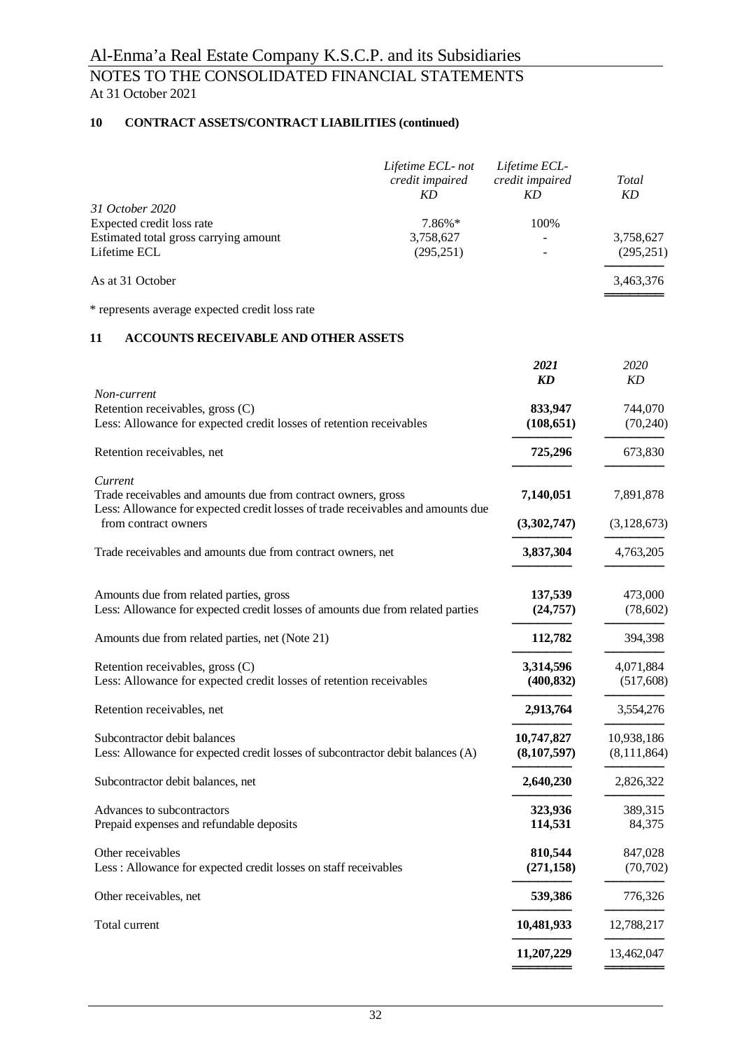# **10 CONTRACT ASSETS/CONTRACT LIABILITIES (continued)**

|                                       | Lifetime ECL-not<br>credit impaired<br>KD | Lifetime ECL-<br>credit impaired<br>KD | Total<br>KD |
|---------------------------------------|-------------------------------------------|----------------------------------------|-------------|
| 31 October 2020                       |                                           |                                        |             |
| Expected credit loss rate             | 7.86%*                                    | 100%                                   |             |
| Estimated total gross carrying amount | 3,758,627                                 |                                        | 3,758,627   |
| Lifetime ECL                          | (295, 251)                                |                                        | (295, 251)  |
| As at 31 October                      |                                           |                                        | 3,463,376   |
|                                       |                                           |                                        |             |

\* represents average expected credit loss rate

# **11 ACCOUNTS RECEIVABLE AND OTHER ASSETS**

|                                                                                                                                                             | 2021<br><b>KD</b>           | 2020<br>KD                |
|-------------------------------------------------------------------------------------------------------------------------------------------------------------|-----------------------------|---------------------------|
| Non-current<br>Retention receivables, gross (C)<br>Less: Allowance for expected credit losses of retention receivables                                      | 833,947<br>(108, 651)       | 744,070<br>(70,240)       |
| Retention receivables, net                                                                                                                                  | 725,296                     | 673,830                   |
| Current<br>Trade receivables and amounts due from contract owners, gross<br>Less: Allowance for expected credit losses of trade receivables and amounts due | 7,140,051                   | 7,891,878                 |
| from contract owners                                                                                                                                        | (3,302,747)                 | (3,128,673)               |
| Trade receivables and amounts due from contract owners, net                                                                                                 | 3,837,304                   | 4,763,205                 |
| Amounts due from related parties, gross<br>Less: Allowance for expected credit losses of amounts due from related parties                                   | 137,539<br>(24, 757)        | 473,000<br>(78,602)       |
| Amounts due from related parties, net (Note 21)                                                                                                             | 112,782                     | 394,398                   |
| Retention receivables, gross (C)<br>Less: Allowance for expected credit losses of retention receivables                                                     | 3,314,596<br>(400, 832)     | 4,071,884<br>(517,608)    |
| Retention receivables, net                                                                                                                                  | 2,913,764                   | 3,554,276                 |
| Subcontractor debit balances<br>Less: Allowance for expected credit losses of subcontractor debit balances (A)                                              | 10,747,827<br>(8, 107, 597) | 10,938,186<br>(8,111,864) |
| Subcontractor debit balances, net                                                                                                                           | 2,640,230                   | 2,826,322                 |
| Advances to subcontractors<br>Prepaid expenses and refundable deposits                                                                                      | 323,936<br>114,531          | 389,315<br>84,375         |
| Other receivables<br>Less: Allowance for expected credit losses on staff receivables                                                                        | 810,544<br>(271, 158)       | 847,028<br>(70, 702)      |
| Other receivables, net                                                                                                                                      | 539,386                     | 776,326                   |
| Total current                                                                                                                                               | 10,481,933                  | 12,788,217                |
|                                                                                                                                                             | 11,207,229                  | 13,462,047                |
|                                                                                                                                                             |                             |                           |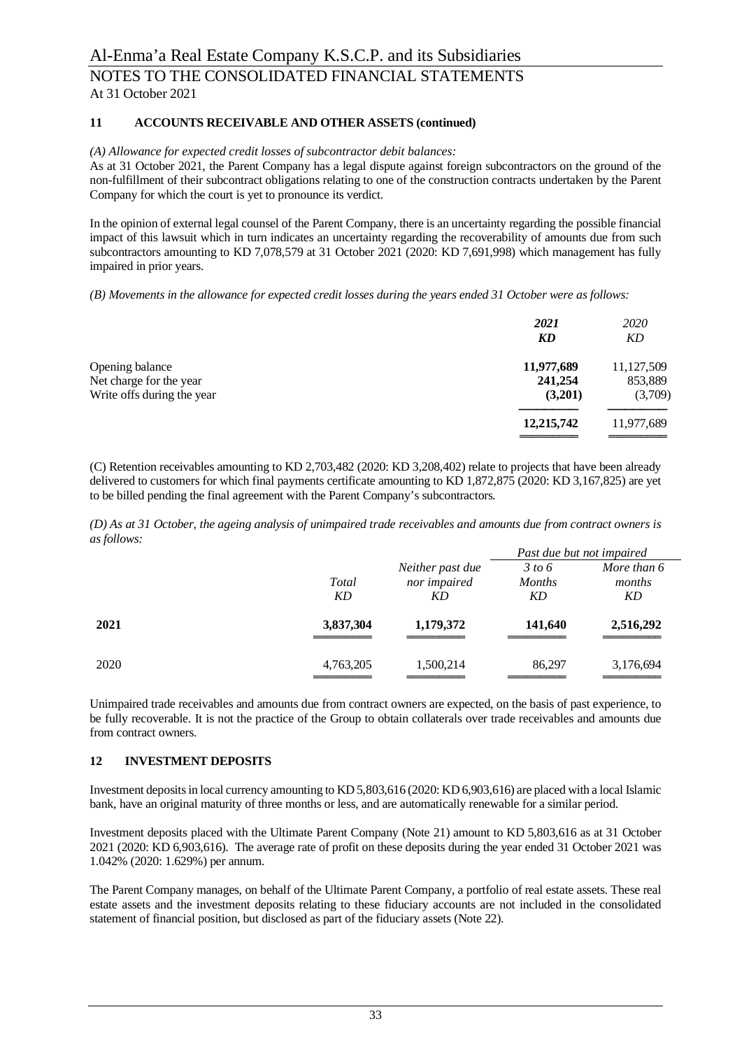# **11 ACCOUNTS RECEIVABLE AND OTHER ASSETS (continued)**

#### *(A) Allowance for expected credit losses of subcontractor debit balances:*

As at 31 October 2021, the Parent Company has a legal dispute against foreign subcontractors on the ground of the non-fulfillment of their subcontract obligations relating to one of the construction contracts undertaken by the Parent Company for which the court is yet to pronounce its verdict.

In the opinion of external legal counsel of the Parent Company, there is an uncertainty regarding the possible financial impact of this lawsuit which in turn indicates an uncertainty regarding the recoverability of amounts due from such subcontractors amounting to KD 7,078,579 at 31 October 2021 (2020: KD 7,691,998) which management has fully impaired in prior years.

*(B) Movements in the allowance for expected credit losses during the years ended 31 October were as follows:*

|                            | 2021<br>KD | 2020<br>KD |
|----------------------------|------------|------------|
| Opening balance            | 11,977,689 | 11,127,509 |
| Net charge for the year    | 241,254    | 853,889    |
| Write offs during the year | (3,201)    | (3,709)    |
|                            | 12,215,742 | 11,977,689 |
|                            |            |            |

(C) Retention receivables amounting to KD 2,703,482 (2020: KD 3,208,402) relate to projects that have been already delivered to customers for which final payments certificate amounting to KD 1,872,875 (2020: KD 3,167,825) are yet to be billed pending the final agreement with the Parent Company's subcontractors*.*

*(D) As at 31 October, the ageing analysis of unimpaired trade receivables and amounts due from contract owners is as follows:*

|      |           |                  | Past due but not impaired |             |
|------|-----------|------------------|---------------------------|-------------|
|      |           | Neither past due | 3 to 6                    | More than 6 |
|      | Total     | nor impaired     | <b>Months</b>             | months      |
|      | KD        | KD               | KD                        | KD          |
| 2021 | 3,837,304 | 1,179,372        | 141,640                   | 2,516,292   |
| 2020 | 4,763,205 | 1,500,214        | 86,297                    | 3,176,694   |

Unimpaired trade receivables and amounts due from contract owners are expected, on the basis of past experience, to be fully recoverable. It is not the practice of the Group to obtain collaterals over trade receivables and amounts due from contract owners.

### **12 INVESTMENT DEPOSITS**

Investment deposits in local currency amounting to KD 5,803,616 (2020: KD 6,903,616) are placed with a local Islamic bank, have an original maturity of three months or less, and are automatically renewable for a similar period.

Investment deposits placed with the Ultimate Parent Company (Note 21) amount to KD 5,803,616 as at 31 October 2021 (2020: KD 6,903,616). The average rate of profit on these deposits during the year ended 31 October 2021 was 1.042% (2020: 1.629%) per annum.

The Parent Company manages, on behalf of the Ultimate Parent Company, a portfolio of real estate assets. These real estate assets and the investment deposits relating to these fiduciary accounts are not included in the consolidated statement of financial position, but disclosed as part of the fiduciary assets (Note 22).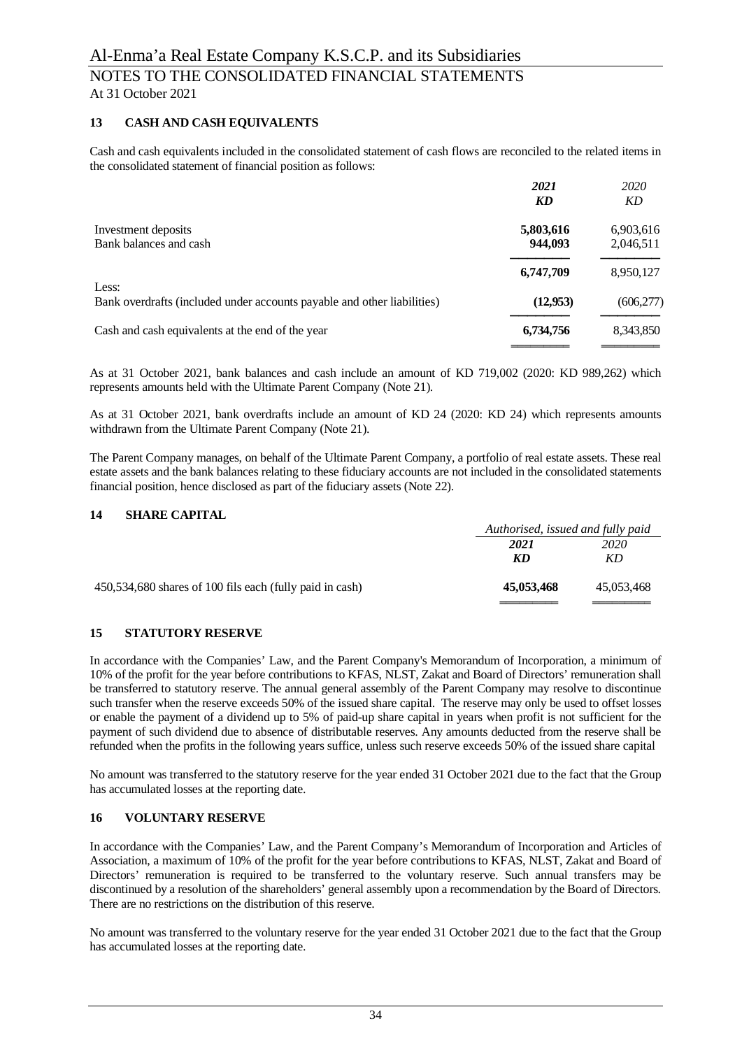### **13 CASH AND CASH EQUIVALENTS**

Cash and cash equivalents included in the consolidated statement of cash flows are reconciled to the related items in the consolidated statement of financial position as follows:

|                                                                                  | 2021      | 2020       |
|----------------------------------------------------------------------------------|-----------|------------|
|                                                                                  | KD        | KD         |
| Investment deposits                                                              | 5,803,616 | 6,903,616  |
| Bank balances and cash                                                           | 944,093   | 2,046,511  |
|                                                                                  | 6,747,709 | 8,950,127  |
| Less:<br>Bank overdrafts (included under accounts payable and other liabilities) | (12, 953) |            |
|                                                                                  |           | (606, 277) |
| Cash and cash equivalents at the end of the year                                 | 6,734,756 | 8,343,850  |
|                                                                                  |           |            |

As at 31 October 2021, bank balances and cash include an amount of KD 719,002 (2020: KD 989,262) which represents amounts held with the Ultimate Parent Company (Note 21).

As at 31 October 2021, bank overdrafts include an amount of KD 24 (2020: KD 24) which represents amounts withdrawn from the Ultimate Parent Company (Note 21).

The Parent Company manages, on behalf of the Ultimate Parent Company, a portfolio of real estate assets. These real estate assets and the bank balances relating to these fiduciary accounts are not included in the consolidated statements financial position, hence disclosed as part of the fiduciary assets (Note 22).

# **14 SHARE CAPITAL**

|                                                          | Authorised, issued and fully paid |            |
|----------------------------------------------------------|-----------------------------------|------------|
|                                                          | 2021                              | 2020       |
|                                                          | KD                                | KD.        |
| 450,534,680 shares of 100 fils each (fully paid in cash) | 45,053,468                        | 45,053,468 |

#### **15 STATUTORY RESERVE**

In accordance with the Companies' Law, and the Parent Company's Memorandum of Incorporation, a minimum of 10% of the profit for the year before contributions to KFAS, NLST, Zakat and Board of Directors' remuneration shall be transferred to statutory reserve. The annual general assembly of the Parent Company may resolve to discontinue such transfer when the reserve exceeds 50% of the issued share capital. The reserve may only be used to offset losses or enable the payment of a dividend up to 5% of paid-up share capital in years when profit is not sufficient for the payment of such dividend due to absence of distributable reserves. Any amounts deducted from the reserve shall be refunded when the profits in the following years suffice, unless such reserve exceeds 50% of the issued share capital

No amount was transferred to the statutory reserve for the year ended 31 October 2021 due to the fact that the Group has accumulated losses at the reporting date.

#### **16 VOLUNTARY RESERVE**

In accordance with the Companies' Law, and the Parent Company's Memorandum of Incorporation and Articles of Association, a maximum of 10% of the profit for the year before contributions to KFAS, NLST, Zakat and Board of Directors' remuneration is required to be transferred to the voluntary reserve. Such annual transfers may be discontinued by a resolution of the shareholders' general assembly upon a recommendation by the Board of Directors. There are no restrictions on the distribution of this reserve.

No amount was transferred to the voluntary reserve for the year ended 31 October 2021 due to the fact that the Group has accumulated losses at the reporting date.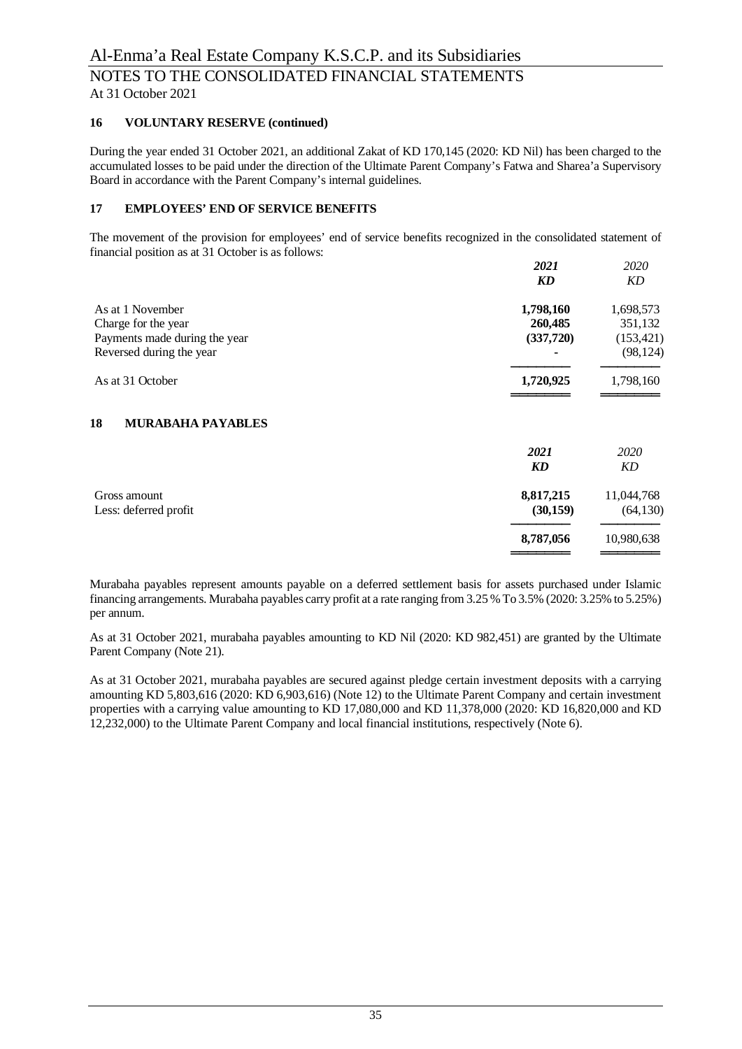### **16 VOLUNTARY RESERVE (continued)**

During the year ended 31 October 2021, an additional Zakat of KD 170,145 (2020: KD Nil) has been charged to the accumulated losses to be paid under the direction of the Ultimate Parent Company's Fatwa and Sharea'a Supervisory Board in accordance with the Parent Company's internal guidelines.

# **17 EMPLOYEES' END OF SERVICE BENEFITS**

The movement of the provision for employees' end of service benefits recognized in the consolidated statement of financial position as at 31 October is as follows:

|                                | 2021      | 2020       |
|--------------------------------|-----------|------------|
|                                | KD        | KD         |
| As at 1 November               | 1,798,160 | 1,698,573  |
| Charge for the year            | 260,485   | 351,132    |
| Payments made during the year  | (337,720) | (153, 421) |
| Reversed during the year       |           | (98, 124)  |
| As at 31 October               | 1,720,925 | 1,798,160  |
| 18<br><b>MURABAHA PAYABLES</b> |           |            |
|                                | 2021      | 2020       |
|                                | <b>KD</b> | KD         |
| Gross amount                   | 8,817,215 | 11,044,768 |
| Less: deferred profit          | (30, 159) | (64, 130)  |
|                                | 8,787,056 | 10,980,638 |
|                                |           |            |

Murabaha payables represent amounts payable on a deferred settlement basis for assets purchased under Islamic financing arrangements. Murabaha payables carry profit at a rate ranging from 3.25 % To 3.5% (2020: 3.25% to 5.25%) per annum.

As at 31 October 2021, murabaha payables amounting to KD Nil (2020: KD 982,451) are granted by the Ultimate Parent Company (Note 21).

As at 31 October 2021, murabaha payables are secured against pledge certain investment deposits with a carrying amounting KD 5,803,616 (2020: KD 6,903,616) (Note 12) to the Ultimate Parent Company and certain investment properties with a carrying value amounting to KD 17,080,000 and KD 11,378,000 (2020: KD 16,820,000 and KD 12,232,000) to the Ultimate Parent Company and local financial institutions, respectively (Note 6).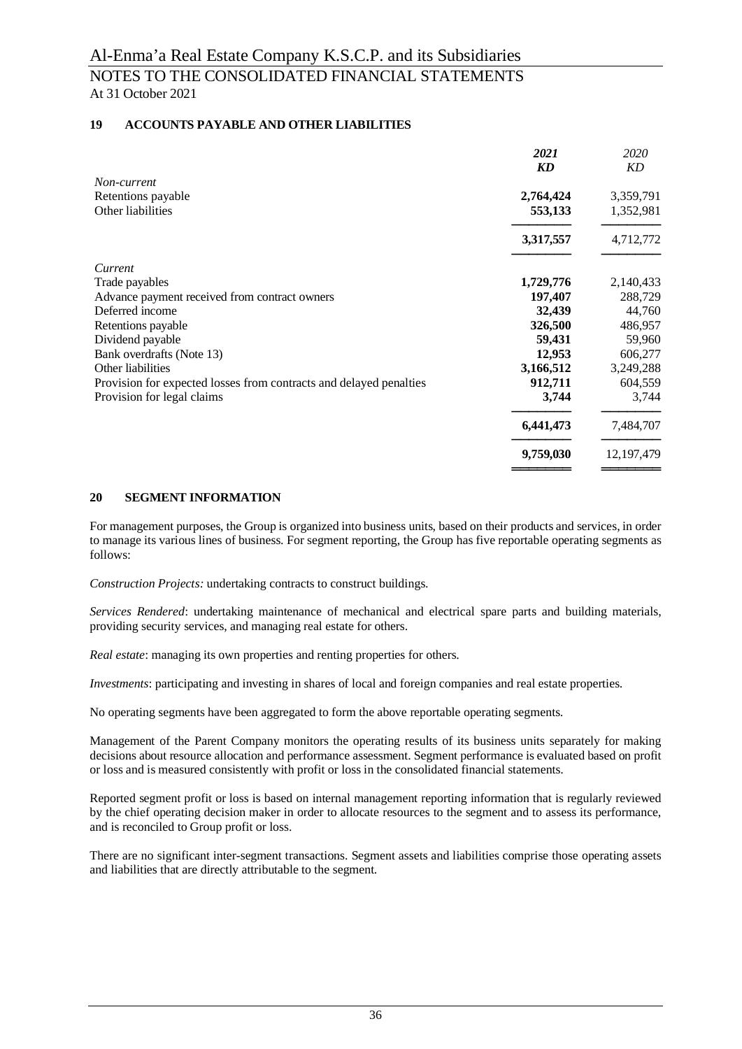# **19 ACCOUNTS PAYABLE AND OTHER LIABILITIES**

|                                                                    | 2021      | 2020         |
|--------------------------------------------------------------------|-----------|--------------|
|                                                                    | KD        | KD           |
| Non-current                                                        |           |              |
| Retentions payable                                                 | 2,764,424 | 3,359,791    |
| Other liabilities                                                  | 553,133   | 1,352,981    |
|                                                                    | 3,317,557 | 4,712,772    |
| Current                                                            |           |              |
| Trade payables                                                     | 1,729,776 | 2,140,433    |
| Advance payment received from contract owners                      | 197,407   | 288,729      |
| Deferred income                                                    | 32,439    | 44,760       |
| Retentions payable                                                 | 326,500   | 486,957      |
| Dividend payable                                                   | 59,431    | 59,960       |
| Bank overdrafts (Note 13)                                          | 12,953    | 606,277      |
| Other liabilities                                                  | 3,166,512 | 3,249,288    |
| Provision for expected losses from contracts and delayed penalties | 912,711   | 604,559      |
| Provision for legal claims                                         | 3,744     | 3,744        |
|                                                                    | 6,441,473 | 7,484,707    |
|                                                                    | 9,759,030 | 12, 197, 479 |
|                                                                    |           |              |

### **20 SEGMENT INFORMATION**

For management purposes, the Group is organized into business units, based on their products and services, in order to manage its various lines of business. For segment reporting, the Group has five reportable operating segments as follows:

*Construction Projects:* undertaking contracts to construct buildings.

*Services Rendered*: undertaking maintenance of mechanical and electrical spare parts and building materials, providing security services, and managing real estate for others.

*Real estate*: managing its own properties and renting properties for others.

*Investments*: participating and investing in shares of local and foreign companies and real estate properties.

No operating segments have been aggregated to form the above reportable operating segments.

Management of the Parent Company monitors the operating results of its business units separately for making decisions about resource allocation and performance assessment. Segment performance is evaluated based on profit or loss and is measured consistently with profit or loss in the consolidated financial statements.

Reported segment profit or loss is based on internal management reporting information that is regularly reviewed by the chief operating decision maker in order to allocate resources to the segment and to assess its performance, and is reconciled to Group profit or loss.

There are no significant inter-segment transactions. Segment assets and liabilities comprise those operating assets and liabilities that are directly attributable to the segment.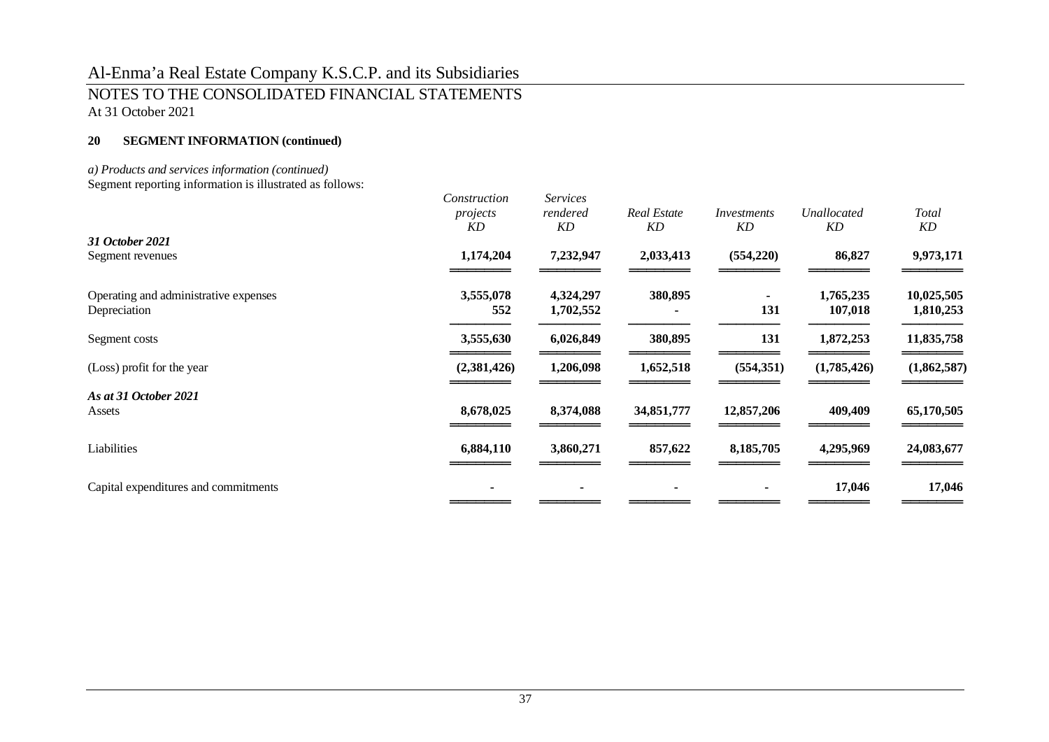# Al-Enma'a Real Estate Company K.S.C.P. and its Subsidiaries NOTES TO THE CONSOLIDATED FINANCIAL STATEMENTS At 31 October 2021

# **20 SEGMENT INFORMATION (continued)**

### *a) Products and services information (continued)*

Segment reporting information is illustrated as follows:

|                                                       | Construction<br>projects<br>KD | <b>Services</b><br>rendered<br>KD | <b>Real Estate</b><br>KD | Investments<br>KD | Unallocated<br>KD    | Total<br>KD             |
|-------------------------------------------------------|--------------------------------|-----------------------------------|--------------------------|-------------------|----------------------|-------------------------|
| 31 October 2021                                       |                                |                                   |                          |                   |                      |                         |
| Segment revenues                                      | 1,174,204                      | 7,232,947                         | 2,033,413                | (554, 220)        | 86,827               | 9,973,171               |
| Operating and administrative expenses<br>Depreciation | 3,555,078<br>552               | 4,324,297<br>1,702,552            | 380,895                  | 131               | 1,765,235<br>107,018 | 10,025,505<br>1,810,253 |
| Segment costs                                         | 3,555,630                      | 6,026,849                         | 380,895                  | 131               | 1,872,253            | 11,835,758              |
| (Loss) profit for the year                            | (2,381,426)                    | 1,206,098                         | 1,652,518                | (554, 351)        | (1,785,426)          | (1,862,587)             |
| As at 31 October 2021                                 |                                |                                   |                          |                   |                      |                         |
| Assets                                                | 8,678,025                      | 8,374,088                         | 34,851,777               | 12,857,206        | 409,409              | 65,170,505              |
| Liabilities                                           | 6,884,110                      | 3,860,271                         | 857,622                  | 8,185,705         | 4,295,969            | 24,083,677              |
| Capital expenditures and commitments                  |                                |                                   |                          |                   | 17,046               | 17,046                  |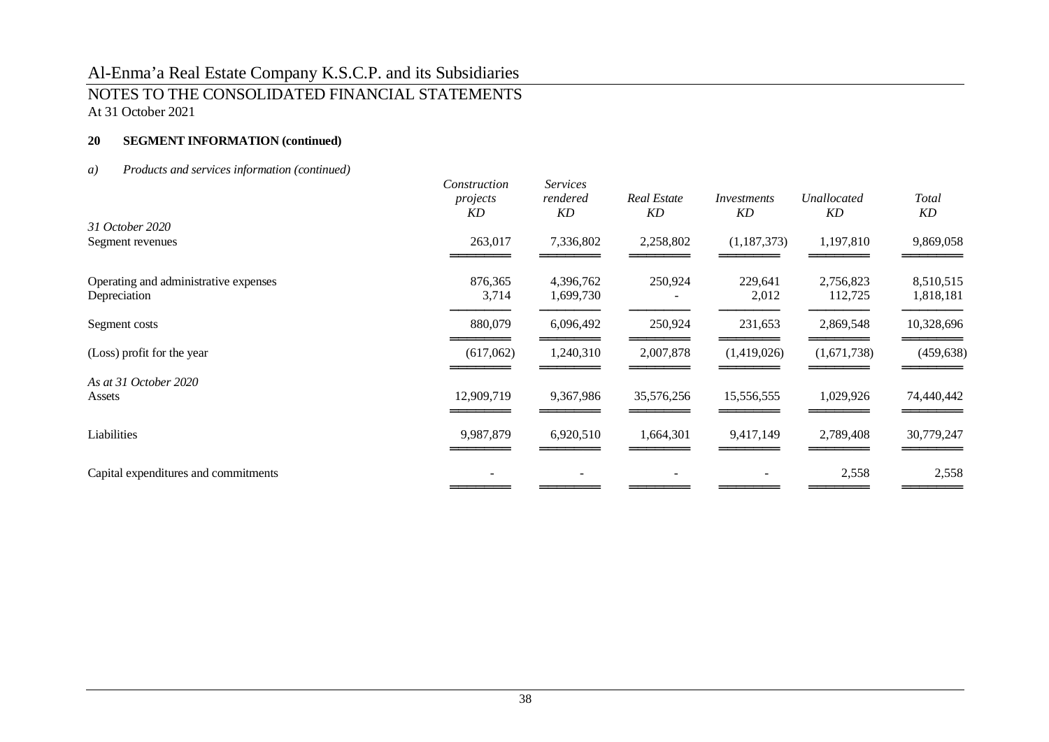# Al-Enma'a Real Estate Company K.S.C.P. and its Subsidiaries NOTES TO THE CONSOLIDATED FINANCIAL STATEMENTS At 31 October 2021

# **20 SEGMENT INFORMATION (continued)**

# *a) Products and services information (continued)*

|                                                       | Construction<br>projects<br>KD | <b>Services</b><br>rendered<br>KD | <b>Real Estate</b><br>KD | Investments<br><b>KD</b> | Unallocated<br>KD    | Total<br>KD            |
|-------------------------------------------------------|--------------------------------|-----------------------------------|--------------------------|--------------------------|----------------------|------------------------|
| 31 October 2020                                       |                                |                                   |                          |                          |                      |                        |
| Segment revenues                                      | 263,017                        | 7,336,802                         | 2,258,802                | (1, 187, 373)            | 1,197,810            | 9,869,058              |
| Operating and administrative expenses<br>Depreciation | 876,365<br>3,714               | 4,396,762<br>1,699,730            | 250,924                  | 229,641<br>2,012         | 2,756,823<br>112,725 | 8,510,515<br>1,818,181 |
| Segment costs                                         | 880,079                        | 6,096,492                         | 250,924                  | 231,653                  | 2,869,548            | 10,328,696             |
| (Loss) profit for the year                            | (617,062)                      | 1,240,310                         | 2,007,878                | (1,419,026)              | (1,671,738)          | (459, 638)             |
| As at 31 October 2020                                 |                                |                                   |                          |                          |                      |                        |
| Assets                                                | 12,909,719                     | 9,367,986                         | 35,576,256               | 15,556,555               | 1,029,926            | 74,440,442             |
| Liabilities                                           | 9,987,879                      | 6,920,510                         | 1,664,301                | 9,417,149                | 2,789,408            | 30,779,247             |
| Capital expenditures and commitments                  |                                |                                   |                          |                          | 2,558                | 2,558                  |
|                                                       |                                |                                   |                          |                          |                      |                        |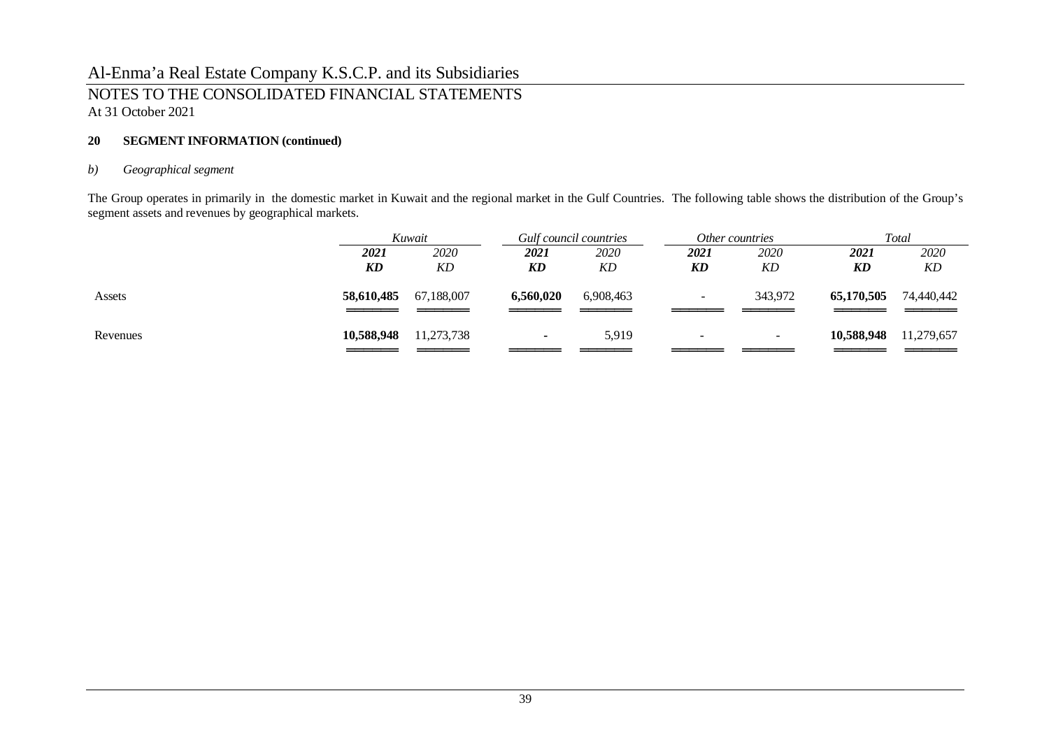# Al-Enma'a Real Estate Company K.S.C.P. and its Subsidiaries NOTES TO THE CONSOLIDATED FINANCIAL STATEMENTS At 31 October 2021

### **20 SEGMENT INFORMATION (continued)**

### *b) Geographical segment*

The Group operates in primarily in the domestic market in Kuwait and the regional market in the Gulf Countries. The following table shows the distribution of the Group's segment assets and revenues by geographical markets.

|            |            |              |           |                          |                          |                 | Total      |
|------------|------------|--------------|-----------|--------------------------|--------------------------|-----------------|------------|
| 2021       | 2020       | 2021         | 2020      | 2021                     | 2020                     | 2021            | 2020       |
|            |            |              | KD        |                          | KD                       |                 | KD         |
| 58,610,485 | 67,188,007 | 6,560,020    | 6,908,463 | $\overline{\phantom{a}}$ | 343,972                  | 65,170,505      | 74,440,442 |
| 10,588,948 | 11,273,738 | $\sim$       | 5,919     |                          | $\overline{\phantom{0}}$ | 10,588,948      | 11,279,657 |
|            | KD         | Kuwait<br>KD | KD        | Gulf council countries   | KD                       | Other countries | KD         |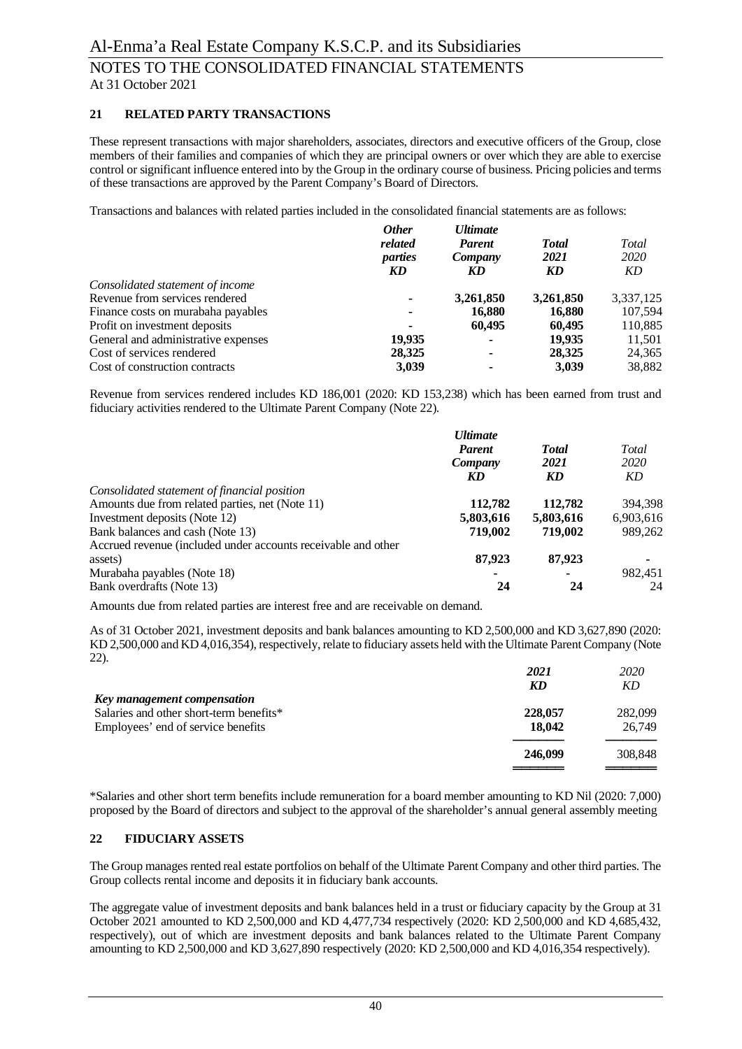### **21 RELATED PARTY TRANSACTIONS**

These represent transactions with major shareholders, associates, directors and executive officers of the Group, close members of their families and companies of which they are principal owners or over which they are able to exercise control or significant influence entered into by the Group in the ordinary course of business. Pricing policies and terms of these transactions are approved by the Parent Company's Board of Directors.

Transactions and balances with related parties included in the consolidated financial statements are as follows:

|                                     | <b>Other</b><br>related<br>parties<br>KD | <b>Ultimate</b><br><b>Parent</b><br>Company<br>KD | <b>Total</b><br>2021<br>KD | Total<br>2020<br>KD |
|-------------------------------------|------------------------------------------|---------------------------------------------------|----------------------------|---------------------|
| Consolidated statement of income    |                                          |                                                   |                            |                     |
| Revenue from services rendered      |                                          | 3,261,850                                         | 3,261,850                  | 3,337,125           |
| Finance costs on murabaha payables  |                                          | 16,880                                            | 16,880                     | 107,594             |
| Profit on investment deposits       | ۰                                        | 60,495                                            | 60.495                     | 110,885             |
| General and administrative expenses | 19.935                                   | ۰                                                 | 19.935                     | 11,501              |
| Cost of services rendered           | 28,325                                   | ۰                                                 | 28,325                     | 24,365              |
| Cost of construction contracts      | 3,039                                    | ۰                                                 | 3,039                      | 38,882              |

Revenue from services rendered includes KD 186,001 (2020: KD 153,238) which has been earned from trust and fiduciary activities rendered to the Ultimate Parent Company (Note 22).

|                                                               | <b>Ultimate</b><br><b>Parent</b><br>Company<br>KD | <b>Total</b><br>2021<br>KD | Total<br>2020<br>KD |
|---------------------------------------------------------------|---------------------------------------------------|----------------------------|---------------------|
| Consolidated statement of financial position                  |                                                   |                            |                     |
| Amounts due from related parties, net (Note 11)               | 112,782                                           | 112,782                    | 394.398             |
| Investment deposits (Note 12)                                 | 5,803,616                                         | 5,803,616                  | 6,903,616           |
| Bank balances and cash (Note 13)                              | 719,002                                           | 719.002                    | 989.262             |
| Accrued revenue (included under accounts receivable and other |                                                   |                            |                     |
| assets)                                                       | 87,923                                            | 87,923                     | $\blacksquare$      |
| Murabaha payables (Note 18)                                   |                                                   |                            | 982.451             |
| Bank overdrafts (Note 13)                                     | 24                                                | 24                         | 24                  |

Amounts due from related parties are interest free and are receivable on demand.

As of 31 October 2021, investment deposits and bank balances amounting to KD 2,500,000 and KD 3,627,890 (2020: KD 2,500,000 and KD 4,016,354), respectively, relate to fiduciary assets held with the Ultimate Parent Company (Note 22).

|                                                                                                              | 2021<br>KD        | 2020<br>KD        |
|--------------------------------------------------------------------------------------------------------------|-------------------|-------------------|
| Key management compensation<br>Salaries and other short-term benefits*<br>Employees' end of service benefits | 228,057<br>18,042 | 282,099<br>26,749 |
|                                                                                                              | 246,099           | 308,848           |

\*Salaries and other short term benefits include remuneration for a board member amounting to KD Nil (2020: 7,000) proposed by the Board of directors and subject to the approval of the shareholder's annual general assembly meeting

### **22 FIDUCIARY ASSETS**

The Group manages rented real estate portfolios on behalf of the Ultimate Parent Company and other third parties. The Group collects rental income and deposits it in fiduciary bank accounts.

The aggregate value of investment deposits and bank balances held in a trust or fiduciary capacity by the Group at 31 October 2021 amounted to KD 2,500,000 and KD 4,477,734 respectively (2020: KD 2,500,000 and KD 4,685,432, respectively), out of which are investment deposits and bank balances related to the Ultimate Parent Company amounting to KD 2,500,000 and KD 3,627,890 respectively (2020: KD 2,500,000 and KD 4,016,354 respectively).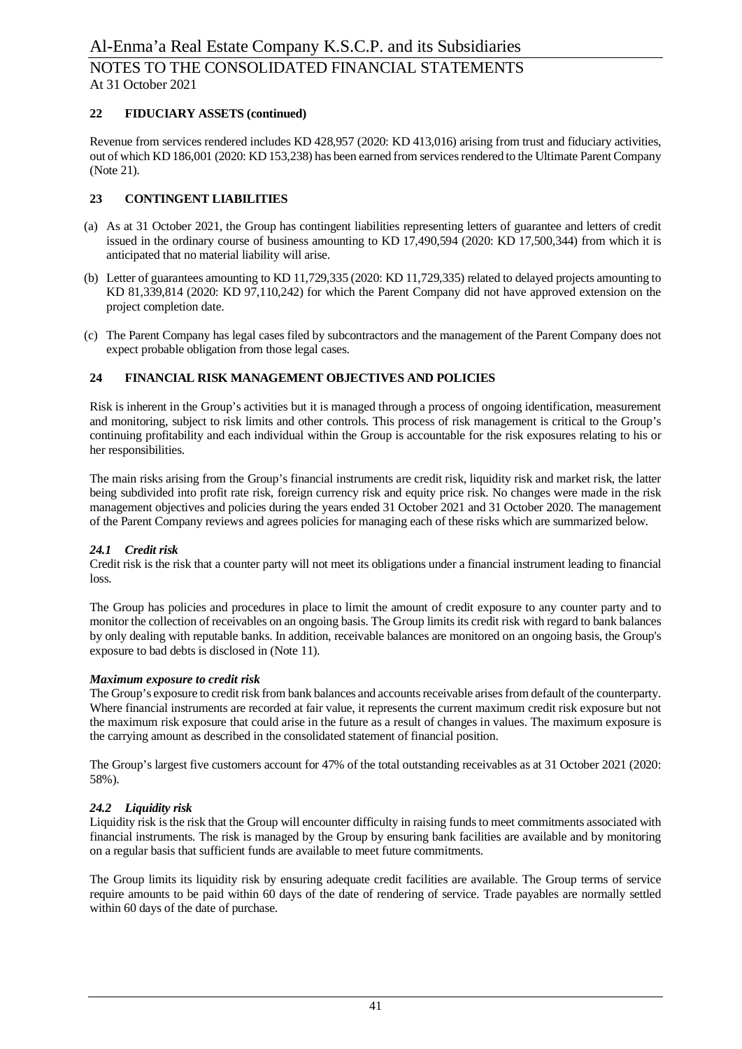### **22 FIDUCIARY ASSETS (continued)**

Revenue from services rendered includes KD 428,957 (2020: KD 413,016) arising from trust and fiduciary activities, out of which KD 186,001 (2020: KD 153,238) has been earned from services rendered to the Ultimate Parent Company (Note 21).

### **23 CONTINGENT LIABILITIES**

- (a) As at 31 October 2021, the Group has contingent liabilities representing letters of guarantee and letters of credit issued in the ordinary course of business amounting to KD 17,490,594 (2020: KD 17,500,344) from which it is anticipated that no material liability will arise.
- (b) Letter of guarantees amounting to KD 11,729,335 (2020: KD 11,729,335) related to delayed projects amounting to KD 81,339,814 (2020: KD 97,110,242) for which the Parent Company did not have approved extension on the project completion date.
- (c) The Parent Company has legal cases filed by subcontractors and the management of the Parent Company does not expect probable obligation from those legal cases.

#### **24 FINANCIAL RISK MANAGEMENT OBJECTIVES AND POLICIES**

Risk is inherent in the Group's activities but it is managed through a process of ongoing identification, measurement and monitoring, subject to risk limits and other controls. This process of risk management is critical to the Group's continuing profitability and each individual within the Group is accountable for the risk exposures relating to his or her responsibilities.

The main risks arising from the Group's financial instruments are credit risk, liquidity risk and market risk, the latter being subdivided into profit rate risk, foreign currency risk and equity price risk. No changes were made in the risk management objectives and policies during the years ended 31 October 2021 and 31 October 2020. The management of the Parent Company reviews and agrees policies for managing each of these risks which are summarized below.

#### *24.1 Credit risk*

Credit risk is the risk that a counter party will not meet its obligations under a financial instrument leading to financial loss.

The Group has policies and procedures in place to limit the amount of credit exposure to any counter party and to monitor the collection of receivables on an ongoing basis. The Group limits its credit risk with regard to bank balances by only dealing with reputable banks. In addition, receivable balances are monitored on an ongoing basis, the Group's exposure to bad debts is disclosed in (Note 11).

#### *Maximum exposure to credit risk*

The Group's exposure to credit risk from bank balances and accounts receivable arises from default of the counterparty. Where financial instruments are recorded at fair value, it represents the current maximum credit risk exposure but not the maximum risk exposure that could arise in the future as a result of changes in values. The maximum exposure is the carrying amount as described in the consolidated statement of financial position.

The Group's largest five customers account for 47% of the total outstanding receivables as at 31 October 2021 (2020: 58%).

#### *24.2 Liquidity risk*

Liquidity risk is the risk that the Group will encounter difficulty in raising funds to meet commitments associated with financial instruments. The risk is managed by the Group by ensuring bank facilities are available and by monitoring on a regular basis that sufficient funds are available to meet future commitments.

The Group limits its liquidity risk by ensuring adequate credit facilities are available. The Group terms of service require amounts to be paid within 60 days of the date of rendering of service. Trade payables are normally settled within 60 days of the date of purchase.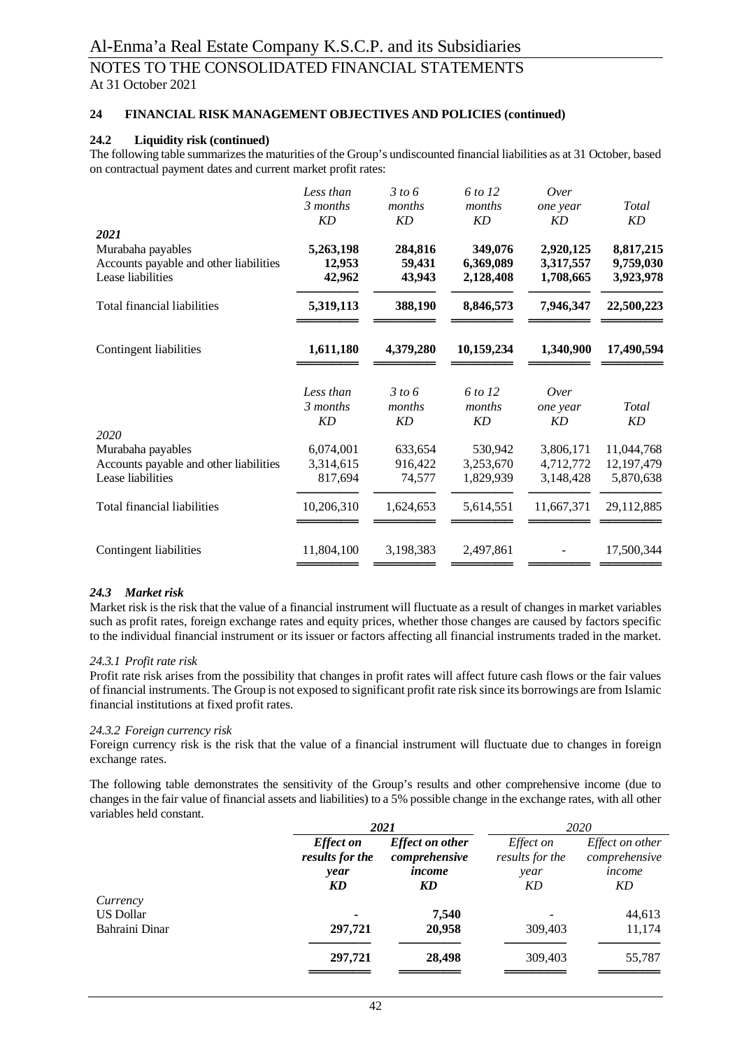### **24 FINANCIAL RISK MANAGEMENT OBJECTIVES AND POLICIES (continued)**

#### **24.2 Liquidity risk (continued)**

The following table summarizes the maturities of the Group's undiscounted financial liabilities as at 31 October, based on contractual payment dates and current market profit rates:

|                                                                                  | Less than<br>3 months<br><b>KD</b> | 3 to 6<br>months<br><b>KD</b> | 6 to 12<br>months<br><b>KD</b>    | Over<br>one year<br><b>KD</b>       | Total<br>KD                         |
|----------------------------------------------------------------------------------|------------------------------------|-------------------------------|-----------------------------------|-------------------------------------|-------------------------------------|
| 2021                                                                             |                                    |                               |                                   |                                     |                                     |
| Murabaha payables<br>Accounts payable and other liabilities<br>Lease liabilities | 5,263,198<br>12,953<br>42,962      | 284,816<br>59,431<br>43,943   | 349,076<br>6,369,089<br>2,128,408 | 2,920,125<br>3,317,557<br>1,708,665 | 8,817,215<br>9,759,030<br>3,923,978 |
| <b>Total financial liabilities</b>                                               | 5,319,113                          | 388,190                       | 8,846,573                         | 7,946,347                           | 22,500,223                          |
| Contingent liabilities                                                           | 1,611,180                          | 4,379,280                     | 10,159,234                        | 1,340,900                           | 17,490,594                          |
|                                                                                  | Less than<br>3 months<br>KD        | 3 to 6<br>months<br>KD        | 6 to 12<br>months<br><b>KD</b>    | Over<br>one year<br><b>KD</b>       | Total<br>KD                         |
| 2020                                                                             |                                    |                               |                                   |                                     |                                     |
| Murabaha payables                                                                | 6,074,001                          | 633,654                       | 530,942                           | 3,806,171                           | 11,044,768                          |
| Accounts payable and other liabilities<br>Lease liabilities                      | 3,314,615<br>817,694               | 916,422<br>74,577             | 3,253,670<br>1,829,939            | 4,712,772<br>3,148,428              | 12,197,479<br>5,870,638             |
| <b>Total financial liabilities</b>                                               | 10,206,310                         | 1,624,653                     | 5,614,551                         | 11,667,371                          | 29,112,885                          |
| Contingent liabilities                                                           | 11,804,100                         | 3,198,383                     | 2,497,861                         |                                     | 17,500,344                          |

#### *24.3 Market risk*

Market risk is the risk that the value of a financial instrument will fluctuate as a result of changes in market variables such as profit rates, foreign exchange rates and equity prices, whether those changes are caused by factors specific to the individual financial instrument or its issuer or factors affecting all financial instruments traded in the market.

#### *24.3.1 Profit rate risk*

Profit rate risk arises from the possibility that changes in profit rates will affect future cash flows or the fair values of financial instruments. The Group is not exposed to significant profit rate risk since its borrowings are from Islamic financial institutions at fixed profit rates.

#### *24.3.2 Foreign currency risk*

Foreign currency risk is the risk that the value of a financial instrument will fluctuate due to changes in foreign exchange rates.

The following table demonstrates the sensitivity of the Group's results and other comprehensive income (due to changes in the fair value of financial assets and liabilities) to a 5% possible change in the exchange rates, with all other variables held constant.

|                |                                     | 2021                                    |                                     | 2020                                    |  |
|----------------|-------------------------------------|-----------------------------------------|-------------------------------------|-----------------------------------------|--|
|                | <b>Effect</b> on<br>results for the | <b>Effect on other</b><br>comprehensive | <i>Effect on</i><br>results for the | <i>Effect on other</i><br>comprehensive |  |
|                | year                                | income                                  | year                                | income                                  |  |
|                | KD                                  | KD                                      | KD                                  | KD                                      |  |
| Currency       |                                     |                                         |                                     |                                         |  |
| US Dollar      |                                     | 7,540                                   |                                     | 44,613                                  |  |
| Bahraini Dinar | 297,721                             | 20,958                                  | 309,403                             | 11,174                                  |  |
|                | 297,721                             | 28,498                                  | 309,403                             | 55,787                                  |  |
|                |                                     |                                         |                                     |                                         |  |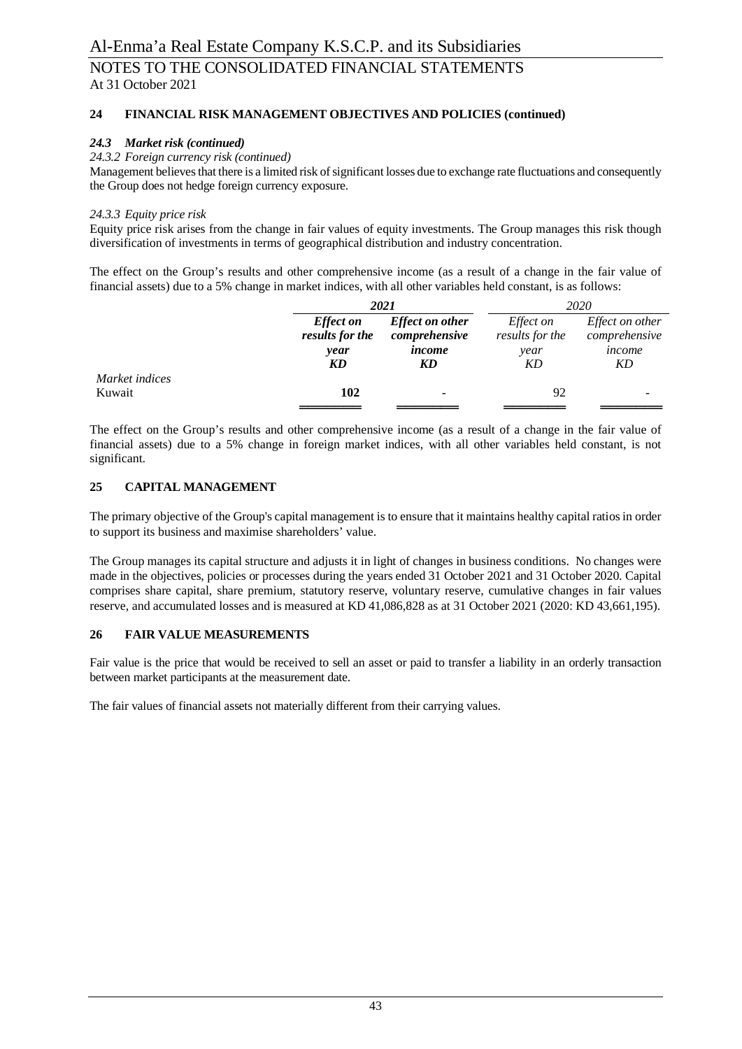# **24 FINANCIAL RISK MANAGEMENT OBJECTIVES AND POLICIES (continued)**

### *24.3 Market risk (continued)*

### *24.3.2 Foreign currency risk (continued)*

Management believes that there is a limited risk of significant losses due to exchange rate fluctuations and consequently the Group does not hedge foreign currency exposure.

### *24.3.3 Equity price risk*

Equity price risk arises from the change in fair values of equity investments. The Group manages this risk though diversification of investments in terms of geographical distribution and industry concentration.

The effect on the Group's results and other comprehensive income (as a result of a change in the fair value of financial assets) due to a 5% change in market indices, with all other variables held constant, is as follows:

|                |                                     | 2021                                    |                                     | 2020                                    |  |
|----------------|-------------------------------------|-----------------------------------------|-------------------------------------|-----------------------------------------|--|
|                | <b>Effect</b> on<br>results for the | <b>Effect on other</b><br>comprehensive | <i>Effect on</i><br>results for the | <i>Effect on other</i><br>comprehensive |  |
|                | year                                | income                                  | year                                | income                                  |  |
|                | KD                                  | KD                                      | ΚD                                  | KD                                      |  |
| Market indices |                                     |                                         |                                     |                                         |  |
| Kuwait         | 102                                 |                                         | 92                                  |                                         |  |
|                |                                     |                                         |                                     |                                         |  |

The effect on the Group's results and other comprehensive income (as a result of a change in the fair value of financial assets) due to a 5% change in foreign market indices, with all other variables held constant, is not significant.

#### **25 CAPITAL MANAGEMENT**

The primary objective of the Group's capital management is to ensure that it maintains healthy capital ratios in order to support its business and maximise shareholders' value.

The Group manages its capital structure and adjusts it in light of changes in business conditions. No changes were made in the objectives, policies or processes during the years ended 31 October 2021 and 31 October 2020. Capital comprises share capital, share premium, statutory reserve, voluntary reserve, cumulative changes in fair values reserve, and accumulated losses and is measured at KD 41,086,828 as at 31 October 2021 (2020: KD 43,661,195).

### **26 FAIR VALUE MEASUREMENTS**

Fair value is the price that would be received to sell an asset or paid to transfer a liability in an orderly transaction between market participants at the measurement date.

The fair values of financial assets not materially different from their carrying values.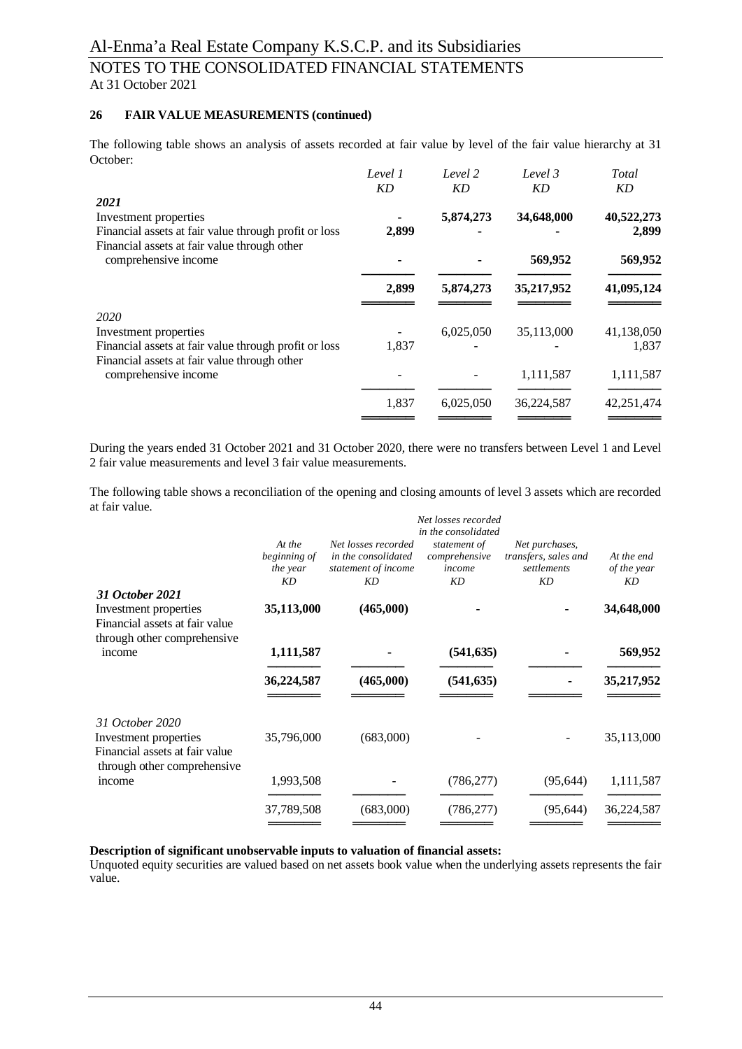# **26 FAIR VALUE MEASUREMENTS (continued)**

The following table shows an analysis of assets recorded at fair value by level of the fair value hierarchy at 31 October:

|                                                                                                       | Level 1   | Level 2   | Level 3    | Total               |
|-------------------------------------------------------------------------------------------------------|-----------|-----------|------------|---------------------|
|                                                                                                       | <b>KD</b> | <b>KD</b> | KD         | KD                  |
| 2021<br>Investment properties<br>Financial assets at fair value through profit or loss                | 2,899     | 5,874,273 | 34,648,000 | 40,522,273<br>2,899 |
| Financial assets at fair value through other<br>comprehensive income                                  |           |           | 569,952    | 569,952             |
|                                                                                                       | 2,899     | 5,874,273 | 35,217,952 | 41,095,124          |
| 2020                                                                                                  |           |           |            |                     |
| Investment properties                                                                                 |           | 6,025,050 | 35,113,000 | 41,138,050          |
| Financial assets at fair value through profit or loss<br>Financial assets at fair value through other | 1,837     |           |            | 1,837               |
| comprehensive income                                                                                  |           |           | 1,111,587  | 1,111,587           |
|                                                                                                       | 1,837     | 6,025,050 | 36,224,587 | 42,251,474          |
|                                                                                                       |           |           |            |                     |

During the years ended 31 October 2021 and 31 October 2020, there were no transfers between Level 1 and Level 2 fair value measurements and level 3 fair value measurements.

The following table shows a reconciliation of the opening and closing amounts of level 3 assets which are recorded at fair value.

|                                                                                        | Net losses recorded<br>in the consolidated |                                                                         |                                               |                                                             |                                 |
|----------------------------------------------------------------------------------------|--------------------------------------------|-------------------------------------------------------------------------|-----------------------------------------------|-------------------------------------------------------------|---------------------------------|
|                                                                                        |                                            |                                                                         |                                               |                                                             |                                 |
|                                                                                        | At the<br>beginning of<br>the year<br>KD   | Net losses recorded<br>in the consolidated<br>statement of income<br>KD | statement of<br>comprehensive<br>income<br>KD | Net purchases,<br>transfers, sales and<br>settlements<br>KD | At the end<br>of the year<br>KD |
| 31 October 2021                                                                        |                                            |                                                                         |                                               |                                                             |                                 |
| Investment properties<br>Financial assets at fair value<br>through other comprehensive | 35,113,000                                 | (465,000)                                                               |                                               |                                                             | 34,648,000                      |
| income                                                                                 | 1,111,587                                  |                                                                         | (541, 635)                                    |                                                             | 569,952                         |
|                                                                                        | 36,224,587                                 | (465,000)                                                               | (541, 635)                                    |                                                             | 35,217,952                      |
| 31 October 2020                                                                        |                                            |                                                                         |                                               |                                                             |                                 |
| Investment properties<br>Financial assets at fair value<br>through other comprehensive | 35,796,000                                 | (683,000)                                                               |                                               |                                                             | 35,113,000                      |
| income                                                                                 | 1,993,508                                  |                                                                         | (786, 277)                                    | (95, 644)                                                   | 1,111,587                       |
|                                                                                        | 37,789,508                                 | (683,000)                                                               | (786, 277)                                    | (95, 644)                                                   | 36,224,587                      |
|                                                                                        |                                            |                                                                         |                                               |                                                             |                                 |

# **Description of significant unobservable inputs to valuation of financial assets:**

Unquoted equity securities are valued based on net assets book value when the underlying assets represents the fair value.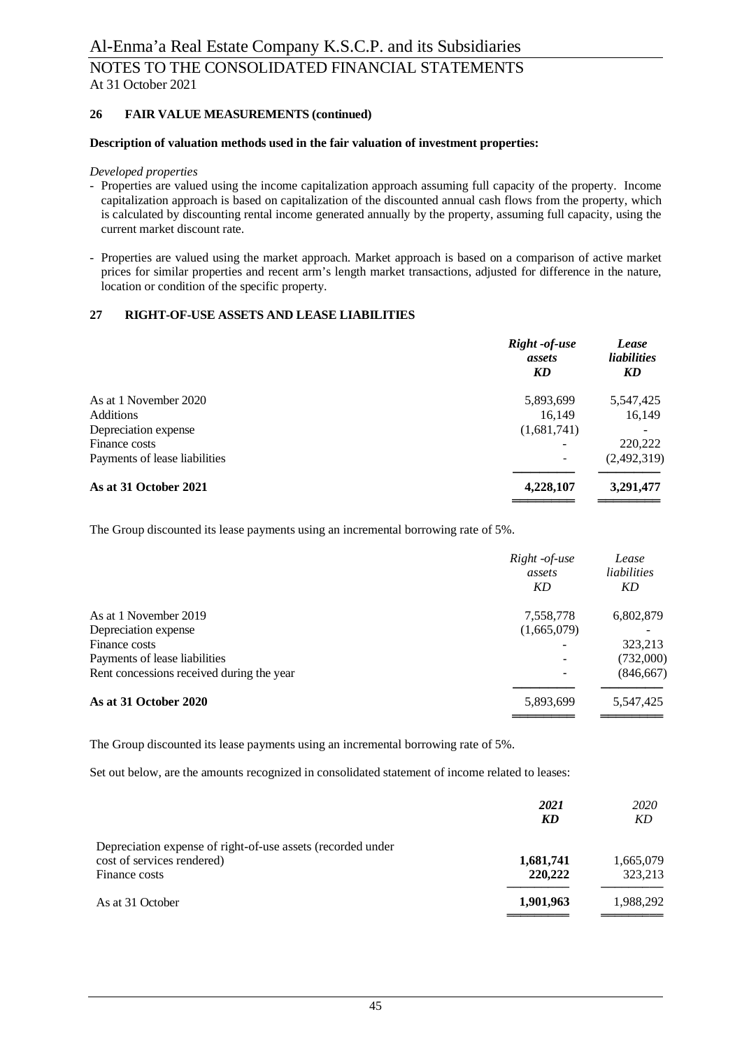### **26 FAIR VALUE MEASUREMENTS (continued)**

#### **Description of valuation methods used in the fair valuation of investment properties:**

#### *Developed properties*

- Properties are valued using the income capitalization approach assuming full capacity of the property. Income capitalization approach is based on capitalization of the discounted annual cash flows from the property, which is calculated by discounting rental income generated annually by the property, assuming full capacity, using the current market discount rate.
- Properties are valued using the market approach. Market approach is based on a comparison of active market prices for similar properties and recent arm's length market transactions, adjusted for difference in the nature, location or condition of the specific property.

#### **27 RIGHT-OF-USE ASSETS AND LEASE LIABILITIES**

| assets<br>KD | Lease<br><i>liabilities</i><br>KD |
|--------------|-----------------------------------|
| 5,893,699    | 5,547,425                         |
| 16.149       | 16,149                            |
| (1,681,741)  |                                   |
|              | 220,222                           |
|              | (2,492,319)                       |
| 4,228,107    | 3,291,477                         |
|              | Right -of-use                     |

The Group discounted its lease payments using an incremental borrowing rate of 5%.

|                                           | Right -of-use<br>assets<br>KD | Lease<br>liabilities<br>KD |
|-------------------------------------------|-------------------------------|----------------------------|
| As at 1 November 2019                     | 7,558,778                     | 6,802,879                  |
| Depreciation expense                      | (1,665,079)                   |                            |
| Finance costs                             |                               | 323,213                    |
| Payments of lease liabilities             | ۰                             | (732,000)                  |
| Rent concessions received during the year | $\blacksquare$                | (846, 667)                 |
| As at 31 October 2020                     | 5,893,699                     | 5,547,425                  |

The Group discounted its lease payments using an incremental borrowing rate of 5%.

Set out below, are the amounts recognized in consolidated statement of income related to leases:

|                                                                                                            | 2021<br>KD           | 2020<br>KD           |
|------------------------------------------------------------------------------------------------------------|----------------------|----------------------|
| Depreciation expense of right-of-use assets (recorded under<br>cost of services rendered)<br>Finance costs | 1,681,741<br>220,222 | 1,665,079<br>323,213 |
| As at 31 October                                                                                           | 1,901,963            | 1,988,292            |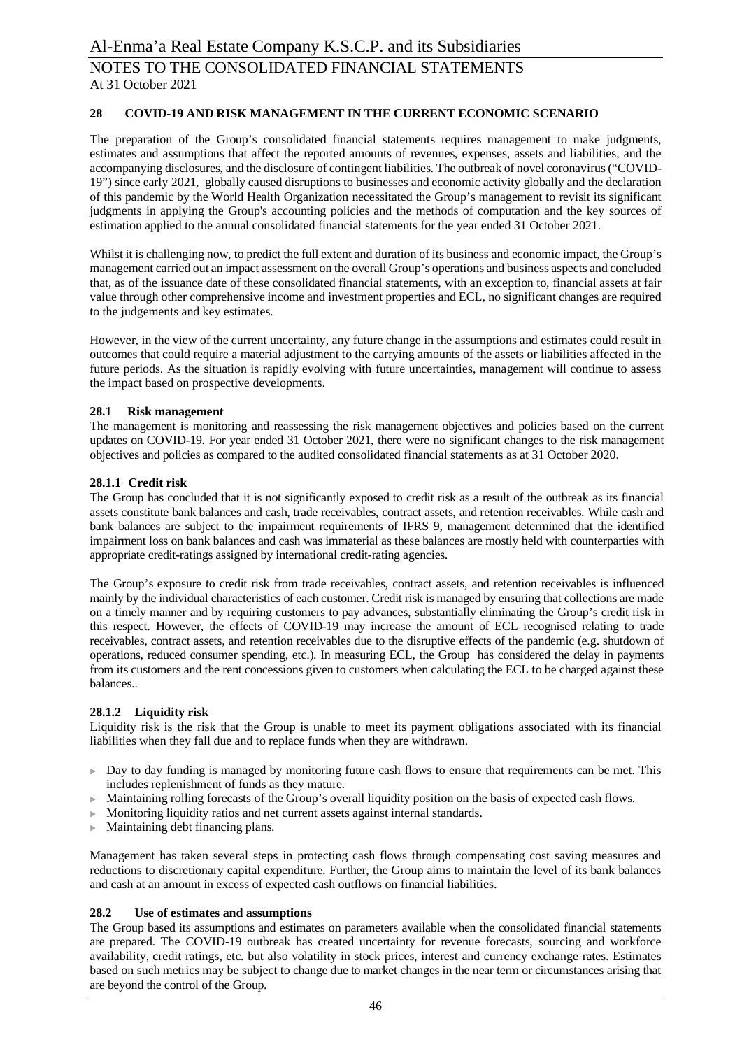#### **28 COVID-19 AND RISK MANAGEMENT IN THE CURRENT ECONOMIC SCENARIO**

The preparation of the Group's consolidated financial statements requires management to make judgments, estimates and assumptions that affect the reported amounts of revenues, expenses, assets and liabilities, and the accompanying disclosures, and the disclosure of contingent liabilities. The outbreak of novel coronavirus ("COVID-19") since early 2021, globally caused disruptions to businesses and economic activity globally and the declaration of this pandemic by the World Health Organization necessitated the Group's management to revisit its significant judgments in applying the Group's accounting policies and the methods of computation and the key sources of estimation applied to the annual consolidated financial statements for the year ended 31 October 2021.

Whilst it is challenging now, to predict the full extent and duration of its business and economic impact, the Group's management carried out an impact assessment on the overall Group's operations and business aspects and concluded that, as of the issuance date of these consolidated financial statements, with an exception to, financial assets at fair value through other comprehensive income and investment properties and ECL, no significant changes are required to the judgements and key estimates.

However, in the view of the current uncertainty, any future change in the assumptions and estimates could result in outcomes that could require a material adjustment to the carrying amounts of the assets or liabilities affected in the future periods. As the situation is rapidly evolving with future uncertainties, management will continue to assess the impact based on prospective developments.

#### **28.1 Risk management**

The management is monitoring and reassessing the risk management objectives and policies based on the current updates on COVID-19. For year ended 31 October 2021, there were no significant changes to the risk management objectives and policies as compared to the audited consolidated financial statements as at 31 October 2020.

#### **28.1.1 Credit risk**

The Group has concluded that it is not significantly exposed to credit risk as a result of the outbreak as its financial assets constitute bank balances and cash, trade receivables, contract assets, and retention receivables. While cash and bank balances are subject to the impairment requirements of IFRS 9, management determined that the identified impairment loss on bank balances and cash was immaterial as these balances are mostly held with counterparties with appropriate credit-ratings assigned by international credit-rating agencies.

The Group's exposure to credit risk from trade receivables, contract assets, and retention receivables is influenced mainly by the individual characteristics of each customer. Credit risk is managed by ensuring that collections are made on a timely manner and by requiring customers to pay advances, substantially eliminating the Group's credit risk in this respect. However, the effects of COVID-19 may increase the amount of ECL recognised relating to trade receivables, contract assets, and retention receivables due to the disruptive effects of the pandemic (e.g. shutdown of operations, reduced consumer spending, etc.). In measuring ECL, the Group has considered the delay in payments from its customers and the rent concessions given to customers when calculating the ECL to be charged against these balances..

#### **28.1.2 Liquidity risk**

Liquidity risk is the risk that the Group is unable to meet its payment obligations associated with its financial liabilities when they fall due and to replace funds when they are withdrawn.

- Day to day funding is managed by monitoring future cash flows to ensure that requirements can be met. This includes replenishment of funds as they mature.
- $\blacktriangleright$  Maintaining rolling forecasts of the Group's overall liquidity position on the basis of expected cash flows.
- $\blacktriangleright$  Monitoring liquidity ratios and net current assets against internal standards.
- $\blacktriangleright$  Maintaining debt financing plans.

Management has taken several steps in protecting cash flows through compensating cost saving measures and reductions to discretionary capital expenditure. Further, the Group aims to maintain the level of its bank balances and cash at an amount in excess of expected cash outflows on financial liabilities.

#### **28.2 Use of estimates and assumptions**

The Group based its assumptions and estimates on parameters available when the consolidated financial statements are prepared. The COVID-19 outbreak has created uncertainty for revenue forecasts, sourcing and workforce availability, credit ratings, etc. but also volatility in stock prices, interest and currency exchange rates. Estimates based on such metrics may be subject to change due to market changes in the near term or circumstances arising that are beyond the control of the Group.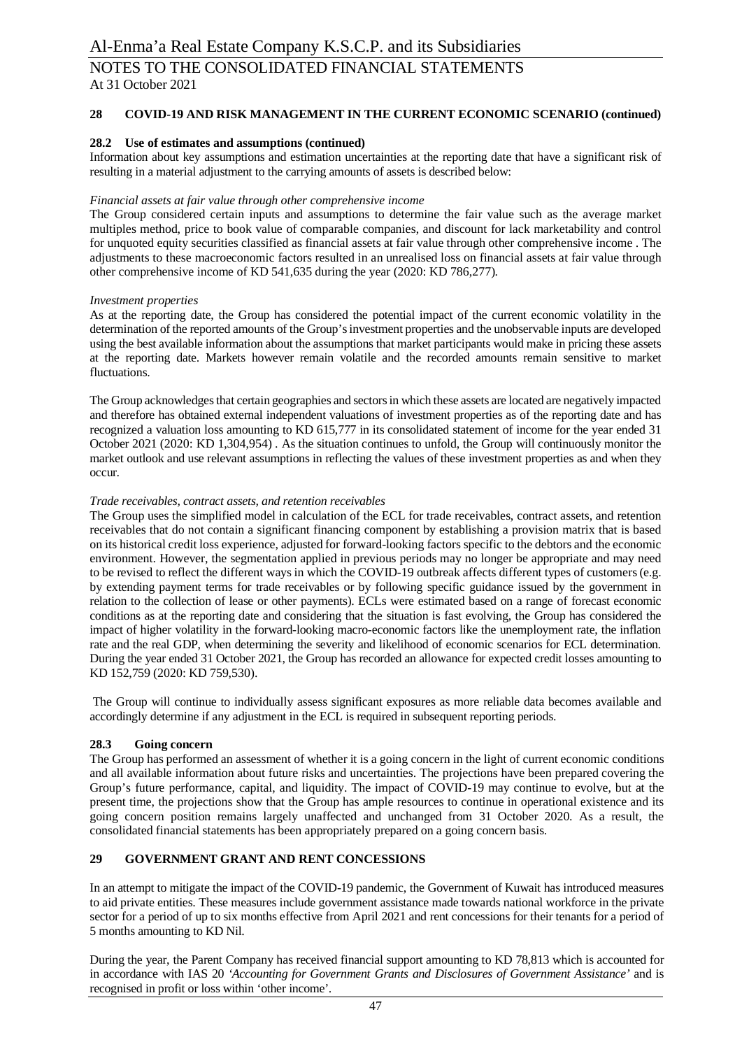### **28 COVID-19 AND RISK MANAGEMENT IN THE CURRENT ECONOMIC SCENARIO (continued)**

#### **28.2 Use of estimates and assumptions (continued)**

Information about key assumptions and estimation uncertainties at the reporting date that have a significant risk of resulting in a material adjustment to the carrying amounts of assets is described below:

#### *Financial assets at fair value through other comprehensive income*

The Group considered certain inputs and assumptions to determine the fair value such as the average market multiples method, price to book value of comparable companies, and discount for lack marketability and control for unquoted equity securities classified as financial assets at fair value through other comprehensive income . The adjustments to these macroeconomic factors resulted in an unrealised loss on financial assets at fair value through other comprehensive income of KD 541,635 during the year (2020: KD 786,277).

#### *Investment properties*

As at the reporting date, the Group has considered the potential impact of the current economic volatility in the determination of the reported amounts of the Group's investment properties and the unobservable inputs are developed using the best available information about the assumptions that market participants would make in pricing these assets at the reporting date. Markets however remain volatile and the recorded amounts remain sensitive to market fluctuations.

The Group acknowledges that certain geographies and sectors in which these assets are located are negatively impacted and therefore has obtained external independent valuations of investment properties as of the reporting date and has recognized a valuation loss amounting to KD 615,777 in its consolidated statement of income for the year ended 31 October 2021 (2020: KD 1,304,954) . As the situation continues to unfold, the Group will continuously monitor the market outlook and use relevant assumptions in reflecting the values of these investment properties as and when they occur.

#### *Trade receivables, contract assets, and retention receivables*

The Group uses the simplified model in calculation of the ECL for trade receivables, contract assets, and retention receivables that do not contain a significant financing component by establishing a provision matrix that is based on its historical credit loss experience, adjusted for forward-looking factors specific to the debtors and the economic environment. However, the segmentation applied in previous periods may no longer be appropriate and may need to be revised to reflect the different ways in which the COVID-19 outbreak affects different types of customers (e.g. by extending payment terms for trade receivables or by following specific guidance issued by the government in relation to the collection of lease or other payments). ECLs were estimated based on a range of forecast economic conditions as at the reporting date and considering that the situation is fast evolving, the Group has considered the impact of higher volatility in the forward-looking macro-economic factors like the unemployment rate, the inflation rate and the real GDP, when determining the severity and likelihood of economic scenarios for ECL determination. During the year ended 31 October 2021, the Group has recorded an allowance for expected credit losses amounting to KD 152,759 (2020: KD 759,530).

 The Group will continue to individually assess significant exposures as more reliable data becomes available and accordingly determine if any adjustment in the ECL is required in subsequent reporting periods.

### **28.3 Going concern**

The Group has performed an assessment of whether it is a going concern in the light of current economic conditions and all available information about future risks and uncertainties. The projections have been prepared covering the Group's future performance, capital, and liquidity. The impact of COVID-19 may continue to evolve, but at the present time, the projections show that the Group has ample resources to continue in operational existence and its going concern position remains largely unaffected and unchanged from 31 October 2020. As a result, the consolidated financial statements has been appropriately prepared on a going concern basis.

# **29 GOVERNMENT GRANT AND RENT CONCESSIONS**

In an attempt to mitigate the impact of the COVID-19 pandemic, the Government of Kuwait has introduced measures to aid private entities. These measures include government assistance made towards national workforce in the private sector for a period of up to six months effective from April 2021 and rent concessions for their tenants for a period of 5 months amounting to KD Nil.

During the year, the Parent Company has received financial support amounting to KD 78,813 which is accounted for in accordance with IAS 20 *'Accounting for Government Grants and Disclosures of Government Assistance'* and is recognised in profit or loss within 'other income'.